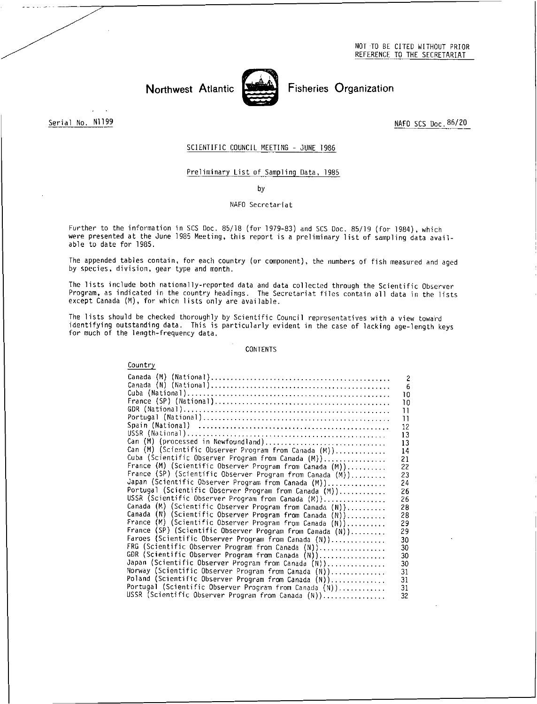NOT TO BE CITED WITHOUT PRIOR REFERENCE TO THE SECRETARIAT

Northwest Atlantic



Fisheries Organization

Serial No. N1199

NAFO SCS Doc. 86/20

## SCIENTIFIC COUNCIL MEETING - JUNE 1986

## Preliminary List of Sampling Data, 1985

by

## NAFO Secretariat

Further to the information in SCS Doc. 85/18 (for 1979-83) and SCS Doc. 85/19 (for 1984), which were presented at the June 1985 Meeting, this report is a preliminary list of sampling data available to date for 1985.

The appended tables contain, for each country (or component), the numbers of fish measured and aged by species, division, gear type and month.

The lists include both nationally-reported data and data collected through the Scientific Observer Program, as indicated in the country headings. The Secretariat files contain all data in the lists except Canada (M), for which lists only are available.

The lists should be checked thoroughly by Scientific Council representatives with a view toward identifying outstanding data. This is particularly evident in the case of lacking age-length keys for much of the length-frequency data.

#### CONTENTS

### Country

|                                                           | $\overline{c}$ |
|-----------------------------------------------------------|----------------|
|                                                           | 6              |
|                                                           | 10             |
|                                                           | 10             |
|                                                           | П              |
|                                                           | П              |
|                                                           | 12             |
|                                                           | 13             |
| Can (M) (processed in Newfoundland)                       | 13             |
| Can (M) (Scientific Observer Program from Canada (M))     | 14             |
| Cuba (Scientific Observer Program from Canada (M))        | 21             |
| France (M) (Scientific Observer Program from Canada (M))  | 22             |
| France (SP) (Scientific Observer Program from Canada (M)) | 23             |
| Japan (Scientific Observer Program from Canada (M))       | 24             |
| Portugal (Scientific Observer Program from Canada (M))    | 26             |
| USSR (Scientific Observer Program from Canada (M))        | 26             |
| Canada (M) (Scientific Observer Program from Canada (N))  | 28             |
| Canada (N) (Scientific Observer Program from Canada (N))  | 28             |
| France (M) (Scientific Observer Program from Canada (N))  | 29             |
| France (SP) (Scientific Observer Program from Canada (N)) | 29             |
| Faroes (Scientific Observer Program from Canada (N))      | 30             |
| FRG (Scientific Observer Program from Canada (N))         | 30             |
| GDR (Scientific Observer Program from Canada (N))         | 30             |
| Japan (Scientific Observer Program from Canada (N))       | 30             |
| Norway (Scientific Observer Program from Canada (N))      | 31             |
| Poland (Scientific Observer Program from Canada (N))      | 31             |
| Portugal (Scientific Observer Program from Canada (N))    | 31             |
| USSR (Scientific Observer Program from Canada (N))        | 32             |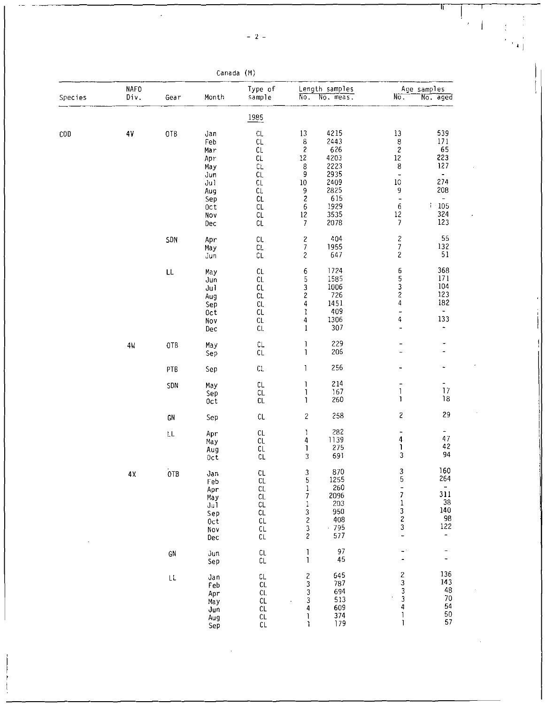| __ |
|----|
|----|

 $\hat{\boldsymbol{r}}$  $\mathbf{l}$ 

| Canada | (M) |
|--------|-----|
|--------|-----|

| Species | <b>NAFO</b><br>Div. | Gear                                                         | Month                                                                             | Type of<br>sample                                                                                              | No.                                                                                                                  | Length samples<br>No. meas.                                                                | No.                                                                                                                                                                                          | Age samples<br>No. aged                                                                       |
|---------|---------------------|--------------------------------------------------------------|-----------------------------------------------------------------------------------|----------------------------------------------------------------------------------------------------------------|----------------------------------------------------------------------------------------------------------------------|--------------------------------------------------------------------------------------------|----------------------------------------------------------------------------------------------------------------------------------------------------------------------------------------------|-----------------------------------------------------------------------------------------------|
|         |                     |                                                              |                                                                                   | 1985                                                                                                           |                                                                                                                      |                                                                                            |                                                                                                                                                                                              |                                                                                               |
| COD     | $4\mathrm{V}$       | OTB                                                          | Jan<br>Feb<br>Mar<br>Apr<br>Ma y<br>Jun<br>Ju1<br>Aug<br>Sep<br>0ct<br>Nov<br>Dec | $\mathsf{CL}$<br>CL<br>CL<br>CL<br>CL<br>CL<br>CL<br>CL<br>CL<br>CL<br>$\mathsf{CL}$<br>$\mathbb{C}\mathsf{L}$ | 13<br>8<br>$\sqrt{2}$<br>$12\,$<br>8<br>9<br>$10\,$<br>$\frac{9}{2}$<br>$\boldsymbol{6}$<br>$12\,$<br>$\overline{7}$ | 4215<br>2443<br>626<br>4203<br>2223<br>2935<br>2409<br>2825<br>615<br>1929<br>3535<br>2078 | 13<br>$\begin{array}{c} 8 \\ 2 \\ 12 \end{array}$<br>$\bf 8$<br>$\overline{\phantom{m}}$<br>10<br>$\boldsymbol{9}$<br>$\overline{\phantom{0}}$<br>$\boldsymbol{6}$<br>12<br>$\boldsymbol{7}$ | 539<br>171<br>$\frac{65}{223}$<br>127<br>$\blacksquare$<br>274<br>208<br>$-105$<br>324<br>123 |
|         |                     | SDN                                                          | Apr<br>May<br>Jun                                                                 | $\mathsf{CL}$<br>CL.<br>$\mathbb{C}\mathsf{L}$                                                                 | 2<br>$\boldsymbol{7}$<br>$\boldsymbol{c}$                                                                            | 404<br>1955<br>647                                                                         | $\frac{2}{7}$<br>$\overline{\mathbf{c}}$                                                                                                                                                     | 55<br>132<br>51                                                                               |
|         |                     | LL                                                           | May<br>Jun<br>Ju I<br>Aug<br>Sep<br>0ct<br>Nov<br>Dec                             | CL<br>${\sf CL}$<br>$\mathsf{CL}$<br>CL<br>CL.<br>CL<br>CL<br>CL                                               | 6<br>5<br>$\frac{3}{2}$<br>4<br>1<br>4<br>$\mathbf{1}$                                                               | 1724<br>1585<br>1006<br>726<br>1451<br>409<br>1306<br>307                                  | 6<br>5<br>$\frac{3}{2}$<br>4<br>$\frac{1}{2}$<br>4<br>$\blacksquare$                                                                                                                         | 368<br>$171\,$<br>104<br>123<br>182<br>$\frac{1}{2}$<br>133<br>÷                              |
|         | 4 <sub>k</sub>      | 0TB                                                          | May<br>Sep                                                                        | $\mathbb{C}\mathsf{L}$<br>CL                                                                                   | 1<br>$\begin{array}{c} \hline \end{array}$                                                                           | 229<br>206                                                                                 | -                                                                                                                                                                                            | ۰<br>-                                                                                        |
|         |                     | PTB                                                          | Sep                                                                               | $\mathsf{CL}$                                                                                                  | 1                                                                                                                    | 256                                                                                        |                                                                                                                                                                                              | ۰                                                                                             |
|         |                     | SDN                                                          | May<br>Sep<br>0ct                                                                 | CL<br>${\sf CL}$<br>CL                                                                                         | 1<br>$\mathbf{I}$<br>1                                                                                               | 214<br>167<br>260                                                                          | -<br>$\mathbf{1}$<br>1                                                                                                                                                                       | $\blacksquare$<br>17<br>18                                                                    |
|         |                     | GN                                                           | Sep                                                                               | CL                                                                                                             | $\mathbf{2}$                                                                                                         | 258                                                                                        | 2                                                                                                                                                                                            | 29                                                                                            |
|         |                     | $\mathsf{LL}$                                                | Apr<br>May<br>Aug<br>Oct                                                          | $\mathsf{CL}$<br>CL<br>$\mathsf{CL}$<br>CL                                                                     | J<br>4<br>Ţ<br>3                                                                                                     | 282<br>1139<br>275<br>691                                                                  | ۰<br>$\pmb{4}$<br>1<br>3                                                                                                                                                                     | ٠<br>47<br>42<br>94                                                                           |
| 4Х      | 0TB                 | Jan<br>Feb<br>Apr<br>Ma y<br>Ju1<br>Sep<br>0ct<br>Nov<br>Dec | $\mathsf{C}\mathsf{L}$<br>CL<br>CL<br>CL<br>$\mathsf{CL}$<br>CL<br>CL<br>CL<br>CL | 3<br>5<br>$\frac{1}{7}$<br>$\mathbf 1$<br>$\frac{3}{2}$<br>$\frac{3}{2}$                                       | 870<br>1255<br>260<br>2096<br>203<br>950<br>408<br>.795<br>577                                                       | $\frac{3}{5}$<br>$\frac{1}{7}$<br>$\frac{1}{2}$<br>3<br>$\overline{\phantom{0}}$           | 160<br>264<br>-<br>311<br>38<br>140<br>$\frac{98}{122}$<br>$\overline{\phantom{0}}$                                                                                                          |                                                                                               |
|         |                     | GN                                                           | Jun<br>Sep                                                                        | CL<br>CL                                                                                                       | $\mathbf{I}$<br>$\mathbf{I}$                                                                                         | 97<br>45                                                                                   | $\overline{\phantom{a}}$                                                                                                                                                                     | -                                                                                             |
|         |                     | $\mathsf{LL}$                                                | Jan<br>Feb<br>Apr<br>May<br>Jun<br>Aug<br>Sep                                     | CL<br><b>CL</b><br>CL.<br>CL<br>CL.<br>CL<br>$\mathsf{CL}$                                                     | $\overline{\mathcal{L}}$<br>3<br>3<br>3<br>4<br>1<br><sup>1</sup>                                                    | 645<br>787<br>694<br>513<br>609<br>374<br>179                                              | $\frac{2}{3}$<br>3<br>3<br>4<br>ı<br>$\mathbf{I}$                                                                                                                                            | 136<br>143<br>48<br>$70\,$<br>54<br>50<br>57                                                  |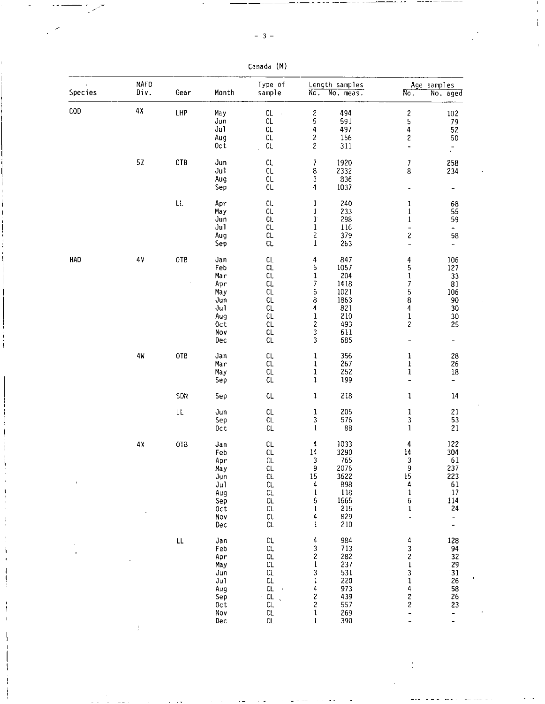Canada (M)

| Species | NAFO<br>Div.    | Gear | Month                                                                                | Type of<br>sample                                                                              | $\overline{No}$ .                                                                                                               | Length samples<br>$\overline{\text{No. meas.}}$                                | $\overline{No}$ .                                                                                                             | Age samples<br>No. aged                                                                      |
|---------|-----------------|------|--------------------------------------------------------------------------------------|------------------------------------------------------------------------------------------------|---------------------------------------------------------------------------------------------------------------------------------|--------------------------------------------------------------------------------|-------------------------------------------------------------------------------------------------------------------------------|----------------------------------------------------------------------------------------------|
| COD     | 4Х              | LHP  | May<br>Jun<br>Jul<br>Aug<br>Oct                                                      | CL<br>$\sim$<br>CL<br>CL<br>CL<br>CL                                                           | $\boldsymbol{z}$<br>5<br>4<br>$\overline{\mathbf{c}}$<br>2                                                                      | 494<br>591<br>497<br>156<br>311                                                | $\begin{array}{c} 2 \\ 5 \\ 4 \end{array}$<br>2<br>-                                                                          | 102<br>79<br>52<br>50<br>$\tilde{\mathbb{Z}}$                                                |
|         | 5Z              | OTB  | Jun<br>$J$ ul $\sim$<br>Aug<br>Sep                                                   | CL.<br>CL.<br>CL<br>CL.                                                                        | 7<br>8<br>3<br>4                                                                                                                | 1920<br>2332<br>836<br>1037                                                    | 7<br>8<br>-<br>-                                                                                                              | 258<br>234<br>$\overline{\phantom{0}}$<br>-                                                  |
|         |                 | LL.  | Apr<br>May<br>Jun<br>Ju1<br>Aug<br>Sep                                               | CL.<br>CL<br>CL.<br>CL<br>CL<br>CL.                                                            | $\mathbf 1$<br>$\mathbf{1}$<br>$1^{\circ}$<br>$\,1$<br>$\overline{\mathbf{c}}$<br>$\mathbf{1}$                                  | 240<br>233<br>298<br>116<br>379<br>263                                         | 1<br>1<br>1<br>-<br>$\overline{\mathbf{c}}$<br>$\overline{a}$                                                                 | 68<br>55<br>59<br>$\blacksquare$<br>58<br>$\pm$                                              |
| HAD     | $4\,\mathrm{V}$ | OTB  | Jan<br>Feb<br>Mar<br>Apr<br>May<br>Jun<br>Jul<br>Aug<br>0 <sub>c</sub><br>Nov<br>Dec | CL<br>CL<br>CL.<br>CL.<br>CL<br>CL<br>CL<br>CL<br>CL<br>CL<br>CL                               | $\frac{4}{5}$<br>$\mathbf{l}$<br>7<br>5<br>8<br>4<br>$\begin{array}{c} 1 \\ 2 \\ 3 \\ 3 \end{array}$                            | 847<br>1057<br>204<br>1418<br>1021<br>1863<br>821<br>210<br>493<br>611<br>685  | $\frac{4}{5}$<br>$\mathbf{1}$<br>7<br>5<br>8<br>4<br>$\mathbf 1$<br>$\overline{\mathbf{c}}$<br>$\overline{\phantom{a}}$       | 106<br>127<br>33<br>81<br>106<br>90<br>30<br>30<br>25<br>$\frac{1}{2}$                       |
|         | 4W              | OTB  | Jan<br>Mar<br>May<br>Sep                                                             | CL<br>CL<br>CL<br>CL                                                                           | ı<br>ı<br>$\begin{smallmatrix}1\1\1\end{smallmatrix}$                                                                           | 356<br>267<br>252<br>199                                                       | ı<br>l<br>ı<br>$\overline{\phantom{0}}$                                                                                       | 28<br>26<br>$18\,$<br>$\blacksquare$                                                         |
|         |                 | SDN  | Sep                                                                                  | CL                                                                                             | 1                                                                                                                               | 218                                                                            | 1                                                                                                                             | 14                                                                                           |
|         |                 | LL   | Jun<br>Sep<br>0ct                                                                    | CL<br>CL<br><b>CL</b>                                                                          | 1<br>$\mathsf 3$<br>1                                                                                                           | 205<br>576<br>88                                                               | 1<br>3<br>1                                                                                                                   | 21<br>53<br>21                                                                               |
|         | $4\,\mathrm{X}$ | OTB  | Jan<br>Feb<br>Apr<br>May<br>Jun<br>Ju1<br>Aug<br>Sep<br>0ct<br>Nov<br>Dec            | CL.<br>CL<br>CL<br>CL.<br>CL<br>CL<br>CL<br>CL<br>CL<br>CL.<br>CL                              | 4<br>14<br>3<br>9<br>$\begin{array}{c} 15 \\ 4 \end{array}$<br>$\mathbf 1$<br>6<br>ı<br>$\overline{4}$<br>1                     | 1033<br>3290<br>765<br>2076<br>3622<br>898<br>118<br>1665<br>215<br>829<br>210 | 4<br>14<br>3<br>9<br>$\frac{15}{4}$<br>$\frac{1}{6}$<br>1<br>$\ddot{\phantom{1}}$                                             | 122<br>304<br>61<br>237<br>$\begin{array}{c} 223 \\ 61 \end{array}$<br>17<br>114<br>24<br>۰. |
|         |                 | LL   | Jan<br>Feb<br>Apr<br>May<br>Jun<br>Ju1<br>Aug<br>Sep<br>0ct<br>Nov<br>Dec            | CL<br>CL<br>CL<br>CL<br>$c_{\mathsf{L}}$<br>CL<br>CL<br>$\mathcal{A}$<br>CL<br>CL.<br>CL<br>CL | $\begin{array}{c} 4 \\ 3 \\ 2 \\ 1 \end{array}$<br>$\frac{3}{1}$<br>$\begin{array}{c} 4 \\ 2 \\ 2 \\ 1 \end{array}$<br>$\bf{l}$ | 984<br>713<br>282<br>237<br>531<br>220<br>973<br>439<br>557<br>269<br>390      | 4<br>3<br>2<br>1<br>$\frac{3}{1}$<br>$\begin{array}{c} 4 \\ 2 \\ 2 \end{array}$<br>$\overline{\phantom{0}}$<br>$\overline{a}$ | 128<br>94<br>32<br>29<br>$31\,$<br>26<br>58<br>26<br>23<br>-<br>$\overline{\phantom{0}}$     |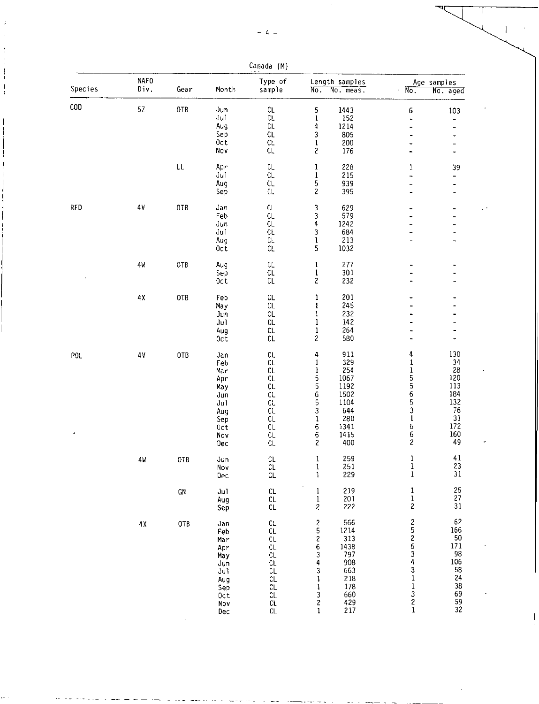| <b>Species</b> | <b>NAFO</b><br>Div. | Gear | Month      | Type of<br>sample            | $\overline{\text{No}}$ .                    | Length samples<br>No. meas.               | No.                          | Age samples<br>No. aged |
|----------------|---------------------|------|------------|------------------------------|---------------------------------------------|-------------------------------------------|------------------------------|-------------------------|
|                |                     |      |            |                              |                                             |                                           |                              |                         |
| COD            | 5Z                  | 0TB  | Jun        | CL                           | 6                                           | 1443                                      | 6                            | 103                     |
|                |                     |      | Jul        | $\mathsf{CL}$                | $\mathbf{1}$                                | 152                                       | $\ddot{\phantom{0}}$         |                         |
|                |                     |      | Aug        | CL                           | 4                                           | 1214                                      | $\overline{\phantom{0}}$     |                         |
|                |                     |      | Sep        | CL                           | 3                                           | 805                                       | $\overline{\phantom{0}}$     |                         |
|                |                     |      | Oct        | CL                           | $\mathbf 1$                                 | 200                                       |                              |                         |
|                |                     |      | Nov        | CL.                          | $\overline{\mathbf{c}}$                     | 176                                       | $\overline{\phantom{a}}$     |                         |
|                |                     | LL   | Apr        | CL                           | $\mathbf{1}$                                | 228                                       | $\mathbf{1}$                 | 39                      |
|                |                     |      | Ju1        | CL                           | $\mathbf{1}$                                | 215                                       | -                            |                         |
|                |                     |      | Aug        | CL                           | 5                                           | 939                                       | -                            |                         |
|                |                     |      | Sep        | $\mathbb{C}\mathsf{L}$       | $\sqrt{2}$                                  | 395                                       |                              |                         |
| RED            | 4V                  | OTB  | Jan        | CL                           | 3                                           | 629                                       |                              |                         |
|                |                     |      | Feb        | CL                           | 3                                           | 579                                       |                              |                         |
|                |                     |      | Jun        | CL                           | 4                                           | 1242                                      |                              |                         |
|                |                     |      | Ju1        | $\mathsf{CL}$                | 3                                           | 684                                       |                              |                         |
|                |                     |      | Aug        | CL                           | $\mathbf{1}$                                | 213                                       |                              |                         |
|                |                     |      | 0ct        | CL                           | 5                                           | 1032                                      |                              |                         |
|                | 4W                  | OTB  | Aug        | CL                           | $\mathbf{1}$                                | 277                                       |                              |                         |
|                |                     |      | Sep        | CL                           | $\mathbf{1}$                                | 301                                       |                              |                         |
|                |                     |      | Oct        | $\mathsf{CL}$                | $\mathbf{Z}$                                | 232                                       |                              |                         |
|                |                     |      |            |                              |                                             | 201                                       |                              |                         |
|                | 4 X                 | OTB  | Feb        | $\mathsf{CL}$                | 1                                           |                                           |                              |                         |
|                |                     |      | May        | CL                           | 1                                           | 245                                       |                              |                         |
|                |                     |      | Jun        | $\mathsf{CL}$                | $\mathbf 1$                                 | 232                                       |                              |                         |
|                |                     |      | Ju1        | $\mathbb{C}\mathsf{L}$       | $\mathbf 1$                                 | 142                                       |                              |                         |
|                |                     |      | Aug<br>0ct | $\mathsf{C}\mathsf{L}$<br>CL | $\mathbf{1}$<br>$\overline{\mathbf{c}}$     | 264<br>580                                |                              |                         |
|                |                     |      |            |                              |                                             |                                           |                              |                         |
| POL            | 4V                  | OTB  | Jan        | CL                           | 4                                           | 911                                       | 4                            | 130                     |
|                |                     |      | Feb        | $\mathsf{CL}$                | $\mathbf{1}$                                | 329                                       | 1                            | 34                      |
|                |                     |      | Mar        | CL                           | $\bf{l}$                                    | 254                                       | 1                            | 28                      |
|                |                     |      | Apr        | CL                           |                                             | 1067                                      |                              | 120                     |
|                |                     |      | May        | CL                           |                                             | 1192                                      |                              | 113                     |
|                |                     |      | Jun        | $c_{\mathsf{L}}$             | 5<br>5<br>5<br>5                            | 1502                                      |                              | 184                     |
|                |                     |      | Jul        | CL                           |                                             | 1104                                      | 556531                       | 132                     |
|                |                     |      | Aug        | $\mathfrak{c}$               | 3                                           | 644                                       |                              | 76                      |
|                |                     |      | Sep        | CL                           | $\mathbf 1$                                 | 280                                       |                              | 31<br>172               |
| ٠              |                     |      | Oct        | CL                           | 6                                           | 1341                                      | 6                            |                         |
|                |                     |      | Nov        | CL                           | 6                                           | 1415<br>400                               | 6<br>$\overline{\mathbf{c}}$ | 160<br>49               |
|                |                     |      | Dec        | CL                           | $\overline{c}$                              |                                           |                              |                         |
|                | 4W                  | 0TB  | Jun        | CL                           | 1                                           | 259                                       | $\mathbf{1}$                 | 41                      |
|                |                     |      | Nov        | CL.                          | T                                           | 251                                       | $\frac{1}{1}$                | 23<br>31                |
|                |                     |      | Dec        | $\mathsf{CL}$                | $\mathbf 1$                                 | 229                                       |                              |                         |
|                |                     | GN   | Ju1        | CL                           | $\begin{smallmatrix}1\1\1\end{smallmatrix}$ | 219                                       | $\mathbf{1}$                 | 25                      |
|                |                     |      | Aug        | $\mathsf{CL}$                |                                             | 201                                       | $\bf{l}$                     | 27                      |
|                |                     |      | Sep        | $\mathsf{CL}$                | $\overline{\mathbf{c}}$                     | 222                                       | $\overline{\mathbf{c}}$      | 31                      |
|                | 4χ                  | OTB  | Jan        | $\mathsf{CL}$                |                                             | 566                                       |                              | 62                      |
|                |                     |      | Feb        | $\mathsf{CL}$                | 252634                                      | 1214                                      | 25263431                     | 166                     |
|                |                     |      | Mar        | CL.                          |                                             | 313                                       |                              | 50                      |
|                |                     |      | Apr        | $\mathsf{CL}$                |                                             | 1438<br>797                               |                              | 171                     |
|                |                     |      | May        | CL                           |                                             |                                           |                              | 98                      |
|                |                     |      | Jun        | CL                           |                                             | 908                                       |                              | 106                     |
|                |                     |      | Ju1        | CL                           | 3                                           | 663                                       |                              | 58                      |
|                |                     |      | Aug        | CL                           | 1                                           | 218                                       |                              | 24                      |
|                |                     |      | Sep        | $\mathsf{CL}$                | $\mathbf{1}$                                | $\begin{array}{c} 178 \\ 660 \end{array}$ | $\frac{1}{3}$                | 38                      |
|                |                     |      | Oct        | $\mathsf{CL}$                | 3                                           |                                           |                              | 69                      |

Nov CL 2 429 2 59 Dec CL 1 21/ 1 32

Canada (M)

÷,

 $\mathbf{l}$ 

-1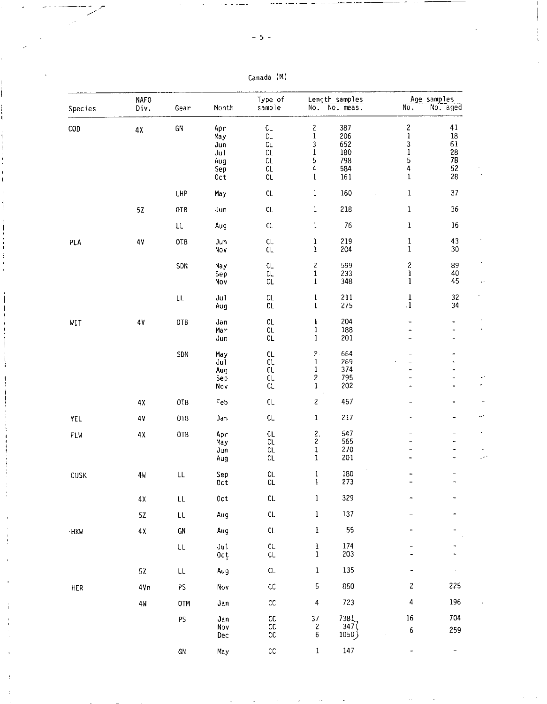| $-5 -$ |  |
|--------|--|
|        |  |
|        |  |

|            | <b>NAFO</b>     |                                 |                                                | Type of                                                      |                                                                                               | Length samples                                |                                                                                      | Age samples                                        |  |  |
|------------|-----------------|---------------------------------|------------------------------------------------|--------------------------------------------------------------|-----------------------------------------------------------------------------------------------|-----------------------------------------------|--------------------------------------------------------------------------------------|----------------------------------------------------|--|--|
| Species    | Div.            | Gear                            | Month                                          | sample                                                       | $\overline{No}$ .                                                                             | No. meas.                                     | $\overline{\text{No}}$ .                                                             | No. aged                                           |  |  |
| COD        | 4Х              | GN                              | Apr<br>Ma y<br>Jun<br>Jul<br>Aug<br>Sep<br>0ct | CL<br>$\mathsf{CL}$<br>CL<br>CL<br>CL<br>CL<br>$\mathtt{CL}$ | 2<br>$\mathbf{1}$<br>3<br>$\mathbf i$<br>$\frac{5}{4}$<br>$\mathbf 1$                         | 387<br>206<br>652<br>180<br>798<br>584<br>161 | $\mathbf{S}$<br>$\mathbf{1}% _{T}\left( t\right)$<br>3<br>$\mathbf 1$<br>5<br>4<br>1 | 41<br>$18\,$<br>61<br>${\bf 28}$<br>78<br>52<br>28 |  |  |
|            |                 | LHP                             | May                                            | ${\sf CL}$                                                   | $\,1$                                                                                         | 160                                           | $\mathbf 1$                                                                          | 37                                                 |  |  |
|            | $5\rm Z$        | 0TB                             | Jun                                            | $\mathsf{CL}$                                                | $\bf{l}$                                                                                      | 218                                           | 1                                                                                    | 36                                                 |  |  |
|            |                 | LL                              | Aug                                            | $\mathsf{CL}$                                                | $\mathbf{1}$                                                                                  | 76                                            | $\mathbf 1$                                                                          | $16\,$                                             |  |  |
| PLA        | $4\mathrm{V}$   | 0TB                             | Jun<br>Nov                                     | $\mathsf{CL}$<br>$\mathsf{CL}$                               | $\mathbf 1$<br>$\mathbf{1}$                                                                   | 219<br>204                                    | $\mathbf 1$<br>$\mathbf{1}$                                                          | 43<br>$30\,$                                       |  |  |
|            |                 | SDN                             | May<br>Sep<br>Nov                              | CL<br>CL<br>CL                                               | $\overline{\mathbf{c}}$<br>$\mathbf{1}$<br>ı                                                  | 599<br>233<br>348                             | $\overline{\mathbf{c}}$<br>ı<br>$\mathbf{1}$                                         | 89<br>40<br>45                                     |  |  |
|            |                 | ${\sf LL}$                      | Jul<br>Aug                                     | CL<br>CL                                                     | $\mathbf{1}$<br>$\mathbf{1}$                                                                  | 211<br>275                                    | $\mathbf{1}$<br>$\cdot 1$                                                            | 32<br>34                                           |  |  |
| WIT        | $4\,\mathrm{V}$ | 0TB                             | Jan<br>Mar<br>Jun                              | CL<br>CL<br>$\mathsf{CL}$                                    | $\mathbf{l}$<br>$\mathbf{1}$<br>$\mathbf 1$                                                   | 204<br>188<br>201                             | $\overline{a}$<br>-<br>-                                                             | -<br>$\overline{\phantom{0}}$<br>-                 |  |  |
|            |                 | SDN                             | May<br>Jul<br>Aug<br>Sep<br>Nov                | CL<br>CL<br>CL<br>CL<br>CL                                   | $\mathbf{2} \cdot$<br>$\mathbf 1$<br>$\mathbf 1$<br>$\begin{smallmatrix}2\1\end{smallmatrix}$ | 664<br>269<br>374<br>795<br>202               | -<br>L<br>-<br>-                                                                     | -<br>$\overline{\phantom{0}}$                      |  |  |
|            | 4Χ              | 0TB                             | Feb                                            | $\mathsf{CL}$                                                | $\overline{\mathbf{c}}$                                                                       | 457                                           |                                                                                      |                                                    |  |  |
| YEL        | 4V              | OTB                             | Jan                                            | $\mathsf{CL}$                                                | $\mathbf 1$                                                                                   | 217                                           |                                                                                      |                                                    |  |  |
| <b>FLW</b> | $4\,\mathrm{X}$ | 0TB                             | Apr<br>May<br>Jun<br>Aug                       | ${\sf CL}$<br>$\mathtt{CL}$<br>$\mathsf{CL}$<br>CL           | $\mathbf{2},$<br>$\overline{c}$<br>$\mathbf 1$<br>$\mathbf{1}$                                | 547<br>565<br>270<br>201                      | -                                                                                    |                                                    |  |  |
| CUSK       | 4W              | $\mathsf{LL}$                   | Sep<br>Oct                                     | CL<br>CL                                                     | $\mathbf{1}$<br>1                                                                             | 180<br>273                                    | -                                                                                    | -                                                  |  |  |
|            | $4\,\mathrm{X}$ | $\mathsf{LL}$                   | 0ct                                            | $\mathsf{CL}$                                                | $\bf 1$                                                                                       | 329                                           |                                                                                      |                                                    |  |  |
|            | 5Z              | $\mathsf{L}\mathsf{L}$          | Aug                                            | ${\sf CL}$                                                   | $\mathbf 1$                                                                                   | 137                                           |                                                                                      |                                                    |  |  |
| · HKW      | 4X              | GN                              | Aug                                            | $\mathsf{CL}$                                                | $\mathbf i$                                                                                   | 55                                            |                                                                                      |                                                    |  |  |
|            |                 | $\mathsf{LL}$                   | Ju1<br>0ct                                     | $\mathsf{CL}$<br>$\mathsf{CL}$                               | $\mathbf{l}$<br>1                                                                             | 174<br>203                                    |                                                                                      |                                                    |  |  |
|            | 52              | $\ensuremath{\text{LL}}\xspace$ | Aug                                            | $\mathsf{CL}$                                                | $\mathbf 1$                                                                                   | 135                                           |                                                                                      | -                                                  |  |  |
| HER        | 4Vn             | PS                              | Nov                                            | ${\sf CC}$                                                   | 5                                                                                             | 850                                           | $\mathbf{Z}$                                                                         | 225                                                |  |  |
|            | 4W              | 0TM                             | Jan                                            | $\mathsf{CC}$                                                | 4                                                                                             | 723                                           | 4                                                                                    | 196                                                |  |  |
|            |                 | PS.                             | Jan<br>Nov<br>Dec                              | cc<br>${\sf CC}$<br>cc                                       | 37<br>$\overline{c}$<br>6                                                                     | 7381<br>347(<br>لِ1050                        | $16\,$<br>$\boldsymbol{6}$                                                           | 704<br>259                                         |  |  |
|            |                 | ${\sf GN}$                      | May                                            | $\mathsf{cc}$                                                | $\mathbf 1$                                                                                   | 147                                           | ÷                                                                                    | $\overline{\phantom{a}}$                           |  |  |

Canada (M)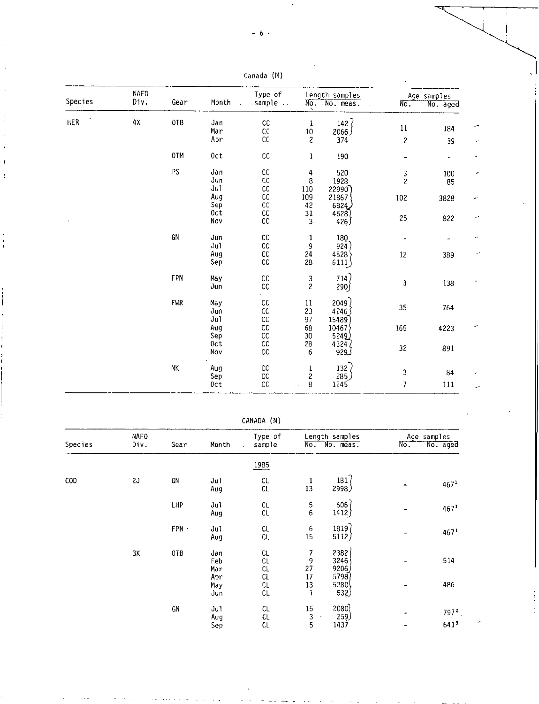$\epsilon$  ,  $\epsilon$  ,  $\epsilon$ 

| Species    | <b>NAFO</b><br>Div. |            |                         | Type of       |                          | Length samples            |                              | Age samples |  |  |
|------------|---------------------|------------|-------------------------|---------------|--------------------------|---------------------------|------------------------------|-------------|--|--|
|            |                     | Gear       | Month<br>$\overline{a}$ | sample        |                          | No. No. meas.             | $N_{\rm O}$ .                | No. aged    |  |  |
| <b>HER</b> | 4χ                  | 0TB        | Jan                     | ${\sf CC}$    | $\mathbf{1}$             | $142$ $\sqrt{ }$          |                              |             |  |  |
|            |                     |            | Mar                     | ${\sf CC}$    | $10\,$                   | ر 2066                    | $11\,$                       | 184         |  |  |
|            |                     |            | Apr                     | cc            | $\overline{\mathcal{L}}$ | 374                       | $\overline{\mathbf{c}}$      | 39          |  |  |
|            |                     | 0TM        | 0ct                     | ${\tt CC}$    | $\mathbf{1}$             | 190                       | $\qquad \qquad \blacksquare$ | $\bullet$   |  |  |
|            |                     | PS         | Jan                     | ${\sf CC}$    | 4                        | 520                       |                              | 100         |  |  |
|            |                     | Jun        | $\mathsf{CC}$           | 8             | 1928                     | $\frac{3}{2}$             | 85                           |             |  |  |
|            |                     |            | Ju1                     | ${\sf CC}$    | 110                      | 22990                     |                              |             |  |  |
|            |                     |            | Aug                     | ${\sf CC}$    | 109                      | 21867                     | 102                          | 3828        |  |  |
|            |                     |            | Sep                     | $\mathsf{CC}$ | 42                       | 6824                      |                              |             |  |  |
|            |                     |            | 0ct                     | ${\sf CC}$    | 31                       | 4628)                     |                              |             |  |  |
|            |                     |            | Nov                     | cc            | 3                        | 426                       | 25                           | 822         |  |  |
|            |                     | GN         | Jun                     | ${\sf CC}$    | 1                        | 180                       |                              |             |  |  |
|            |                     | Jul        | ${\tt CC}$              | $\mathsf g$   | 924                      |                           |                              |             |  |  |
|            |                     |            | Aug                     | ${\sf CC}$    | 24                       | 4528                      | $12\,$                       | 389         |  |  |
|            |                     |            | Sep                     | cc            | 28                       | 6111)                     |                              |             |  |  |
|            |                     | FPN        | Ma y                    | $\mathsf{CC}$ |                          | 714)                      |                              |             |  |  |
|            |                     |            | Jun                     | ${\rm CC}$    | $\frac{3}{2}$            | 290)                      | 3                            | 138         |  |  |
|            |                     | <b>FWR</b> | Ma y                    | $\mathsf{CC}$ | 11                       | 2049                      |                              |             |  |  |
|            |                     |            | Jun                     | ${\sf CC}$    | 23                       | 42463                     | 35                           | 764         |  |  |
|            |                     |            | Ju1                     | $\mathsf{CC}$ | 97                       | 15489                     |                              |             |  |  |
|            |                     |            | Aug                     | $\mathsf{CC}$ | 68                       | 10467                     | 165                          | 4223        |  |  |
|            |                     |            | Sep                     | $\mathsf{cc}$ | 30                       | 5249)                     |                              |             |  |  |
|            |                     |            | Oct                     | ${\tt CC}$    | 28                       |                           |                              |             |  |  |
|            |                     |            | Nov                     | $\mathsf{CC}$ | $\boldsymbol{6}$         | 43242<br>[ <sub>929</sub> | 32                           | 891         |  |  |
|            |                     | NK         | Aug                     | cc            | ı                        | 132 $\overline{c}$        |                              |             |  |  |
|            |                     |            | Sep                     | ${\sf CC}$    | $\overline{\mathbf{c}}$  | 285)                      | 3                            | 84          |  |  |
|            |                     |            | Oct                     | cc            | 8                        | 1245                      | $\overline{7}$               | 111         |  |  |

Canada (M)

CANADA (N)

|         | <b>NAFO</b> |            |                          | Type of                        | Length samples     |                              | Age samples |                  |  |
|---------|-------------|------------|--------------------------|--------------------------------|--------------------|------------------------------|-------------|------------------|--|
| Species | Div.        | Gear       | Month                    | sample<br>$\ddot{\phantom{a}}$ |                    | No. No. meas.                | No.         | No. aged         |  |
|         |             |            |                          | 1985                           |                    |                              |             |                  |  |
| COD     | 2J          | GN         | Jul<br>Aug               | CL.<br>CL                      | 1<br>13            | 181(<br>2998)                |             | 467 <sup>1</sup> |  |
|         |             | <b>LHP</b> | Jul<br>Aug               | CL<br>CL                       | 5<br>6             | 606<br>1412)                 |             | 467 <sup>1</sup> |  |
|         |             | FPN -      | Ju1<br>Aug               | CL<br>CL                       | 6<br>15            | 1819<br>5112)                |             | 467 <sup>1</sup> |  |
|         | ЗΚ          | OTB        | Jan<br>Feb<br>Mar<br>Apr | CL<br>CL<br>CL<br>CL           | 7<br>9<br>27<br>17 | 2382<br>3246<br>9206<br>5798 |             | 514              |  |
|         |             |            | May<br>Jun               | CL<br>CL                       | 13<br>$\mathbf{1}$ | 5280<br>532)                 |             | 486              |  |
|         |             | GN         | Ju1<br>Aug               | CL<br>CL                       | $15\,$<br>3        | 2080<br>259)                 |             | $7972$ .         |  |
|         |             |            | Sep                      | CL                             | 5                  | 1437                         |             | 641 <sup>3</sup> |  |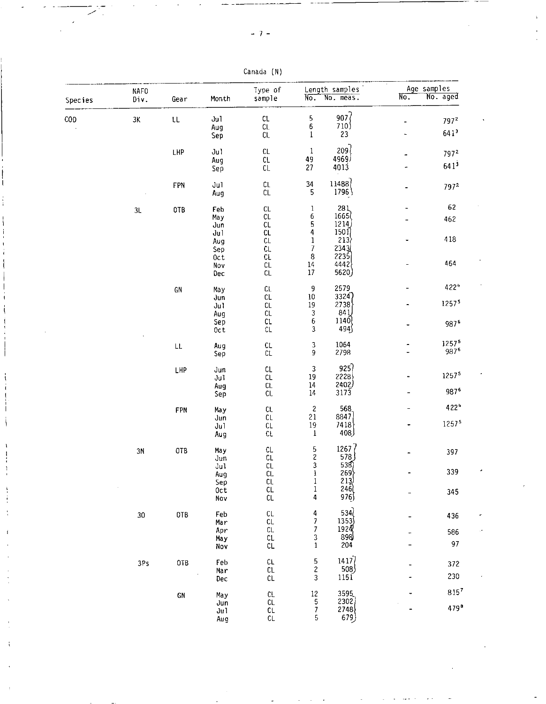| Species    | <b>NAFO</b><br>Div. | Gear                   | Month                 | Type of<br>sample              |                                       | Length samples<br>No. No. meas.            | $\overline{\text{No}}$ . | Age samples<br>No. aged |
|------------|---------------------|------------------------|-----------------------|--------------------------------|---------------------------------------|--------------------------------------------|--------------------------|-------------------------|
|            |                     |                        |                       |                                |                                       |                                            |                          |                         |
| <b>COD</b> | $3\mathrm{K}$       | $\mathsf{t}\mathsf{t}$ | Jul                   | CL<br>$\mathsf{CL}$            | $\overline{5}$<br>6                   | 907<br>710                                 |                          | $797^2$                 |
|            |                     |                        | Aug<br>Sep            | CL                             | $\mathbf{1}$                          | 23                                         |                          | 641 <sup>3</sup>        |
|            |                     | LHP                    | Ju1                   | CL                             | $\mathbf 1$                           | 209                                        |                          | 7972                    |
|            |                     |                        | Aug<br>Sep            | CL<br>CL                       | 49<br>27                              | 4969)<br>4013                              |                          | $641^{3}$               |
|            |                     | FPN                    | Ju1<br>Aug            | $\mathsf{C}\mathsf{L}$<br>CL   | 34<br>5                               | 11488<br>1796                              |                          | 7972                    |
|            | 3L                  | 0TB                    | Feb                   | CL.                            | $\mathbf{1}$                          | $\begin{array}{c} 281 \\ 1665 \end{array}$ |                          | 62                      |
|            |                     |                        | May<br>Jun            | CL<br>CL                       | 6<br>$\frac{5}{4}$                    | 1214                                       |                          | 462                     |
|            |                     |                        | Jul<br>Aug            | CL<br>CL                       | 1                                     | 150<br>213                                 |                          | 418                     |
|            |                     |                        | Sep                   | CL.                            | $\boldsymbol{7}$                      | 2343                                       |                          |                         |
|            |                     |                        | Oct<br>Nov            | CL<br>CL                       | 8<br>14                               | 2235<br>4442                               |                          | 464                     |
|            |                     |                        | Dec                   | CL                             | 17                                    | 5620)                                      |                          |                         |
|            |                     | ${\sf GN}$             | Ma y                  | $\mathbb{C}\mathbb{L}$         | 9                                     | 2579                                       |                          | 422*                    |
|            |                     |                        | Jun<br>J <sub>u</sub> | $\mathsf{CL}$<br>$\mathsf{CL}$ | 10<br>19                              | 3324)<br>2738                              |                          | 12575                   |
|            |                     |                        | Aug                   | CL                             | $\begin{array}{c} 3 \\ 6 \end{array}$ | 84 L<br>1140                               |                          |                         |
|            |                     |                        | Sep<br>Oct            | CL<br>CL                       | 3                                     | 494∫                                       |                          | 987 <sup>6</sup>        |
|            |                     | $\mathsf{L}\mathsf{L}$ | Aug                   | CL                             | 3                                     | 1064                                       |                          | 12575                   |
|            |                     |                        | Sep                   | CL                             | 9                                     | 2798                                       |                          | 987°                    |
|            |                     | LHP                    | Jun                   | CL<br>${\sf CL}$               | $\mathsf 3$<br>19                     | 925)<br>2228                               |                          | 12575                   |
|            |                     |                        | Jul<br>Aug            | $\mathsf{CL}$                  | $14\,$                                | 2402)                                      |                          |                         |
|            |                     |                        | Sep                   | ${\sf CL}$                     | $14\,$                                | 3173                                       |                          | 987°                    |
|            |                     | FPN                    | May                   | CL                             | $\overline{\mathbf{c}}$               | 568                                        |                          | 422*                    |
|            |                     |                        | Jun<br>Ju1            | CL<br>${\sf CL}$               | 21<br>19                              | 8847<br>7418                               |                          | 12575                   |
|            |                     |                        | Aug                   | CL                             | $\bf{l}$                              | 408)                                       |                          |                         |
|            | 3N                  | 0TB                    | Ma y                  | CL<br>$\mathsf{CL}$            | $\frac{5}{2}$                         | 1267(<br>578                               |                          | 397                     |
|            |                     |                        | Jun<br>Jul            | CL                             |                                       |                                            |                          |                         |
|            |                     |                        | Aug<br>Sep            | $\mathsf{CL}$<br>CL            | $\bf 1$<br>1                          | $\frac{538}{269}$<br>269                   |                          | 339                     |
|            |                     |                        | 0 <sub>ct</sub>       | $\mathsf{CL}$                  | $\mathbf{1}$                          | 246                                        |                          | 345                     |
|            |                     |                        | Nov                   | CL                             | $\ddot{4}$                            | 976∫                                       |                          |                         |
|            | 30                  | 0TB                    | Feb<br>Mar            | $\mathsf{CL}$<br>$\mathsf{CL}$ | 4<br>$\overline{7}$                   | 534<br>1353                                |                          | 436                     |
|            |                     |                        | Apr                   | CL                             | 7                                     | 1920                                       |                          | 586                     |
|            |                     |                        | May<br>Nov            | $\mathsf{C}\mathsf{L}$<br>CL   | $\frac{3}{1}$                         | 898<br>204                                 |                          | 97                      |
|            | 3Ps                 | 0TB                    | Feb                   | CL                             | $\frac{5}{2}$                         | 1417                                       |                          | 372                     |
|            |                     |                        | Mar<br>Dec            | CL<br>$\mathsf{CL}$            | 3                                     | 508<br>1151                                |                          | 230                     |
|            |                     |                        |                       |                                |                                       |                                            |                          | $815^{7}$               |
|            |                     | GN                     | May<br>Jun            | CL<br>$\mathsf{CL}$            | $\frac{12}{5}$                        | 3595<br>2302                               |                          |                         |
|            |                     |                        | Jul                   | CL                             | $\boldsymbol{7}$                      | 2748                                       |                          | 4798                    |
|            |                     |                        | Aug                   | CL                             | 5                                     | 679                                        |                          |                         |

Canada (N)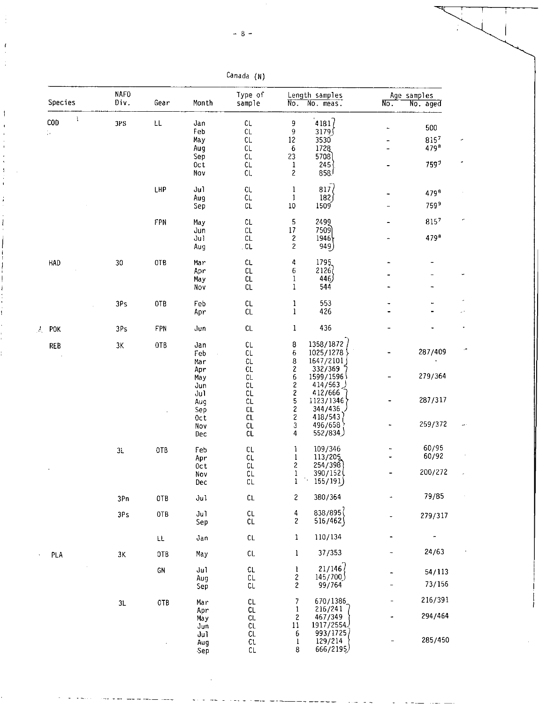| Canada | (N) |  |
|--------|-----|--|
|--------|-----|--|

| Species         | <b>NAFO</b><br>Div. | Gear | Month                                         | Type of<br>sample                                     | $N_{0}$ .                                                                | Length samples<br>No. meas.                                     | $N_{0}$ . | Age samples<br>No. aged                             |
|-----------------|---------------------|------|-----------------------------------------------|-------------------------------------------------------|--------------------------------------------------------------------------|-----------------------------------------------------------------|-----------|-----------------------------------------------------|
| Ĵ,<br>COD<br>ţ. | 3PS                 | ŁL   | Jan<br>Feb<br>May<br>Aug<br>Sep<br>0ct<br>Nov | CL.<br>$\mathsf{CL}$<br>CL<br>СL<br>CL<br>CL<br>CL.   | 9<br>9<br>12<br>$\boldsymbol{6}$<br>23<br>$\mathbf{1}$<br>$\overline{c}$ | 4181<br>3179<br>3530<br>1728<br>5708<br>245<br>858 <sup>1</sup> |           | 500<br>8157<br>479 <sup>8</sup><br>759 <sup>7</sup> |
|                 |                     | LHP  | Jul<br>Aug<br>Sep                             | CL<br>CL.<br>CL                                       | $\mathbf{1}$<br>$\mathbf{1}$<br>$10\,$                                   | 817 <sub>0</sub><br>182)<br>1509                                |           | 4798<br>7599                                        |
|                 |                     | FPN  | May<br>Jun<br>Jul<br>Aug                      | $\mathsf{CL}$<br>$\mathsf{CL}$<br>CL<br>$\mathsf{CL}$ | 5<br>$17\,$<br>$\overline{\mathbf{c}}$<br>$\overline{c}$                 | 2499<br>7509)<br>$1946\}$<br>949)                               |           | 8157<br>479 <sup>8</sup>                            |
| <b>HAD</b>      | 30                  | OTB  | Mar<br>Apr<br>May<br>Nov                      | $\mathsf{CL}$<br>CL<br>CL<br>CL                       | 4<br>6<br>$\mathbf{1}$<br>$\mathbf{1}$                                   | 1795<br>2126<br>446)<br>544                                     |           |                                                     |
|                 | 3Ps                 | 0TB  | Feb<br>Apr                                    | CL<br>CL                                              | 1<br>$\mathbf{1}$                                                        | 553<br>426                                                      |           |                                                     |
| POK             | 3Ps                 | FPN  | Jun                                           | CL                                                    | $\mathbf{1}$                                                             | 436                                                             |           |                                                     |
| <b>REB</b>      | 3K                  | 0TB  | Jan<br>Feb<br>Mar                             | CL<br>CL<br>CL                                        | 8<br>6<br>8                                                              | 1358/1872<br>1025/1278<br>1647/2101                             |           | 287/409                                             |
|                 |                     |      | Apr<br>May<br>Jun                             | CL.<br>CL<br>CL                                       | $\overline{\mathbf{c}}$<br>$\frac{6}{2}$<br>$\overline{\mathbf{c}}$      | 332/369<br>1599/1596<br>414/563<br>412/666                      |           | 279/364                                             |
|                 |                     |      | Ju1<br>Aug<br>Sep<br>0ct                      | CL<br>CL<br>$\mathsf{CL}$<br>$\mathsf{CL}$            | 5<br>$\overline{\mathbf{c}}$<br>$\overline{\mathbf{c}}$                  | 1123/1346<br>344/436<br>418/543                                 |           | 287/317                                             |
|                 |                     |      | Nov<br>Dec                                    | $\mathsf{CL}$<br>CL                                   | 3<br>4                                                                   | 496/658<br>552/834)                                             |           | 259/372                                             |
|                 | $3\mathsf{L}$       | OTB  | Feb<br>Apr<br>0ct                             | CL<br>CL.<br>CL                                       | 1<br>$\mathbf 1$<br>$\overline{\mathbf{c}}$                              | 109/346<br>113/205<br>254/398                                   |           | 60/95<br>60/92                                      |
|                 |                     |      | Nov<br>Dec                                    | CL<br>CL                                              | 1<br>l                                                                   | 390/152<br>155/191                                              |           | 200/272                                             |
|                 | 3Pn                 | 0TB  | Jul                                           | CL                                                    | 2                                                                        | 380/364                                                         |           | 79/85                                               |
|                 | 3Ps                 | 0TB  | Ju1<br>Sep                                    | $\mathsf{CL}$<br><b>CL</b>                            | 4<br>$\overline{\mathbf{c}}$                                             | 838/895<br>516/462                                              |           | 279/317                                             |
|                 |                     | LL.  | Jan                                           | $\mathsf{CL}$                                         | 1                                                                        | 110/134                                                         |           |                                                     |
| PLA             | 3K                  | OTB  | May                                           | CL                                                    | 1                                                                        | 37/353                                                          |           | 24/63                                               |
|                 |                     | GN   | Jul<br>Aug<br>Sep                             | CL<br>CL<br>CL                                        | 1<br>2<br>2                                                              | 21/146<br>145/700<br>99/764                                     |           | 54/113<br>73/156                                    |
|                 | 3L                  | OTB  | Mar<br>Apr                                    | CL<br>CL                                              | 7<br>$\mathbf{1}$                                                        | 670/1386<br>216/241                                             |           | 216/391                                             |
|                 |                     |      | May<br>Jun<br>Ju1                             | CL.<br>CL<br>CL                                       | 2<br>11<br>6                                                             | 467/349<br>1917/2554<br>993/1725                                |           | 294/464                                             |
|                 |                     |      | Aug<br>Sep                                    | CL<br>CL                                              | 1<br>8                                                                   | 129/214<br>666/2195)                                            |           | 285/450                                             |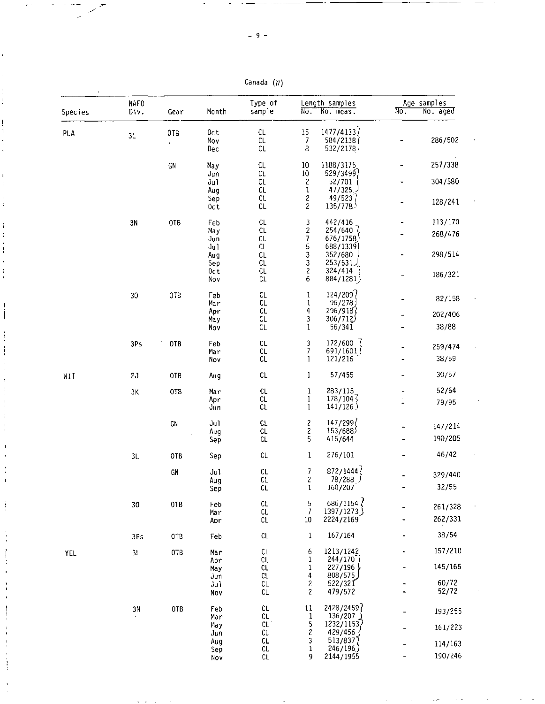Canada *(N)* 

| Species    | <b>NAFO</b><br>Div. | Gear                      | Month             | Type of<br>sample          | $\overline{\text{No}}$ .                  | Length samples<br>No. meas.       | $N_{0}$ | Age samples<br>No. aged |
|------------|---------------------|---------------------------|-------------------|----------------------------|-------------------------------------------|-----------------------------------|---------|-------------------------|
| PLA        | 3L                  | 0TB<br>$\hat{\mathbf{r}}$ | 0ct<br>Nov<br>Dec | $\mathsf{CL}$<br>СL<br>CL  | $15\,$<br>$\overline{7}$<br>8             | 1477/4133<br>584/2138<br>532/2178 |         | 286/502                 |
|            |                     | GN                        | Ma y<br>Jun       | CL.<br>C1                  | $10\,$<br>10                              | 1188/3175<br>529/3499)            |         | 257/338                 |
|            |                     |                           | Jul<br>Aug        | CL<br>CL                   | $\overline{\mathbf{c}}$<br>$\mathbf 1$    | 52/701<br>47/325                  |         | 304/580                 |
|            |                     |                           | Sep<br>Oct        | CL<br>CL                   | $\overline{\mathbf{c}}$<br>$\overline{c}$ | 49/523<br>135/778                 |         | 128/241                 |
|            | 3N                  | 0TB                       | Feb               | CL.                        | 3                                         | 442/416                           |         | 113/170                 |
|            |                     |                           | May<br>Jun<br>Jul | CL<br>CL<br>CL             | $\overline{\mathbf{c}}$<br>7<br>5         | 254/640<br>676/1758<br>688/1339)  |         | 268/476                 |
|            |                     |                           | Aug<br>Sep        | CL<br>CL                   | 3<br>3                                    | 352/680<br>253/531                |         | 298/514                 |
|            |                     |                           | Oc t<br>Nov       | CL<br>CL                   | $\overline{\mathbf{c}}$<br>6              | 324/414<br>884/1281)              |         | 186/321                 |
|            | 30                  | OTB                       | Feb<br>Mar        | CL<br>CL                   | 1<br>$\mathbf 1$                          | 124/209<br>96/278                 |         | 82/158                  |
|            |                     |                           | Apr               | CL                         | 4                                         | 296/918                           |         | 202/406                 |
|            |                     |                           | May<br>Nov        | CL<br>CL                   | 3<br>$\mathbf{1}$                         | 306/712)<br>56/341                |         | 38/88                   |
|            | 3Ps                 | OTB                       | Feb<br>Mar        | $\mathsf{CL}$<br>CL        | 3<br>$\overline{7}$                       | 172/600<br>691/1601               |         | 259/474                 |
|            |                     |                           | Nov               | CL                         | 1                                         | 121/216                           |         | 38/59                   |
| WIT        | 2 <sub>o</sub>      | 0TB                       | Aug               | CL                         | 1                                         | 57/455                            |         | 30/57                   |
|            | 3K                  | 0TB                       | Mar               | CL<br>CL                   | $\mathbf{1}$                              | 283/115<br>$178/104\frac{2}{7}$   |         | 52/64                   |
|            |                     |                           | Apr<br>Jun        | $c\iota$                   | $\mathbf{1}$<br>$\mathbf{1}$              | 141/126                           |         | 79/95                   |
|            |                     | GN                        | Ju1               | CL                         | $\overline{\mathbf{c}}$                   | 147/299                           |         | 147/214                 |
|            |                     |                           | Aug<br>Sep        | CL<br>CL                   | 2<br>5                                    | 153/688<br>415/644                |         | 190/205                 |
|            | 3L                  | OTB                       | Sep               | CL                         | $\mathbf{1}$                              | 276/101                           |         | 46/42                   |
|            |                     | GN                        | Jul               | CL                         | 7                                         | 872/1444                          |         | 329/440                 |
|            |                     |                           | Aug<br>Sep        | CL<br>CL                   | 2<br>1                                    | 78/288<br>160/207                 |         | 32/55                   |
|            | 30                  | OTB                       | Feb               | CL                         | 5                                         | 686/1154                          |         | 261/328                 |
|            |                     |                           | Mar<br>Apr        | CL.<br>СL                  | 7<br>$10\,$                               | 1397/1273<br>2224/2169            |         | 262/331                 |
|            | 3Ps                 | OTB                       | Feb               | CL                         | 1                                         | 167/164                           |         | 38/54                   |
| <b>YEL</b> | 3L                  | OTB                       | Mar               | CL<br>CL.                  | 6<br>1                                    | 1213/1242<br>244/170              |         | 157/210                 |
|            |                     |                           | Apr<br>May        | CL                         | 1                                         | 227/196                           |         | 145/166                 |
|            |                     |                           | งนท<br>Jul        | CL.<br>CL                  | 4<br>2                                    | 808/575<br>522/321                |         | 60/72                   |
|            |                     |                           | Nov               | CL.                        | 2                                         | 479/572                           |         | 52/72                   |
|            | 3N                  | 0TB                       | Feb<br>Mar        | $\mathsf{CL}$<br>CL        | 11<br>1                                   | 2428/2459<br>136/207              |         | 193/255                 |
|            |                     |                           | May<br>Jun        | $\mathsf{CL}$<br>CL        | 5<br>2                                    | 1232/11537<br>429/456             |         | 161/223                 |
|            |                     |                           | Aug               | $\mathsf{CL}$<br><b>CL</b> | 3<br>1                                    | 513/8377<br>246/196               |         | 114/163                 |
|            |                     |                           | Sep<br>Nov        | CL                         | 9                                         | 2144/1955                         |         | 190/246                 |

 $\sim 10^{-1}$   $\sim$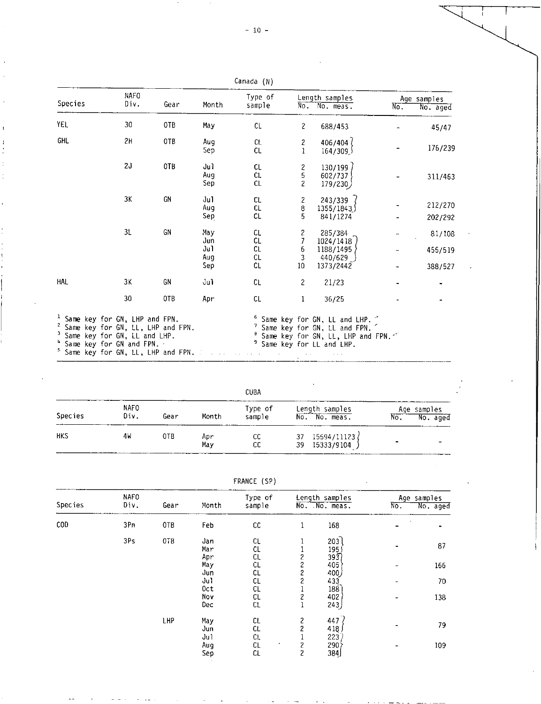| Species                                                                                                                                                                                                                     | <b>NAFO</b><br>Div. | Gear | Month             | Type of<br>sample |                                | Length samples<br>No. No. meas.                                                                                               | $N_{\rm C}$ . | Age samples<br>No. aged |
|-----------------------------------------------------------------------------------------------------------------------------------------------------------------------------------------------------------------------------|---------------------|------|-------------------|-------------------|--------------------------------|-------------------------------------------------------------------------------------------------------------------------------|---------------|-------------------------|
| <b>YEL</b>                                                                                                                                                                                                                  | 30                  | OTB  | May               | CL                | $\overline{c}$                 | 688/453                                                                                                                       |               | 45/47                   |
| <b>GHL</b>                                                                                                                                                                                                                  | 2H                  | 0TB  | Aug<br>Sep        | <b>CL</b><br>CL   | $\overline{c}$<br>$\mathbf{1}$ | 406/404<br>164/309                                                                                                            |               | 176/239                 |
|                                                                                                                                                                                                                             | 2J                  | OTB  | Jul<br>Aug<br>Sep | CL<br>CL.<br>CL   | 2<br>5<br>$\overline{c}$       | 130/199<br>602/737<br>179/230)                                                                                                |               | 311/463                 |
|                                                                                                                                                                                                                             | ЗΚ                  | GN   | Jul<br>Aug<br>Sep | СL<br>CL<br>CL    | 2<br>8<br>5                    | 243/339<br>1355/1843)<br>841/1274                                                                                             |               | 212/270<br>202/292      |
|                                                                                                                                                                                                                             | 31                  | GN   | Mav<br>Jun        | CL<br>CL          | 2<br>7                         | 285/384<br>1024/1418                                                                                                          |               | 81/108                  |
|                                                                                                                                                                                                                             |                     |      | Ju1<br>Aug        | CL<br>CL          | 6<br>3                         | 1188/1495<br>440/629                                                                                                          |               | 455/519                 |
|                                                                                                                                                                                                                             |                     |      | Sep               | CL                | 10 <sup>°</sup>                | 1373/2442                                                                                                                     |               | 388/527                 |
| HAL                                                                                                                                                                                                                         | ЗΚ                  | GN   | Jul               | CL                | $\overline{c}$                 | 21/23                                                                                                                         |               |                         |
|                                                                                                                                                                                                                             | 30                  | 0TB  | Apr               | CL                | 1                              | 36/25                                                                                                                         |               |                         |
| <sup>1</sup> Same key for GN, LHP and FPN.<br><sup>2</sup> Same key for GN, LL, LHP and FPN.<br><sup>3</sup> Same key for GN, LL and LHP.<br>4 Same key for GN and FPN. -<br><sup>5</sup> Same key for GN, LL, LHP and FPN. |                     |      |                   |                   |                                | Same key for GN, LL and LHP.<br>Same key for GN, LL and FPN.<br>Same key for GN, LL, LHP and FPN.<br>Same key for LL and LHP. |               |                         |

| Canada | (N) |
|--------|-----|
|--------|-----|

|                |                     |      |            | CUBA              |                                         |                                |  |  |
|----------------|---------------------|------|------------|-------------------|-----------------------------------------|--------------------------------|--|--|
| <b>Species</b> | <b>NAFO</b><br>Div. | Gear | Month      | Type of<br>sample | Length samples<br>No. No. meas.         | Age samples<br>No.<br>No. aged |  |  |
| <b>HKS</b>     | 4W                  | 0TB  | Apr<br>May | cс<br>СC          | 15594/11123 /<br>37<br>39<br>15333/9104 |                                |  |  |

| FRANCE | (SP) |
|--------|------|
|--------|------|

| Species        | <b>NAFO</b><br>Div. | Gear            | Month              | Type of<br>sample |                                                     | Length samples<br>No. No. meas. | $N_{\rm O}$ . | Age samples<br>No. aged |
|----------------|---------------------|-----------------|--------------------|-------------------|-----------------------------------------------------|---------------------------------|---------------|-------------------------|
| $\mathsf{COD}$ | 3Pn                 | OTB             | Feb                | cc                | 1                                                   | 168                             |               |                         |
|                | 3Ps                 | 0T <sub>B</sub> | Jan<br>Mar<br>Apr  | CL<br>CL<br>CL.   | 1<br>2                                              | 203<br>195<br>393)              |               | 87                      |
|                |                     |                 | May<br>Jun         | CL<br>CL          | $\overline{\mathcal{L}}$<br>$\overline{\mathbf{c}}$ | 405<br>400)                     |               | 166                     |
|                |                     |                 | Ju1<br>Oct         | CL<br>CL          | 2                                                   | 433<br>188                      |               | 70                      |
|                |                     |                 | Nov<br>Dec         | CL<br>CL          | 2<br>1                                              | 402<br>243)                     |               | 138                     |
|                |                     | LHP             | Ma y<br>Jun<br>Ju1 | CL<br>CL.<br>CL.  | 2<br>$\overline{c}$                                 | 447<br>418<br>223               |               | 79                      |
|                |                     |                 | Aug<br>Sep         | CL<br>CL          | 2<br>2                                              | ∤290<br>384                     |               | 109                     |

-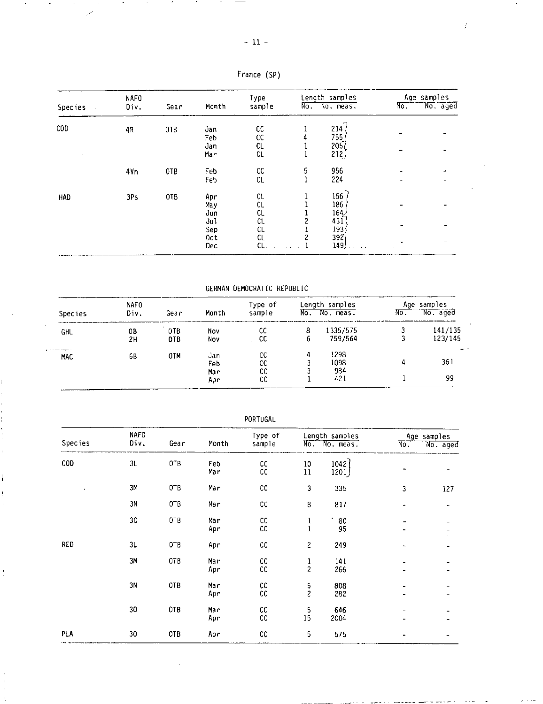| . |  |
|---|--|
|---|--|

 $\tilde{\phantom{a}}$ 

 $\overline{a}$ 

|         | NAFO |      |                          | Type                  | Length samples |                                          | Age samples  |          |
|---------|------|------|--------------------------|-----------------------|----------------|------------------------------------------|--------------|----------|
| Species | Div. | Gear | Month                    | sample                |                | No. No. meas.                            | $\sqrt{6}$ . | No. aged |
| COD     | 4R   | OTB  | Jan<br>Feb<br>Jan<br>Mar | СC<br>CC<br>CL<br>CL  |                | 214<br>755<br>$205$ <sub>(</sub><br>212) |              |          |
|         | 4Vn  | 0TB  | Feb<br>Feb               | cc<br>CL.             | 5<br>n         | 956<br>224                               |              |          |
| HAD     | 3Ps  | 0TB  | Apr<br>Ma y<br>Jun       | CL<br>СL<br>CL        |                | 156<br>186<br>164/                       |              |          |
|         |      |      | Jul<br>Sep<br>Oct<br>Dec | C1<br>СL<br>CL<br>CL. | 2              | 431<br>1935<br>3927<br>149               |              |          |

France (SP)

GERMAN DEMOCRATIC REPUBLIC

| <b>Species</b> | <b>NAFO</b><br>Div. | Gear       | Month             | Type of<br>sample | No.    | Length samples<br>No. meas. | No. | Age samples<br>No. aged |
|----------------|---------------------|------------|-------------------|-------------------|--------|-----------------------------|-----|-------------------------|
| GHL            | 08<br>2н            | 0TB<br>0TB | Nov<br>Nov        | СC<br>-CC         | 8<br>6 | 1335/575<br>759/564         | 3   | 141/135<br>123/145      |
| MAC            | 65                  | 0TM        | Jan<br>Feb<br>Mar | СC<br>СC<br>СC    | 4      | 1298<br>1098<br>984         | 4   | 361                     |
|                |                     |            | Apr               | СC                |        | 421                         |     | 99                      |

| Species    | NAFO<br>Div. | Gear | Month      | Type of<br>sample        |                                | Length samples<br>No. No. meas. |                          | Age samples |
|------------|--------------|------|------------|--------------------------|--------------------------------|---------------------------------|--------------------------|-------------|
|            |              |      |            |                          |                                |                                 | $\overline{\text{No}}$ . | No. aged    |
| COD        | 3L           | 0TB  | Feb<br>Mar | cc<br>$\mathsf{cc}$      | $10\,$<br>$11\,$               | 1042<br>1201                    |                          |             |
| $\bullet$  | 3M           | OTB  | Mar        | cc                       | 3                              | 335                             | 3                        | 127         |
|            | 3N           | OTB  | Mar        | ${\sf CC}$               | 8                              | 817                             |                          |             |
|            | 30           | OTB  | Mar<br>Apr | $\mathsf{CC}$<br>cc      | 1<br>$\mathbf 1$               | 80<br>95                        |                          |             |
| <b>RED</b> | 3L           | OTB  | Apr        | ${\tt CC}$               | $\overline{c}$                 | 249                             |                          |             |
|            | 3M           | 0TB  | Mar<br>Apr | ${\sf CC}$<br>${\sf CC}$ | $\mathbf{1}$<br>$\overline{c}$ | 141<br>266                      |                          |             |
|            | 3N           | 0TB  | Mar<br>Apr | ${\sf CC}$<br>cc         | $\frac{5}{2}$                  | 808<br>282                      |                          |             |
|            | 30           | 0TB  | Mar<br>Apr | cc<br>cc                 | 5<br>15                        | 646<br>2004                     |                          |             |
| PLA        | 30           | OTB  | Apr        | cc                       | 5                              | 575                             |                          |             |

والمحافظ والمستعيد والمتهادي

 $\overline{\phantom{a}}$ 

PORTUGAL

j.

 $\overline{\phantom{a}}$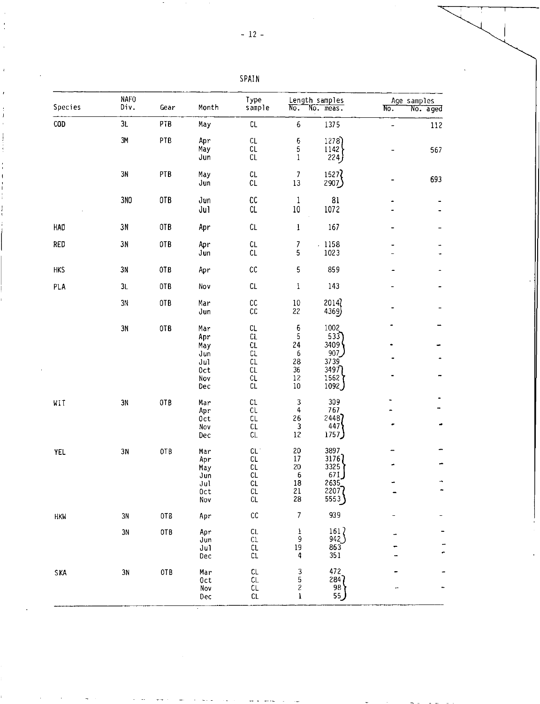| Species    | NAFO<br>Div.  | Gear | Month                                                | Type<br>sample                                           | $N_{\sigma}$ .                                                           | Length samples<br>No. meas.                                                         | Age samples<br>No. | No. aged |
|------------|---------------|------|------------------------------------------------------|----------------------------------------------------------|--------------------------------------------------------------------------|-------------------------------------------------------------------------------------|--------------------|----------|
| <b>COD</b> | 3L            | PTB  | May                                                  | CL                                                       | 6                                                                        | 1375                                                                                |                    | 112      |
|            | 3M            | PTB  | Apr<br>May<br>Jun                                    | CL<br>CL<br>CL                                           | 6<br>5<br>$\mathbf{1}$                                                   | 1278)<br>1142<br>224                                                                |                    | 567      |
|            | 3N            | PTB  | May<br>Jun                                           | CL<br>CL                                                 | $\overline{7}$<br>$1\sqrt{3}$                                            | 1527<br>2907)                                                                       |                    | 693      |
|            | 3NO           | 0TB  | Jun<br>Ju1                                           | cc<br>CL                                                 | $\mathbf{1}$<br>$10\,$                                                   | ${\bf 81}$<br>1072                                                                  |                    |          |
| <b>HAD</b> | $3\,\rm N$    | OTB  | Apr                                                  | CL                                                       | $\mathbf{I}$                                                             | 167                                                                                 |                    |          |
| <b>RED</b> | 3N            | OTB  | Apr<br>Jun                                           | CL<br>CL                                                 | 7<br>5                                                                   | $-1158$<br>1023                                                                     |                    |          |
| <b>HKS</b> | 3N            | 0TB  | Apr                                                  | cc                                                       | 5                                                                        | 859                                                                                 |                    |          |
| PLA        | 3L            | OTB  | Nov                                                  | CL                                                       | $\mathbf 1$                                                              | 143                                                                                 |                    |          |
|            | 3N            | OTB  | Mar<br>Jun                                           | cc<br>cc                                                 | $10\,$<br>22                                                             | 2014<br>4369)                                                                       |                    |          |
|            | 3N            | OTB  | Mar<br>Apr<br>May<br>Jun<br>Jul<br>Oct<br>Nov<br>Dec | CL.<br><b>CL</b><br>CL<br>CL.<br>CL<br>CL.<br>CL.<br>CL. | 6<br>5<br>24<br>6<br>28<br>36<br>$12\,$<br>$10\,$                        | 1002<br>533<br>3409<br>907<br>3739<br>3497<br>1562)<br>1092)                        |                    |          |
| WIT        | $3\mathrm{N}$ | OTB  | Mar<br>Apr<br>Oct<br>Nov<br>Dec                      | CL.<br>CL<br>CL<br>CL<br>CL.                             | $\ensuremath{\mathsf{3}}$<br>$\ddot{\mathbf{4}}$<br>26<br>3<br>$12\,$    | 309<br>767<br>24487<br>447<br>1757)                                                 |                    |          |
| <b>YEL</b> | 3N            | OTB  | Mar<br>Apr<br>May<br>Jun<br>Jul<br>Oct<br>Nov        | CL<br>CL<br>СL<br>CL<br>CL<br>СL<br>CL                   | 20<br>$17\,$<br>20<br>6<br>18<br>$\begin{array}{c} 21 \\ 28 \end{array}$ | 3897<br>3176<br>3325<br>671<br>2635<br>$\begin{bmatrix} 2207 \\ 5553 \end{bmatrix}$ |                    |          |
| <b>HKW</b> | $3\mathrm{N}$ | OTB  | Apr                                                  | cc                                                       | 7                                                                        | 939                                                                                 |                    |          |
|            | 3N            | 0TB  | Apr<br>Jun<br>Jul<br>Dec                             | CL.<br>CL<br>$c_{\mathsf{L}}$<br>CL                      | 1<br>9<br>$\begin{array}{c} 19 \\ 4 \end{array}$                         | $\frac{161}{942}$<br>$\frac{863}{351}$                                              |                    |          |
| <b>SKA</b> | 3N            | 0TB  | Mar<br>Oct<br>Nov<br>Dec                             | CL<br>CL.<br>CL<br>CL                                    | $\frac{3}{5}$<br>l                                                       | 472<br>284<br>98<br>55                                                              |                    |          |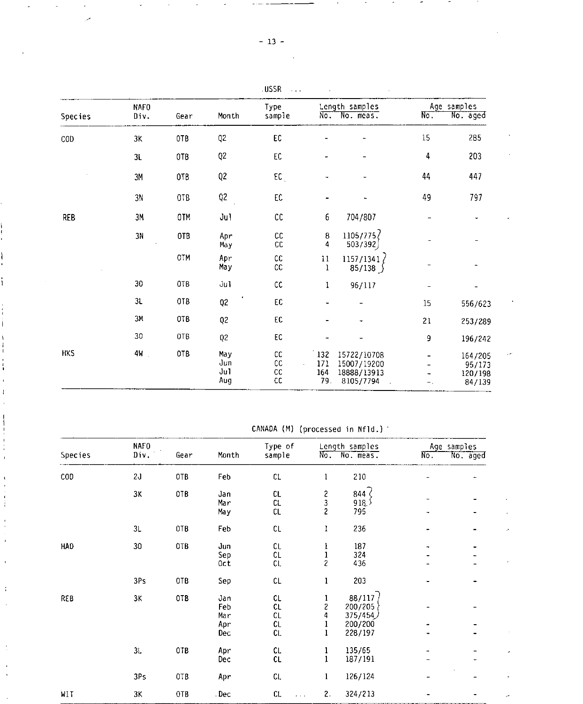|            |                     |      |                | USSR           |        |                                 |                          |                         |
|------------|---------------------|------|----------------|----------------|--------|---------------------------------|--------------------------|-------------------------|
| Species    | <b>NAFO</b><br>Div. | Gear | Month          | Type<br>sample |        | Length samples<br>No. No. meas. | $\overline{\text{No}}$ . | Age samples<br>No. aged |
| COD        | ЗK                  | 0TB  | Q <sub>2</sub> | EC             |        |                                 | 15                       | 285                     |
|            | 3L                  | 0TB  | Q <sub>2</sub> | EC             |        |                                 | 4                        | 203                     |
|            | 3M                  | 0TB  | Q <sub>2</sub> | EC             |        |                                 | 44                       | 447                     |
|            | 3N                  | OTB  | Q2             | ${\sf EC}$     |        |                                 | 49                       | 797                     |
| <b>REB</b> | 3M                  | 0TM  | Ju1            | cc             | 6      | 704/807                         |                          |                         |
|            | 3N                  | 0TB  | Apr<br>Ma y    | cc<br>СC       | 8<br>4 | 1105/775/<br>503/392            | $\overline{\phantom{0}}$ |                         |
|            |                     | 0TM  | Apr            | $\mathsf{CC}$  | 11     | 1157/1341                       |                          |                         |

May CC 1 85/138

MKS 4W OTB May CC 132 15722/10708 164/205

3L OTB Q2 EC - 15 556/623 3M OTB Q2 EC 21 253/289 30 OTB Q2 EC - 9 196/242

30 OTB Jul CC 1 96/117

İ

 $\frac{1}{k}$ 

 $\frac{1}{4}$ 

Î

 $\ddot{ }$ 

|  | CANADA (M) (processed in Nfld.) |  |
|--|---------------------------------|--|
|  |                                 |  |

Jun CC , 171 15007/19200 95/173 Jul CC 164 18888/13913 120/198 Aug CC 79. 8105/7794 . 84/139

 $\epsilon$ 

÷

|         | <b>NAFO</b> |            |                                 | Type of                                |                                          | Length samples                                      |                          | Age samples |
|---------|-------------|------------|---------------------------------|----------------------------------------|------------------------------------------|-----------------------------------------------------|--------------------------|-------------|
| Species | Div.        | Gear       | Month                           | sample                                 | $N_0$                                    | No. meas.                                           | $\overline{\text{No}}$ . | No. aged    |
| COD     | 2J          | OTB        | Feb                             | CL                                     | 1                                        | 210                                                 |                          |             |
|         | 3K          | <b>OTB</b> | Jan<br>Mar<br>May               | CL<br>CL<br>CL                         | $\frac{2}{3}$<br>$\overline{\mathbf{c}}$ | 844 (<br>∫ 18ٍ9<br>795                              |                          |             |
|         | 3L          | OTB        | Feb                             | $\mathsf{CL}$                          | 1                                        | 236                                                 |                          |             |
| HAD     | 30          | 0TB        | Jun<br>Sep<br>Oct               | CL<br>CL<br>CL.                        | l<br>1<br>2                              | 187<br>324<br>436                                   |                          |             |
|         | 3Ps         | OTB        | Sep                             | $\mathsf{CL}$                          | 1                                        | 203                                                 |                          |             |
| REB     | 3Κ          | OTB        | Jan<br>Feb<br>Mar<br>Apr<br>Dec | CL<br>CL<br>$\mathsf{CL}$<br>CL<br>CL. | 1<br>2<br>4                              | 88/117<br>200/205<br>375/454)<br>200/200<br>228/197 |                          |             |
|         | 3L          | OTB        | Apr<br>Dec                      | CL.<br>CL                              |                                          | 135/65<br>187/191                                   |                          |             |
|         | 3Ps         | OTB        | Apr                             | CL.                                    | 1                                        | 126/124                                             |                          |             |
| WIT     | 3K          | 0TB        | . Dec                           | CL<br>$\mathbf{z}=\mathbf{z}$          | 2.                                       | 324/213                                             |                          |             |

- 1<sup>3</sup> -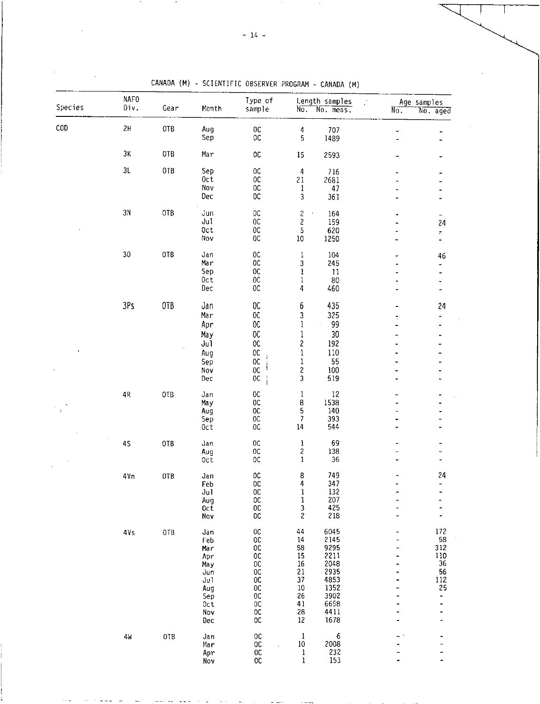| Species | <b>NAFO</b><br>Div. | Gear | Month              | Type of<br>sample              | $N\overline{o}$ .                       | Length samples<br>No. meas. | No.            |                                                                                                                                                                        |
|---------|---------------------|------|--------------------|--------------------------------|-----------------------------------------|-----------------------------|----------------|------------------------------------------------------------------------------------------------------------------------------------------------------------------------|
| COD     | 2H                  | OTB  | Aug<br>Sep         | $0\mathrm{C}$<br>$0\mathtt{C}$ | $\ddot{a}$<br>5                         | 707<br>1489                 | -<br>÷         |                                                                                                                                                                        |
|         | $3\mathrm{K}$       | 0TB  | Mar                | $0\,$                          | 15                                      | 2593                        |                |                                                                                                                                                                        |
|         | 31                  | 0TB  | Sep                | $0\mathrm{C}$                  | $\overline{4}$                          | 716                         |                |                                                                                                                                                                        |
|         |                     |      | 0ct<br>Nov         | $0\mathtt{C}$<br>$0\mathtt{C}$ | 21                                      | 2681<br>47                  |                |                                                                                                                                                                        |
|         |                     |      | Dec                | $_{\rm OC}$                    | $\mathbf{1}$<br>3                       | 361                         |                |                                                                                                                                                                        |
|         | $3\mathrm{N}$       | OTB  | Jun                | $\mathsf{OC}$                  | $\overline{\mathbf{c}}$<br>$\cdot$      | 164                         |                | Ξ.                                                                                                                                                                     |
|         |                     |      | Ju1<br>0ct         | OC.<br>$0\mathrm{C}$           | $\frac{2}{5}$                           | 159<br>620                  | $\overline{a}$ |                                                                                                                                                                        |
|         |                     |      | Nov                | $0\mathrm{C}$                  | 10                                      | 1250                        |                | $\blacksquare$                                                                                                                                                         |
|         | $30\,$              | 0TB  | Jan                | $_{0c}$                        | $\mathbf{1}$                            | 104                         |                | 46                                                                                                                                                                     |
|         |                     |      | Mar<br>Sep         | OC<br>$0\mathrm{C}$            | 3<br>$\mathbf{1}$                       | 245<br>11                   |                |                                                                                                                                                                        |
|         |                     |      | 0ct                | $_{0c}$                        | $\mathbf{I}$                            | 80                          |                |                                                                                                                                                                        |
|         |                     |      | Dec                | $_{0c}$                        | 4                                       | 460                         |                | -                                                                                                                                                                      |
|         | 3Ps                 | OTB  | Jan                | OC                             | 6                                       | 435                         |                | 24                                                                                                                                                                     |
|         |                     |      | Mar<br>Apr         | $_{\rm OC}$<br>$_{\rm OC}$     | 3<br>$\mathbf{1}$                       | 325<br>99                   | t              | ÷                                                                                                                                                                      |
|         |                     |      | May                | $_{00}$                        | $\mathbf{1}$                            | 30                          |                |                                                                                                                                                                        |
|         |                     |      | Jul                | OC                             | $\overline{\mathbf{c}}$                 | 192                         |                |                                                                                                                                                                        |
|         |                     |      | Aug                | $0\mathtt{C}$                  | $\mathbf{1}$                            | 110                         |                |                                                                                                                                                                        |
|         |                     |      | Sep<br>Nov         | OC<br>OC.                      | $\mathbf{1}$                            | 55<br>100                   |                |                                                                                                                                                                        |
|         |                     |      | Dec                | <b>OC</b>                      | $\frac{2}{3}$                           | 519                         |                |                                                                                                                                                                        |
|         | 4R                  | 0TB  | Jan                | $_{\rm OC}$                    | $\mathbf 1$                             | 12                          |                |                                                                                                                                                                        |
|         |                     |      | May<br>Aug         | <b>OC</b><br>$_{\rm OC}$       | 8<br>5                                  | 1538<br>140                 |                |                                                                                                                                                                        |
|         |                     |      | Sep                | $_{\rm oc}$                    | 7                                       | 393                         |                |                                                                                                                                                                        |
|         |                     |      | 0ct                | $_{00}$                        | $14\,$                                  | 544                         |                |                                                                                                                                                                        |
|         | 4S                  | 0TB  | Jan                | $_{0c}$                        | $\mathbf{I}$                            | 69                          |                |                                                                                                                                                                        |
|         |                     |      | Aug<br>Oct         | $_{\rm OC}$<br>${\tt OC}$      | $\overline{\mathbf{c}}$<br>$\mathbf{1}$ | 138<br>36                   |                |                                                                                                                                                                        |
|         | 4Vn                 | OTB  | Jan                | $_{\rm OC}$                    | 8                                       | 749                         |                | 24                                                                                                                                                                     |
|         |                     |      | Feb<br>Jul         | OC.<br>$_{0}c$                 | 4<br>$\mathbf 1$                        | 347<br>132                  |                |                                                                                                                                                                        |
|         |                     |      | Aug                | $_{\rm OC}$                    | $\mathbf 1$                             | 207                         | ۰              | Age samples<br>No. aged<br>24<br>$\overline{\mathcal{P}}$<br>-<br>-<br>-<br>172<br>58<br>312<br>110<br>$36\,$<br>56<br>112<br>25<br>-<br>-<br>$\overline{\phantom{0}}$ |
|         |                     |      | $0c\bar{t}$<br>Nov | $0\,$<br>$_{\rm OC}$           | 3<br>$\overline{\mathbf{c}}$            | 425<br>218                  | ÷<br>å.        |                                                                                                                                                                        |
|         | 4Vs                 | 0TB  | Jan                | $0\mathtt{C}$                  | 44                                      | 6045                        |                |                                                                                                                                                                        |
|         |                     |      | Feb                | $_{0c}$                        | 14                                      | 2145                        |                |                                                                                                                                                                        |
|         |                     |      | Mar<br>Apr         | $0\,$<br>$_{0c}$               | 58<br>15                                | 9295<br>2211                |                |                                                                                                                                                                        |
|         |                     |      | May                | ${\sf OC}$                     | $16\,$                                  | 2048                        |                |                                                                                                                                                                        |
|         |                     |      | Jun                | $0\mathrm{C}$                  | 21<br>37                                | 2935<br>4853                |                |                                                                                                                                                                        |
|         |                     |      | Jul<br>Aug         | $0\mathbb{C}$<br>$0\mathbb{C}$ | $10\,$                                  | 1352                        |                |                                                                                                                                                                        |
|         |                     |      | Sep                | $0\,$                          | 26                                      | 3902                        |                |                                                                                                                                                                        |
|         |                     |      | Oct<br>Nov         | $0\mathrm{C}$<br>$_{\rm OC}$   | 41<br>28                                | 6658<br>4411                |                |                                                                                                                                                                        |
|         |                     |      | Dec                | $_{0}c$                        | $12\,$                                  | 1678                        |                |                                                                                                                                                                        |
|         | 4 <sub>W</sub>      | OTB  | Jan                | $_{0c}$                        | $\mathbf{1}$                            | 6                           |                |                                                                                                                                                                        |
|         |                     |      | Mar<br>Apr         | $0\mathbb{C}$<br>$0\mathsf{C}$ | $10\,$<br>$\mathbf{1}$                  | 2008<br>232                 |                |                                                                                                                                                                        |
|         |                     |      | Nov                | $_{0c}$                        | $\mathbf{1}$                            | 153                         |                |                                                                                                                                                                        |

CANADA (M) - SCIENTIFIC OBSERVER PROGRAM - CANADA (M)

 $\bar{z}$ 

 $\lambda$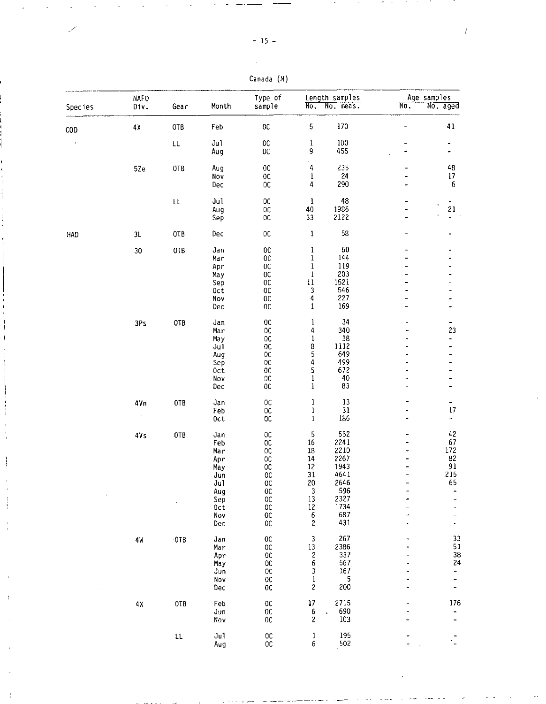$\mathbb{R}^2$ 

| Canada (M) |  |
|------------|--|
|------------|--|

|         | NAFO            |                        |            | Type of                          |                                              | Length samples |                          | Age samples                  |
|---------|-----------------|------------------------|------------|----------------------------------|----------------------------------------------|----------------|--------------------------|------------------------------|
| Species | Div.            | Gear                   | Month      | sample                           | $\overline{\text{No}}$ .                     | No. meas.      | $\overline{\text{No}}$ . | No. aged                     |
| COD     | 4χ              | OTB                    | Feb        | $0\mathtt{C}$                    | 5                                            | 170            | $\overline{a}$           | 41                           |
|         |                 | ŁL                     | Jul        | $_{\rm OC}$                      | $\mathbf 1$                                  | 100            | ۰                        | $\qquad \qquad \blacksquare$ |
|         |                 |                        | Aug        | $_{\rm OC}$                      | 9                                            | 455            | $\overline{\phantom{0}}$ |                              |
|         | 5Ze             | OTB                    | Aug        | 0 <sup>C</sup>                   | 4                                            | 235            |                          | 48                           |
|         |                 |                        | Nov        | $0\mathtt{C}$                    | 1                                            | 24             |                          | $17$                         |
|         |                 |                        | Dec        | $_{0c}$                          | 4                                            | 290            |                          | $\sqrt{6}$                   |
|         |                 | ŁL                     | Jul        | $_{0c}$                          | $\mathbf{1}$                                 | 48             |                          | ٠                            |
|         |                 |                        | Aug        | $_{0c}$                          | 40                                           | 1986<br>2122   |                          | 21                           |
|         |                 |                        | Sep        | OC                               | 33                                           |                |                          |                              |
| HAD     | 3L              | OTB                    | Dec        | $_{00}$                          | $\mathbf 1$                                  | 58             |                          |                              |
|         | $30\,$          | OTB                    | Jan        | $_{0c}$                          | ı                                            | 60             |                          |                              |
|         |                 |                        | Mar        | 0 <sup>C</sup>                   | $\bf{l}$                                     | 144<br>119     |                          |                              |
|         |                 |                        | Apr<br>May | $_{0c}$<br>$_{0c}$               | $\mathbf 1$<br>1                             | 203            |                          |                              |
|         |                 |                        | Sep        | OC                               | $11\,$                                       | 1521           |                          |                              |
|         |                 |                        | 0ct        | OC                               | 3                                            | 546            |                          |                              |
|         |                 |                        | Nov        | $0\mathrm{C}$                    | 4                                            | 227            |                          |                              |
|         |                 |                        | Dec        | 0 <sup>C</sup>                   | $\mathbf{1}$                                 | 169            |                          |                              |
|         | 3Ps             | OTB                    | Jan        | 0 <sup>C</sup>                   | $\mathbf{1}$                                 | 34             |                          | -                            |
|         |                 |                        | Mar        | <b>OC</b>                        | 4                                            | 340            |                          | 23                           |
|         |                 |                        | May        | 0C<br>0 <sup>C</sup>             | $\mathbf{1}$<br>8                            | 38<br>1112     |                          | -                            |
|         |                 |                        | Jul<br>Aug | $_{\rm OC}$                      | 5                                            | 649            | $\overline{\phantom{a}}$ |                              |
|         |                 |                        | Sep        | <b>OC</b>                        | 4                                            | 499            |                          |                              |
|         |                 |                        | Oct        | 0 <sup>C</sup>                   | 5                                            | 672            |                          |                              |
|         |                 |                        | Nov        | OC                               | $\mathbf{1}$                                 | 40             |                          |                              |
|         |                 |                        | Dec        | $0\mathbb{C}$                    | $\mathbf{1}$                                 | 83             | $\blacksquare$           | ۰                            |
|         | 4Vn             | 0TB                    | Jan        | $_{0c}$                          | $\mathbf{1}$                                 | 13             |                          | ۰.                           |
|         |                 |                        | Feb<br>0ct | $_{0c}$<br>OC                    | $\mathbf{1}$<br>$\mathbf{1}$                 | 31<br>186      |                          | 17<br>÷,                     |
|         |                 |                        |            |                                  |                                              |                |                          |                              |
|         | 4V <sub>S</sub> | 0TB                    | Jan        | $_{0c}$                          | 5                                            | 552            |                          | 42                           |
|         |                 |                        | Feb        | 0 <sup>C</sup>                   | 16                                           | 2241<br>2210   |                          | 67<br>172                    |
|         |                 |                        | Mar<br>Apr | 0 <sup>C</sup><br>0 <sup>C</sup> | 18<br>14                                     | 2267           |                          | 82                           |
|         |                 |                        | May        | $_{0c}$                          | 12                                           | 1943           |                          | 91                           |
|         |                 |                        | Jun        | 0 <sub>C</sub>                   | 31                                           | 4641           | $\overline{a}$           | 215                          |
|         |                 |                        | Jul        | $0\mathrm{C}$                    | $\mathop{20}_3$                              | 2646           |                          | 65                           |
|         |                 |                        | Aug        | $_{00}$                          |                                              | 596            |                          | -                            |
|         |                 |                        | Sep        | $_{\rm oc}$                      | $13\,$                                       | 2327           |                          | -                            |
|         |                 |                        | 0ct        | ОC                               | $12\,$                                       | 1734<br>687    |                          |                              |
|         |                 |                        | Nov<br>Dec | $0\mathrm{C}$<br>$_{\rm OC}$     | 6<br>$\sqrt{2}$                              | 431            | ٠                        |                              |
|         | 4W              | OTB                    | Jan        | $0\mathrm{C}$                    | 3                                            | 267            |                          | 33                           |
|         |                 |                        | Mar        | $_{\rm OC}$                      | 13                                           | 2386           |                          | 51                           |
|         |                 |                        | Apr        | 0 <sup>C</sup>                   | $\begin{array}{c} 2 \\ 6 \end{array}$        | 337            |                          | 38                           |
|         |                 |                        | May        | OC                               |                                              | 567            |                          | 24                           |
|         |                 |                        | Jun        | $_{0c}$                          | $\frac{3}{1}$                                | 167            |                          | $\frac{1}{2}$                |
|         |                 |                        | Nov<br>Dec | $_{\rm OC}$<br>$0\mathrm{C}$     | $\overline{\mathbf{c}}$                      | 5<br>200       |                          | -<br>-                       |
|         | $4\,\mathrm{X}$ | OTB                    | Feb        | ${\tt OC}$                       | $\frac{1}{2}$                                | 2715           |                          | 176                          |
|         |                 |                        | Jun        | $0\mathrm{C}$                    | 6                                            | 690            |                          |                              |
|         |                 |                        | Nov        | $_{0c}$                          | $\overline{\mathbf{2}}$                      | 103            |                          |                              |
|         |                 | $\mathsf{L}\mathsf{L}$ | Jul        | $0\mathbb{C}$                    | $\begin{smallmatrix}1\cr 6\end{smallmatrix}$ | 195            |                          |                              |
|         |                 |                        | Aug        | $0\mathrm{C}$                    |                                              | 502            | ÷,                       |                              |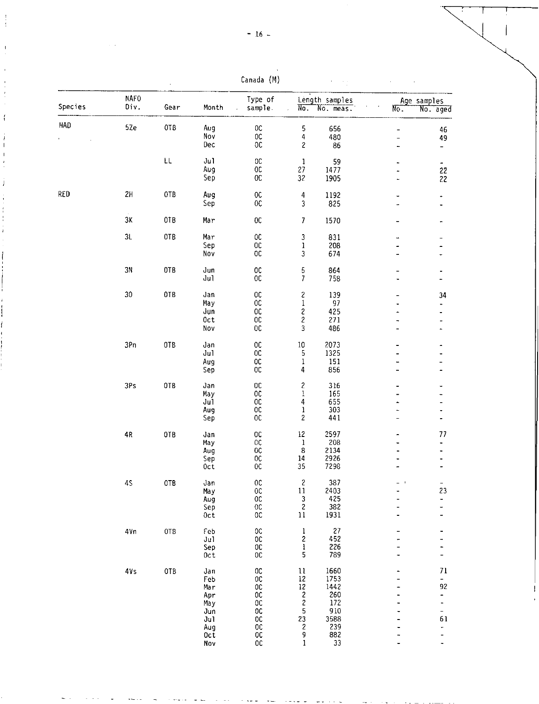Canada (M)

 $\sim$  . t,

|         | <b>NAFO</b>     |            |                    | Type of                        |                                                     | Length samples |                          | Age samples                       |
|---------|-----------------|------------|--------------------|--------------------------------|-----------------------------------------------------|----------------|--------------------------|-----------------------------------|
| Species | Div.            | Gear       | Month              | sample.                        | No.<br>J.                                           | No. meas.      | $\overline{\text{No}}$ . | No. aged                          |
| HAD     | 5Ze             | OTB        | Aug                | $_{0c}$                        | 5                                                   | 656            | -                        | 46                                |
|         |                 |            | Nov                | $0\text{C}$                    | $\overline{4}$                                      | 480            | -                        | 49                                |
|         |                 |            | Dec                | $0\,$                          | $\overline{\mathbf{c}}$                             | 86             | -                        | $\overline{\phantom{a}}$          |
|         |                 | LL         | Ju1                | $0\mathbb{C}$                  | $\,1\,$                                             | 59             |                          |                                   |
|         |                 |            | Aug                | $0\mathtt{C}$                  | 27                                                  | 1477           | 4                        | -<br>22                           |
|         |                 |            | Sep                | $0\mathrm{C}$                  | 32                                                  | 1905           |                          | 22                                |
| RED     | 2H              | 0TB        | Aug                | $_{\rm OC}$                    | $\overline{4}$                                      | 1192           |                          |                                   |
|         |                 |            | Sep                | $0\mathrm{C}$                  | 3                                                   | 825            | .,<br>ä,                 | ۰<br>$\overline{\phantom{0}}$     |
|         | $3K$            | 0TB        | Mar                | $0\mathrm{C}$                  | $\overline{7}$                                      | 1570           | $\blacksquare$           |                                   |
|         | $3\mathsf{L}$   | OTB        | Mar                | $_{\rm OC}$                    | 3                                                   | 831            | ü.                       |                                   |
|         |                 |            | Sep                | 0C                             | ı                                                   | 208            | ä,                       | -                                 |
|         |                 |            | Nov                | $0\mathrm{C}$                  | 3                                                   | 674            | ä.                       | -                                 |
|         |                 |            |                    |                                |                                                     |                |                          |                                   |
|         | 3N              | 0TB        | Jun<br>Ju1         | $_{\rm OC}$<br>$0\,$           | $\frac{5}{7}$                                       | 864<br>758     | $\overline{\phantom{0}}$ | ۰                                 |
|         |                 |            |                    |                                |                                                     |                |                          |                                   |
|         | 30 <sub>o</sub> | 0TB        | Jan                | 0 <sup>C</sup>                 | $\frac{2}{1}$                                       | 139            |                          | 34                                |
|         |                 |            | May                | $_{0}$                         |                                                     | 97             |                          |                                   |
|         |                 |            | Jun<br>0ct         | 0 <sup>C</sup><br>$0\,$        | $\overline{\mathcal{L}}$<br>$\overline{\mathbf{c}}$ | 425<br>271     |                          | -                                 |
|         |                 |            | Nov                | 0 <sup>C</sup>                 | 3                                                   | 486            | -<br>٠                   | $\overline{\phantom{0}}$<br>-     |
|         | 3Pn             | 0TB        |                    |                                |                                                     |                |                          |                                   |
|         |                 |            | Jan<br>Jul         | $0\,$<br>$_{0c}$               | $10\,$<br>5                                         | 2073<br>1325   | -                        | -                                 |
|         |                 |            | Aug                | OC                             | $\mathbf{1}$                                        | 151            | ٠                        | -                                 |
|         |                 |            | Sep                | 0C                             | $\overline{\mathbf{4}}$                             | 856            | $\blacksquare$           | $\overline{\phantom{0}}$          |
|         | 3Ps             | OTB        | Jan                | 0C                             | $\overline{\mathbf{c}}$                             | 316            | -                        | ٠                                 |
|         |                 |            | May                | $_{0c}$                        | $\mathbf{l}$                                        | 165            |                          | -                                 |
|         |                 |            | Ju1                | 0C                             | 4                                                   | 655            | ÷.                       | -                                 |
|         |                 |            | Aug                | 0C                             | $\mathbf{l}$                                        | 303            | ۰                        |                                   |
|         |                 |            | Sep                | $_{0c}$                        | $\overline{\mathbf{c}}$                             | 441            | ÷,                       | $\qquad \qquad \blacksquare$      |
|         | $4\,$           | OTB        | Jan                | <b>OC</b>                      | 12                                                  | 2597           |                          | 77                                |
|         |                 |            | May                | $_{0}c$                        | $\mathbf 1$                                         | 208            |                          | -                                 |
|         |                 |            | Aug                | 0 <sup>C</sup>                 | $\boldsymbol{8}$                                    | 2134           |                          | -                                 |
|         |                 |            | Sep                | $_{\rm oc}$                    | 14                                                  | 2926           |                          |                                   |
|         |                 |            | Oct                | $_{0c}$                        | 35                                                  | 7298           | ä                        |                                   |
|         | 45              | OTB        | Jan                | $_{0c}$                        | $\overline{\mathcal{E}}$                            | 387            | $\frac{1}{2}$ .<br><br>1 |                                   |
|         |                 |            | May                | $0\,$                          | $11\,$                                              | 2403           | .,                       | 23                                |
|         |                 |            | Aug                | $0\,$                          | $\frac{3}{2}$                                       | 425            | -                        |                                   |
|         |                 |            | Sep<br>0ct         | $0\mathrm{C}$<br>$0\mathbb{C}$ | 11                                                  | 382<br>1931    | -<br>-                   | -                                 |
|         |                 |            |                    |                                |                                                     |                |                          |                                   |
|         | 4Vn             | OTB        | Feb<br>Jul         | $_{\rm OC}$<br>$_{\rm OC}$     | $\mathbf{l}$<br>$\overline{\mathbf{c}}$             | 27<br>452      | -                        | -                                 |
|         |                 |            | Sep                | $0\mathrm{C}$                  | $\mathbf{I}$                                        | 226            | -                        | Ξ.                                |
|         |                 |            | 0ct                | $0\,$                          | 5                                                   | 789            | ٠                        | Ξ.                                |
|         | 4V <sub>S</sub> | <b>OTB</b> | Jan                | 0C                             | $11\,$                                              | 1660           | -                        | $71\,$                            |
|         |                 |            | Feb                | OC                             |                                                     | 1753           | $\overline{a}$           | -                                 |
|         |                 |            | Mar                | $_{0c}$                        |                                                     | 1442           | ÷                        | 92                                |
|         |                 |            | Apr                | $0\,$                          | $\begin{array}{c} 12 \\ 12 \\ 2 \\ 2 \end{array}$   | 260            | $\blacksquare$           | -                                 |
|         |                 |            | May                | $_{\rm oc}$                    |                                                     | 172            |                          | ÷                                 |
|         |                 |            | Jun                | $_{00}^{00}$                   | $\begin{array}{c} 5 \\ 23 \\ 2 \end{array}$         | 910            |                          | $\blacksquare$                    |
|         |                 |            | Jul                | $_{\rm oc}$                    |                                                     | 3588<br>239    |                          | 61                                |
|         |                 |            | Aug<br>$0c\bar{t}$ | 0 <sub>C</sub>                 | 9                                                   | 882            |                          | ÷<br>$\qquad \qquad \blacksquare$ |
|         |                 |            | Nov                | $_{0c}$                        | $\mathbf{1}$                                        | 33             | -                        | $\overline{\phantom{a}}$          |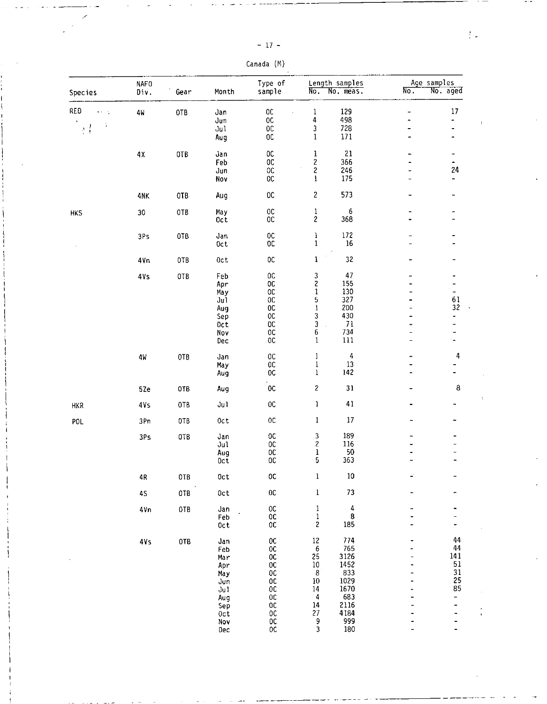| Canada | (M) |
|--------|-----|
|--------|-----|

| Species                       | <b>NAFO</b><br>Div. | Gear | Month      | Type of<br>sample                                                 | No.                                    | Length samples<br>No. meas.           | No.                          | Age samples<br>No. aged      |
|-------------------------------|---------------------|------|------------|-------------------------------------------------------------------|----------------------------------------|---------------------------------------|------------------------------|------------------------------|
| RED<br>$\ddot{\phantom{a}}$   | 4W                  | OTB  | Jan        | 0C                                                                | ı                                      | 129                                   | -                            | 17                           |
|                               |                     |      | Jun        | $0\mathrm{C}$                                                     | 4                                      | 498                                   | $\overline{a}$               | $\qquad \qquad \blacksquare$ |
| $\frac{1}{2}$ , $\frac{1}{2}$ |                     |      | Jul        | $_{00}$                                                           | 3                                      | 728                                   | -                            | ۰                            |
|                               |                     |      | Aug        | $_{0c}$                                                           | $\mathbf 1$                            | 171                                   | -                            | $\qquad \qquad \blacksquare$ |
|                               | 4X                  | 0TB  | Jan        | $0\mathrm{C}$                                                     | 1                                      | 21                                    |                              | -                            |
|                               |                     |      | Feb        | $0\mathrm{C}$                                                     | $\overline{\mathbf{c}}$                | 366                                   | $\overline{\phantom{0}}$     | $\frac{1}{24}$               |
|                               |                     |      | Jun        | $_{\rm OC}$                                                       | $\mathbf{2}$                           | 246                                   | $\qquad \qquad \blacksquare$ |                              |
|                               |                     |      | Nov        | $_{\rm OC}$                                                       | $\mathbf{l}$                           | 175                                   |                              |                              |
|                               | 4NK                 | 0TB  | Aug        | $_{0c}$                                                           | $\overline{\mathbf{c}}$                | 573                                   |                              | ۰                            |
| <b>HKS</b>                    | 30                  | 0TB  | May        | $0\mathtt{C}$                                                     | $\mathbf 1$                            | 6                                     | ۰                            | ٠                            |
|                               |                     |      | $0c$ t     | $_{\rm OC}$                                                       | $\overline{\mathbf{c}}$                | 368                                   |                              | ÷.                           |
|                               | 3Ps                 | OTB  | Jan        | $_{\rm oc}$                                                       | $\mathbf{l}$                           | 172                                   | -                            |                              |
|                               |                     |      | 0ct        | OC                                                                | $\mathbf 1$                            | 16                                    | -                            |                              |
|                               | 4Vn                 | 0TB  | 0ct        | $_{\rm oc}$                                                       | $\mathbf{1}$                           | 32                                    | -                            |                              |
|                               | 4Vs                 | OTB  | Feb        | OC                                                                | $\frac{3}{2}$                          | 47                                    | -                            | -                            |
|                               |                     |      | Apr        | <b>OC</b>                                                         |                                        | 155                                   |                              |                              |
|                               |                     |      | May        | $0\mathtt{C}$                                                     | $\mathbf{1}$                           | 130<br>327                            |                              | $\frac{1}{\sqrt{2}}$         |
|                               |                     |      | Ju1<br>Aug | 0C<br>$0\mathrm{C}$                                               | 5<br>$\mathbf 1$                       | 200                                   | $\overline{\phantom{0}}$     | 61<br>32                     |
|                               |                     |      | Sep        | $_{\rm OC}$                                                       | 3                                      | 430                                   |                              | -                            |
|                               |                     |      | Oct        | $_{\rm OC}$                                                       | 3                                      | 71                                    |                              | $\overline{\phantom{0}}$     |
|                               |                     |      | Nov        | $_{0c}$                                                           | 6                                      | 734                                   | $\overline{\phantom{0}}$     |                              |
|                               |                     |      | Dec        | $_{\rm OC}$                                                       | $\mathbf{1}$                           | 111                                   | $\overline{\phantom{0}}$     | $\overline{\phantom{a}}$     |
|                               | 4W                  | OTB  | Jan        | $_{\rm OC}$                                                       | $\mathbf{1}$                           | 4                                     |                              | 4                            |
|                               |                     |      | May        | $0\mathrm{C}$                                                     | $\mathbf 1$                            | 13                                    |                              |                              |
|                               |                     |      | Aug        | <b>OC</b>                                                         | $\bf{l}$                               | 142                                   |                              |                              |
|                               | 5Ze                 | 0TB  | Aug        | $_{0c}$                                                           | $\mathbf{Z}$                           | 31                                    |                              | 8                            |
| <b>HKR</b>                    | 4Vs                 | 0TB  | Jul        | $_{\rm oc}$                                                       | $\mathbf 1$                            | 41                                    |                              |                              |
| POL                           | 3Pn                 | OTB  | 0ct        | $_{0c}$                                                           | $\mathbf 1$                            | $17\,$                                |                              |                              |
|                               | 3Ps                 | OTB  | Jan        | OC                                                                | $\overline{\mathbf{3}}$                | 189                                   |                              |                              |
|                               |                     |      | Jul        | $_{0c}$                                                           | $\overline{\mathbf{c}}$                | 116                                   |                              |                              |
|                               |                     |      | Aug        | $0\mathbb{C}$                                                     | $\mathbf{l}$                           | 50                                    |                              |                              |
|                               |                     |      | 0ct        | $_{00}$                                                           | 5                                      | 363                                   |                              |                              |
|                               | 4R                  | OTB  | 0ct        | ${\tt OC}$                                                        | $\mathbf 1$                            | 10                                    |                              |                              |
|                               | 45                  | OTB  | 0ct        | $0\mathtt{C}$                                                     | $\mathbf{1}$                           | ${\bf 73}$                            |                              |                              |
|                               | 4Vn                 | OTB  | Jan        | ${\tt OC}$                                                        | $\frac{1}{1}$                          | $\begin{array}{c} 4 \\ 8 \end{array}$ |                              |                              |
|                               |                     |      | Feb        | $_{\rm OC}$                                                       |                                        |                                       |                              |                              |
|                               |                     |      | Oct        | $0\text{C}$                                                       | $\overline{\mathbf{c}}$                | 185                                   |                              |                              |
|                               | 4Vs                 | 0TB  | Jan        | $_{00}^{00}$                                                      | $\begin{array}{c} 12 \\ 6 \end{array}$ | 774                                   |                              | 44<br>44                     |
|                               |                     |      | Feb        |                                                                   |                                        | 765                                   |                              |                              |
|                               |                     |      | Mar        | $_{00}^{00}$                                                      | 25<br>$10\,$                           | 3126<br>1452                          |                              | 141<br>51                    |
|                               |                     |      | Apr        |                                                                   |                                        | 833                                   | ۳                            |                              |
|                               |                     |      | May<br>Jun | $\begin{array}{c} 0 \\ 0 \\ 0 \\ 0 \\ 0 \\ 0 \\ 0 \\ \end{array}$ | $\begin{array}{c} 8 \\ 10 \end{array}$ |                                       |                              | $\frac{31}{25}$<br>85        |
|                               |                     |      | Jul        |                                                                   |                                        | 1029<br>1670                          |                              |                              |
|                               |                     |      | Aug        |                                                                   | $\begin{array}{c} 14 \\ 4 \end{array}$ | 683                                   |                              | $\qquad \qquad -$            |
|                               |                     |      | Sep        | $_{00}^{00}$                                                      | 14                                     | 2116                                  |                              |                              |
|                               |                     |      | Oct        |                                                                   | 27                                     | 4184<br>999                           |                              |                              |
|                               |                     |      | Nov        | OC<br>OC                                                          | $\frac{9}{3}$                          |                                       |                              |                              |
|                               |                     |      | Dec        |                                                                   |                                        | 180                                   |                              |                              |

 $\frac{1}{2}$  .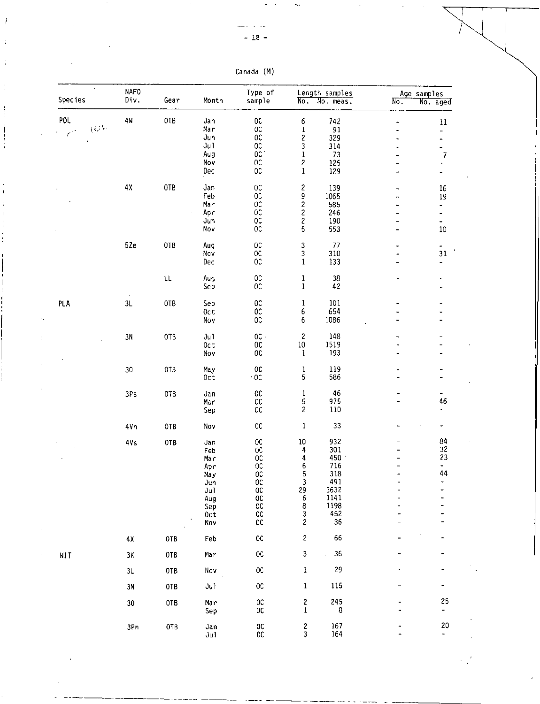| Canada (M) |  |
|------------|--|

| $\sim$<br>Species                                  | <b>NAFO</b><br>Div. | Gear       | Month                                                                     | Type of<br>sample                                                                                                                  | No.                                                                                                     | Length samples<br>No. meas.                                                 | $N_{\rm O}$ .                                    | Age samples<br>No. aged                                                                              |
|----------------------------------------------------|---------------------|------------|---------------------------------------------------------------------------|------------------------------------------------------------------------------------------------------------------------------------|---------------------------------------------------------------------------------------------------------|-----------------------------------------------------------------------------|--------------------------------------------------|------------------------------------------------------------------------------------------------------|
| POL<br>$(\mathcal{G}^{(l_\theta)}$<br>$\epsilon^2$ | 4W                  | 0TB        | Jan<br>Mar<br>Jun<br>Jul<br>Aug<br>Nov<br>Dec                             | $_{0c}$<br>$0\mathrm{C}$<br>$0\mathrm{C}$<br>0C<br>$0C$ .<br>$0\mathrm{C}$<br>0 <sup>C</sup>                                       | 6<br>$\mathbf 1$<br>$\overline{\mathbf{c}}$<br>3<br>$\bf{l}$<br>$\overline{\mathbf{c}}$<br>$\mathbf{1}$ | 742<br>91<br>329<br>314<br>73<br>125<br>129                                 | $\overline{\phantom{0}}$<br>$\blacksquare$<br>۰. | $\mathbf{11}$<br>$\overline{\phantom{0}}$<br>$\overline{\phantom{0}}$<br>-<br>$\boldsymbol{7}$<br>÷. |
|                                                    | $4\lambda$          | 0TB        | Jan<br>Feb<br>Mar<br>Apr<br>Jun<br>Nov                                    | $0\,$<br>$_{0c}$<br>0 <sup>c</sup><br>0 <sup>C</sup><br>$_{0}c$<br>0C                                                              | 2<br>9<br>$222$<br>$25$                                                                                 | 139<br>1065<br>585<br>246<br>190<br>553                                     | н.<br>۰.<br>۰.                                   | 16<br>19<br>÷<br>$\blacksquare$<br>$10\,$                                                            |
|                                                    | 5Ze                 | OTB        | Aug<br>Nov<br>Dec                                                         | OC<br>$0\mathrm{C}$<br>0C                                                                                                          | 3<br>3<br>$\mathbf{1}$                                                                                  | 77<br>310<br>133                                                            | -<br>۰<br>-                                      | ۰<br>$3\sqrt{1}$                                                                                     |
|                                                    |                     | LL         | Aug<br>Sep                                                                | $0\mathtt{C}$<br>0 <sup>C</sup>                                                                                                    | ı<br>$\mathbf{1}$                                                                                       | 38<br>42                                                                    |                                                  |                                                                                                      |
| PLA                                                | 3L                  | OTB        | Sep<br>0ct<br>Nov                                                         | <b>OC</b><br>${\sf OC}$<br>O <sub>C</sub>                                                                                          | $\mathbf{1}$<br>6<br>6                                                                                  | 101<br>654<br>1086                                                          |                                                  |                                                                                                      |
|                                                    | 3N                  | OTB        | Ju1<br>0ct<br>Nov                                                         | $0C$ $\cdot$<br>$0\,$<br>$_{0c}$                                                                                                   | 2<br>$10\,$<br>$\mathbf{1}$                                                                             | 148<br>1519<br>193                                                          | ٠                                                |                                                                                                      |
|                                                    | 30                  | 0TB        | May<br>0 <sub>c</sub>                                                     | $0\mathrm{C}$<br>$\approx$ 00                                                                                                      | 1<br>5                                                                                                  | 119<br>586                                                                  | $\overline{\phantom{a}}$                         |                                                                                                      |
|                                                    | 3Ps                 | 0TB        | Jan<br>Mar<br>Sep                                                         | $_{\rm oc}$<br>$_{\rm oc}$<br>${\tt OC}$                                                                                           | ı<br>5<br>2                                                                                             | 46<br>975<br>110                                                            | ۰<br>-                                           | 46                                                                                                   |
|                                                    | 4Vn                 | 0TB        | Nov                                                                       | $0\mathrm{C}$                                                                                                                      | 1                                                                                                       | 33                                                                          |                                                  |                                                                                                      |
|                                                    | 4Vs                 | OTB        | Jan<br>Feb<br>Mar<br>Apr<br>May<br>Jun<br>Jul<br>Aug<br>Sep<br>Oct<br>Nov | $_{\rm OC}$<br>$0\mathrm{C}$<br>0 <sup>C</sup><br>$_{\rm oc}$<br>$_{\rm OC}$<br>$_{00}^{00}$<br>0C<br>$_{0c}$<br>$_{\rm OC}$<br>OC | $10\,$<br>4<br>4<br>6<br>5<br>3<br>29<br>6<br>8<br>3<br>2                                               | 932<br>301<br>450<br>716<br>318<br>491<br>3632<br>1141<br>1198<br>452<br>36 |                                                  | 84<br>32<br>23<br>۰<br>44                                                                            |
|                                                    | $4\lambda$          | OTB        | Feb                                                                       | $_{0c}$                                                                                                                            | $\mathbf{2}$                                                                                            | 66                                                                          |                                                  |                                                                                                      |
| WIT                                                | 3K                  | 0TB        | Mar                                                                       | ${\tt OC}$                                                                                                                         | 3                                                                                                       | 36<br>i.                                                                    |                                                  |                                                                                                      |
|                                                    | 3L                  | OTB        | Nov                                                                       | $_{\rm OC}$                                                                                                                        | ı                                                                                                       | 29                                                                          |                                                  |                                                                                                      |
|                                                    | 3N                  | 0TB        | Ju1                                                                       | $0\mathbb{C}$                                                                                                                      | $\mathbf 1$                                                                                             | 115                                                                         |                                                  | 25                                                                                                   |
|                                                    | 30                  | OTB        | Mar<br>Sep                                                                | $_{0c}$<br>$_{0c}$                                                                                                                 | $\frac{2}{1}$                                                                                           | 245<br>8                                                                    |                                                  | -                                                                                                    |
|                                                    | 3Pn                 | <b>OTB</b> | Jan<br>Ju1                                                                | $_{00}^{00}$                                                                                                                       | $\frac{2}{3}$                                                                                           | 167<br>164                                                                  |                                                  | 20<br>$\ddot{\phantom{0}}$                                                                           |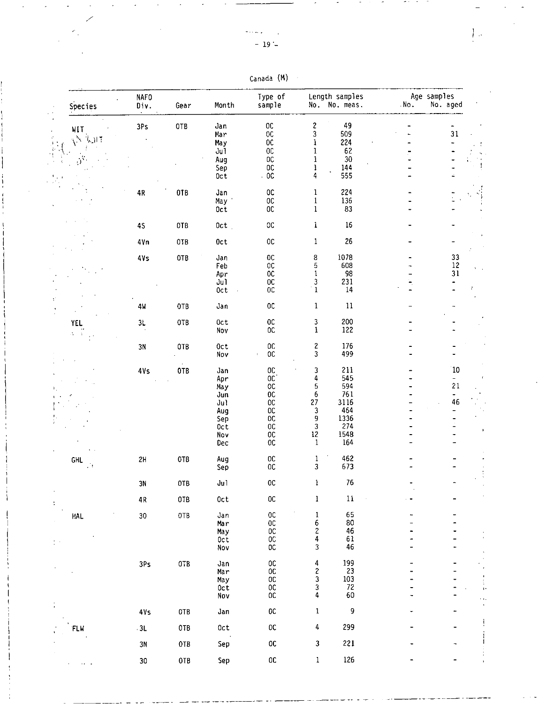$\mathcal{L}_{\mathcal{A}}$ 

 $\hat{\mathcal{E}}_1$ 

| Canada | (M) |
|--------|-----|
|--------|-----|

 $\mathcal{A}$ 

| Species                   | <b>NAFO</b><br>Div. | Gear       | Month                  | Type of<br>sample            |                                                 | Length samples<br>No. No. meas.          | No. | Age samples<br>No. aged                       |  |
|---------------------------|---------------------|------------|------------------------|------------------------------|-------------------------------------------------|------------------------------------------|-----|-----------------------------------------------|--|
|                           | 3Ps                 | 0TB        | Jan                    | $0\mathbb{C}$                | $\overline{\mathcal{L}}$                        | 49                                       |     |                                               |  |
| WIT                       |                     |            | Mar                    | $_{00}$                      | 3                                               | 509                                      |     | 31                                            |  |
| $\mathcal{N}(\mathbb{Q})$ |                     |            | Ma y                   | <b>OC</b>                    | 1                                               | 224                                      |     | $\overline{\phantom{a}}$                      |  |
|                           |                     |            | Ju1                    | $_{0c}$                      | 1                                               | 62                                       |     |                                               |  |
|                           |                     |            | Aug                    | $_{\rm OC}$                  | 1                                               | $30\,$                                   |     |                                               |  |
|                           |                     |            | Sep<br>0 <sub>c</sub>  | <b>OC</b><br>$-0C$           | ı<br>4                                          | 144<br>555                               |     |                                               |  |
|                           |                     |            |                        |                              |                                                 |                                          |     |                                               |  |
|                           | $4\,$               | 0TB        | Jan                    | $0\,$                        | 1                                               | 224                                      |     |                                               |  |
|                           |                     |            | May '                  | $_{\rm OC}$                  | $\mathbf{1}$                                    | 136                                      |     |                                               |  |
|                           |                     |            | Oct                    | $0\mathtt{C}$                | $\mathbf{1}$                                    | 83                                       |     |                                               |  |
|                           |                     | 0TB        | 0ct                    | $_{\rm OC}$                  | $\mathbf{1}$                                    | 16                                       |     |                                               |  |
|                           | 45                  |            |                        |                              |                                                 |                                          |     |                                               |  |
|                           | 4Vn                 | 0TB        | 0ct                    | $0\mathtt{C}$                | $\mathbf{1}$                                    | 26                                       |     |                                               |  |
|                           |                     |            |                        |                              |                                                 |                                          |     |                                               |  |
|                           | 4Vs                 | <b>OTB</b> | Jan                    | $0\mathrm{C}$                | 8                                               | 1078                                     |     | $\begin{array}{c} 33 \\ 12 \\ 31 \end{array}$ |  |
|                           |                     |            | Feb                    | $0\mathtt{C}$                | 5                                               | 608                                      |     |                                               |  |
|                           |                     |            | Apr<br>J <sub>U</sub>  | $_{\rm OC}$<br>OC            | 1<br>3                                          | 98<br>231                                |     |                                               |  |
|                           |                     |            | 0ct                    | $_{0c}$                      | $\mathbf{1}$                                    | 14                                       | ۳.  |                                               |  |
|                           |                     |            |                        |                              |                                                 |                                          |     |                                               |  |
|                           | 4 <sub>W</sub>      | 0TB        | Jan                    | $_{0c}$                      | $\mathbf{1}$                                    | $11\,$                                   |     |                                               |  |
|                           |                     |            |                        |                              |                                                 | 200                                      |     |                                               |  |
| <b>YEL</b>                | 3L                  | 0TB        | 0 <sub>c</sub><br>Nov  | $0\mathrm{C}$<br>$_{\rm oc}$ | 3<br>1                                          | 122                                      |     |                                               |  |
| $\Delta \sim 0.3$         |                     |            |                        |                              |                                                 |                                          |     |                                               |  |
|                           | 3N                  | 0TB        | 0 <sub>c</sub>         | OC                           | $\overline{\mathbf{c}}$                         | 176                                      |     |                                               |  |
|                           |                     |            | Nov                    | OC                           | 3                                               | 499                                      |     |                                               |  |
|                           |                     |            |                        |                              |                                                 |                                          |     |                                               |  |
|                           | 4Vs                 | 0TB        | Jan<br>Apr             | $_{00}$<br>OC                | 3<br>4                                          | 211<br>545                               |     | $10\,$<br>$\blacksquare$                      |  |
|                           |                     |            | May                    | $_{\rm OC}$                  | 5                                               | 594                                      |     | 21                                            |  |
|                           |                     |            | Jun                    | $_{0c}$                      | 6                                               | 761                                      |     | $\blacksquare$                                |  |
|                           |                     |            | Jul                    | OC                           | 27                                              | 3116                                     |     | 46                                            |  |
|                           |                     |            | Aug                    | <b>OC</b>                    | 3                                               | 464                                      |     | ÷.                                            |  |
|                           |                     |            | Sep                    | $_{0c}$                      | 9                                               | 1336                                     |     |                                               |  |
|                           |                     |            | Oct<br>Nov             | $_{0}c$<br>OC                | 3<br>$12 \text{ }$                              | 274<br>1548                              |     |                                               |  |
|                           |                     |            | Dec                    | $0\mathbb{C}$                | 1                                               | 164                                      |     |                                               |  |
|                           |                     |            |                        |                              |                                                 |                                          |     |                                               |  |
| GHL                       | 2H                  | OTB        | Aug                    | $0\mathrm{C}$                | $\mathbf{1}$                                    | 462                                      |     |                                               |  |
| $\mathcal{L}^{\dagger}$   |                     |            | Sep                    | 0C                           | 3                                               | 673                                      |     |                                               |  |
|                           |                     |            |                        | $_{\rm oc}$                  |                                                 | 76                                       |     |                                               |  |
|                           | 3N                  | 0TB        | Ju1                    |                              | Ţ.                                              |                                          |     |                                               |  |
|                           | $4\,\mathrm{R}$     | 0TB        | 0ct                    | $_{\rm OC}$                  | $\mathbf{1}$                                    | 11                                       |     |                                               |  |
|                           |                     |            |                        |                              |                                                 |                                          |     |                                               |  |
| HAL                       | 30                  | OTB        | Jan                    | $_{\rm OC}$                  | $\mathbf{1}$                                    | 65                                       |     |                                               |  |
|                           |                     |            | Mar                    | $0\mathrm{C}$<br>$_{\rm OC}$ |                                                 | 80<br>46                                 |     |                                               |  |
|                           |                     |            | May<br>0ct             | $_{0c}$                      |                                                 |                                          |     |                                               |  |
|                           |                     |            | Nov                    | $_{\rm OC}$                  | 624                                             | $\begin{array}{c} 61 \\ 46 \end{array}$  |     |                                               |  |
|                           |                     |            |                        |                              |                                                 |                                          |     |                                               |  |
|                           | 3Ps                 | OTB        | Jan                    | OC                           |                                                 | 199                                      |     |                                               |  |
|                           |                     |            | Mar                    | $_{00}$                      |                                                 | $\begin{array}{c} 23 \\ 103 \end{array}$ |     |                                               |  |
|                           |                     |            | May<br>0 <sub>ct</sub> | $0\,$<br>$_{\rm OC}$         |                                                 | 72                                       |     |                                               |  |
|                           |                     |            | Nov                    | $_{\rm oc}$                  | $\begin{array}{c} 4 \\ 2 \\ 3 \\ 4 \end{array}$ | 60                                       |     |                                               |  |
|                           |                     |            |                        |                              |                                                 |                                          |     |                                               |  |
|                           | 4Vs                 | 0TB        | Jan                    | $_{\rm OC}$                  | $\mathbf{1}$                                    | 9                                        |     |                                               |  |
|                           |                     | 0TB        | 0ct                    | $_{\rm OC}$                  | $\sqrt{4}$                                      | 299                                      |     |                                               |  |
| FLW                       | 3L                  |            |                        |                              |                                                 |                                          |     |                                               |  |
|                           | 3N                  | OTB        | Sep                    | ${\tt OC}$                   | 3                                               | 221                                      |     |                                               |  |
|                           |                     |            |                        |                              |                                                 |                                          |     |                                               |  |
|                           | 30                  | 0TB        | Sep                    | $0\mathbb{C}$                | $\mathbf 1$                                     | 126                                      |     |                                               |  |

 $\int_{\mathbb{R}^{n}}\omega_{\alpha}$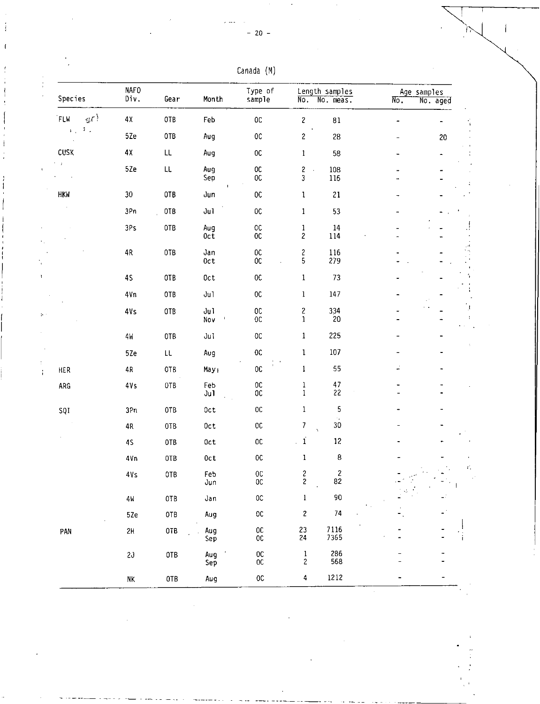| Canada | (M) |
|--------|-----|
|--------|-----|

| Species                                                                                    | <b>NAFO</b><br>Div. | Gear          | Month              | Type of<br>sample               | No.                                    | Length samples<br>No. meas.   | Age samples<br>No. | No. aged |
|--------------------------------------------------------------------------------------------|---------------------|---------------|--------------------|---------------------------------|----------------------------------------|-------------------------------|--------------------|----------|
| $\left\langle \mathbf{r}^{\left( \mathbf{r}^{\prime }\right) }\right\rangle$<br><b>FLW</b> | 4χ                  | OTB           | Feb                | $0\mathbb{C}$                   | $\mathbf{Z}$                           | $\bf 81$                      |                    |          |
| $\mathcal{T}_{\rm eff}$<br>4.1                                                             | 5Ze                 | 0TB           | Aug                | $_{\rm OC}$                     | $\boldsymbol{2}$                       | 28                            |                    | 20       |
| CUSK                                                                                       | 4χ                  | LL            | Aug                | ${\tt OC}$                      | $\mathbf 1$                            | 58                            |                    |          |
| e g                                                                                        | 5Ze                 | $\mathsf{LL}$ | Aug<br>Sep         | OC.<br><b>OC</b>                | 2<br>$\mathcal{A}$<br>$\mathfrak{z}$   | 108<br>116                    |                    |          |
| <b>HKW</b>                                                                                 | 30                  | OTB           | Jun                | $0\mathrm{C}$                   | $\mathbf 1$                            | 21                            |                    |          |
|                                                                                            | 3Pn                 | 0TB           | Jul                | $_{\rm OC}$                     | $1\,$                                  | 53                            |                    |          |
|                                                                                            | 3Ps                 | 0TB           | Aug<br>$0c\bar{t}$ | ${\tt OC}$<br>0 <sup>C</sup>    | $\mathbf{1}$<br>$\overline{c}$         | 14<br>114                     |                    |          |
|                                                                                            | 4R                  | 0TB           | Jan<br>0ct         | $_{\rm OC}$<br>$0\mathsf{C}$    | $\boldsymbol{2}$<br>5                  | 116<br>279                    |                    |          |
|                                                                                            | 45                  | 0TB           | 0ct                | $0\,$                           | $\mathbf{1}$                           | 73                            |                    |          |
|                                                                                            | 4Vn                 | OTB           | Ju1                | $_{0c}$                         | $\mathbf{1}$                           | 147                           |                    |          |
|                                                                                            | 4Vs                 | 0TB           | Ju1<br>Nov         | $_{\rm OC}$<br>$0\mathrm{C}$    | $\overline{\mathbf{c}}$<br>$\mathbf 1$ | 334<br>20                     |                    |          |
|                                                                                            | 4W                  | OTB           | Jul                | $0\mathrm{C}$                   | 1                                      | 225                           |                    |          |
|                                                                                            | 5Ze                 | LL            | Aug                | $0\mathrm{C}$                   | $\mathbf{1}$                           | 107                           |                    |          |
| <b>HER</b>                                                                                 | $4R$                | 0TB           | May <sub>1</sub>   | $0\mathbb{C}$                   | $\mathbf{1}$                           | 55                            | ÷                  |          |
| ARG                                                                                        | 4Vs                 | OTB           | Feb<br>Ju1         | $0\,$<br>${\tt OC}$             | $\mathbf 1$<br>$\mathbf{1}$            | $\frac{47}{22}$               |                    |          |
| SQI                                                                                        | 3Pn                 | 0TB           | Oct                | $0\mathrm{C}$                   | $\mathbf{1}$                           | 5<br>$\epsilon_{\rm m}$       |                    |          |
|                                                                                            | 4R                  | OTB           | 0ct                | $0\mathbb{C}$                   | 7                                      | $30\,$                        |                    |          |
|                                                                                            | 4S                  | 0TB           | 0ct                | $0\,$                           | $\mathbf i$<br>L.                      | 12                            |                    |          |
|                                                                                            | 4Vn                 | OTB           | 0ct                | $_{\rm OC}$                     | $\mathbf{1}$                           | 8                             |                    |          |
|                                                                                            | $4\sqrt{s}$         | 0TB           | Feb<br>Jun         | $_{0c}$<br>0 <sup>C</sup>       | 2<br>2                                 | $\overline{\mathbf{c}}$<br>82 |                    |          |
|                                                                                            | 4W                  | 0TB           | Jan                | $_{\rm OC}$                     | $\,$ $\,$                              | 90                            |                    |          |
|                                                                                            | 5Ze                 | OTB           | Aug                | $_{\rm OC}$                     | $\overline{\mathbf{c}}$                | $74\,$                        |                    |          |
| PAN                                                                                        | 2H                  | 0TB           | Aug<br>Sep         | 0 <sup>C</sup><br>$0\mathtt{C}$ | 23<br>24                               | 7116<br>7365                  |                    |          |
|                                                                                            | 2J                  | <b>OTB</b>    | Aug<br>Sep         | $0\mathrm{C}$<br>$_{\rm OC}$    | $\frac{1}{2}$                          | 286<br>568                    |                    |          |
|                                                                                            | NΚ,                 | 0TB           | Aug                | $_{0c}$                         | 4                                      | 1212                          |                    |          |

÷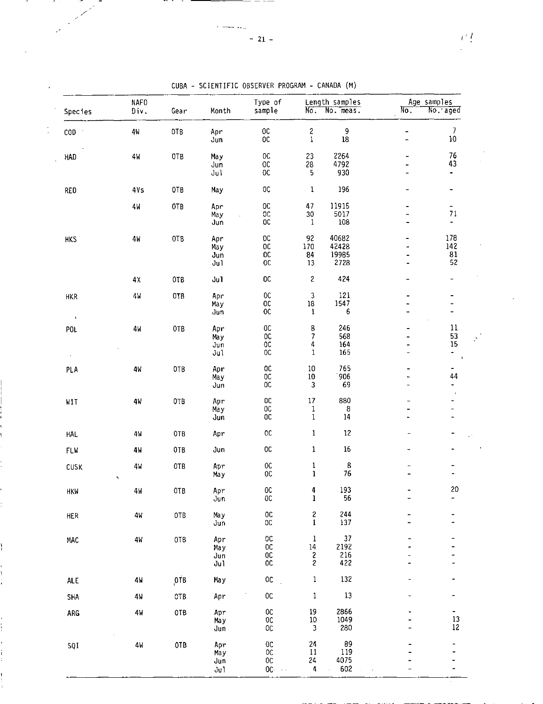| Species              | <b>NAFO</b><br>Div.                   | Gear | Month                     | Type of<br>sample                                            | $N\ddot{o}$ .                                | Length samples<br>No. meas.     | No.                                                                                      | Age samples<br>No. aged                                  |
|----------------------|---------------------------------------|------|---------------------------|--------------------------------------------------------------|----------------------------------------------|---------------------------------|------------------------------------------------------------------------------------------|----------------------------------------------------------|
| $\mathsf{COD}$       | 4W                                    | 0TB  | Apr<br>Jun                | $0\mathrm{C}$<br>$_{0c}$                                     | $\boldsymbol{z}$<br>1                        | 9<br>$18\,$                     | $\overline{\phantom{a}}$<br>$\overline{\phantom{0}}$                                     | 7<br>$10\,$                                              |
| HAD                  | 4W                                    | OTB  | May<br>Jun<br>Ju1         | OC<br>0C<br>0 <sup>C</sup>                                   | 23<br>28<br>5                                | 2264<br>4792<br>930             |                                                                                          | 76<br>43                                                 |
| RED                  | 4Vs                                   | 0TB  | May                       | 0C                                                           | $\mathbf{1}$                                 | 196                             | $\overline{\phantom{0}}$                                                                 | -                                                        |
|                      | 4И                                    | 0TB  | Apr<br>May<br>Jun         | $_{0c}$<br>$\mathbb{O}\mathbb{C}$<br>0C                      | 47<br>$30\,$<br>1                            | 11915<br>5017<br>108            | $\qquad \qquad \blacksquare$<br>$\overline{\phantom{m}}$<br>$\qquad \qquad \blacksquare$ | -<br>$7\sqrt{1}$<br>$\overline{\phantom{a}}$             |
| <b>HKS</b>           | 4W                                    | OTB  | Apr<br>May<br>Jun<br>Jul  | 0 <sup>C</sup><br>$0\,$<br>OC.<br>$0\mathrm{C}$              | 92<br>170<br>84<br>13                        | 40682<br>42428<br>19985<br>2728 | $\overline{\phantom{a}}$                                                                 | 178<br>142<br>$\begin{array}{c} 81 \\ 52 \end{array}$    |
|                      | 4Х                                    | OTB  | Ju1                       | OC                                                           | 2                                            | 424                             |                                                                                          | $\qquad \qquad \blacksquare$                             |
| HKR<br>$\mathcal{A}$ | 4 <sub>M</sub>                        | 0TB  | Apr<br>May<br>Jun         | $_{\rm OC}$<br>0C<br>OC.                                     | 3<br>18<br>ı                                 | 121<br>1547<br>6                | ۰                                                                                        | $\overline{a}$<br>۰                                      |
| POL<br>$\sim$        | 4 <sub>M</sub>                        | OTB  | Apr<br>Ma y<br>Jun<br>Jul | 0C<br>$_{\rm OC}$<br>OC<br>OC                                | 8<br>$\overline{\phantom{a}}$<br>4<br>1      | 246<br>568<br>164<br>165        | $\ddot{\phantom{1}}$<br>$\blacksquare$<br>÷,                                             | 11<br>53<br>15<br>$\ddot{\phantom{0}}$<br>$\blacksquare$ |
| PLA                  | 4 <sub>W</sub>                        | 0TB  | Apr<br>May<br>Jun         | OC<br>OC<br>OC                                               | $10\,$<br>$10\,$<br>3                        | 765<br>906<br>69                | $\overline{\phantom{0}}$                                                                 | ۰<br>44<br>-                                             |
| WIT                  | 4 <sub>k</sub>                        | OTB  | Apr<br>May<br>Jun         | $0\mathtt{C}$<br>$_{\rm OC}$<br>$0\mathrm{C}$                | 17<br>1<br>1                                 | 880<br>8<br>14                  | $\blacksquare$<br>۰                                                                      | $\mathbf{I}$<br>-<br>$\overline{\phantom{0}}$            |
| HAL                  | 4W                                    | 0TB  | Apr                       | $_{0c}$                                                      | 1                                            | $12$                            |                                                                                          |                                                          |
| FLW                  | 4W                                    | 0TB  | Jun                       | $_{\rm oc}$                                                  | $\mathbf{1}$                                 | 16                              |                                                                                          |                                                          |
| CUSK                 | 4 <sub>k</sub><br>$\hat{\phantom{a}}$ | 0TB  | Apr<br>Ma y               | $_{\rm oc}$<br>OC                                            | $\mathbf{1}$<br>$\mathbf{1}$                 | 8<br>76                         |                                                                                          |                                                          |
| <b>HKW</b>           | 4 <sub>W</sub>                        | OT B | Apr<br>Jun                | $\rm_{OC}^{OC}$                                              | 4<br>$\mathbf{1}$                            | 193<br>56                       |                                                                                          | 20<br>-                                                  |
| <b>HER</b>           | $4\mathsf{W}$                         | 0TB  | Ma y<br>Jun               | $\mathsf{OC}$<br>$_{00}$                                     | $\frac{2}{1}$                                | 244<br>137                      |                                                                                          | ۰                                                        |
| MAC                  | 4 <sub>W</sub>                        | OTB  | Apr<br>May<br>Jun<br>Jul  | $0\mathrm{C}$<br>$_{\rm OC}$<br>$0\mathrm{C}$<br>$_{\rm OC}$ | $\mathbf 1$<br>$^{\rm 14}$<br>$\frac{2}{2}$  | 37<br>2192<br>216<br>422        |                                                                                          | -<br>÷<br>-                                              |
| <b>ALE</b>           | 4W                                    | 0TB  | May                       | $_{0c}$                                                      | $\mathbf{1}$                                 | 132                             |                                                                                          | -                                                        |
| SHA                  | 4W                                    | OTB  | Apr                       | $_{0c}$                                                      | $\mathbf 1$                                  | 13                              |                                                                                          | ۰                                                        |
| ARG                  | 4W                                    | OTB  | Apr<br>Ma y<br>Jun        | $_{\rm OC}$<br>$_{\rm OC}$<br>$_{\rm OC}$                    | $\begin{array}{c} 19 \\ 10 \\ 3 \end{array}$ | 2866<br>1049<br>280             |                                                                                          | ۰.<br>$13\,$<br>$12\,$                                   |
| SQI                  | 4W                                    | 0TB  | Apr<br>May<br>Jun<br>Ju1  | $_{0c}$<br>$_{\rm OC}$<br>$0\mathtt{C}$<br>OC.<br>$\sim$     | 24<br>11<br>24<br>4                          | 89<br>119<br>4075<br>602        |                                                                                          | -                                                        |

CUBA - SCIENTIFIC OBSERVER PROGRAM - CANADA (M)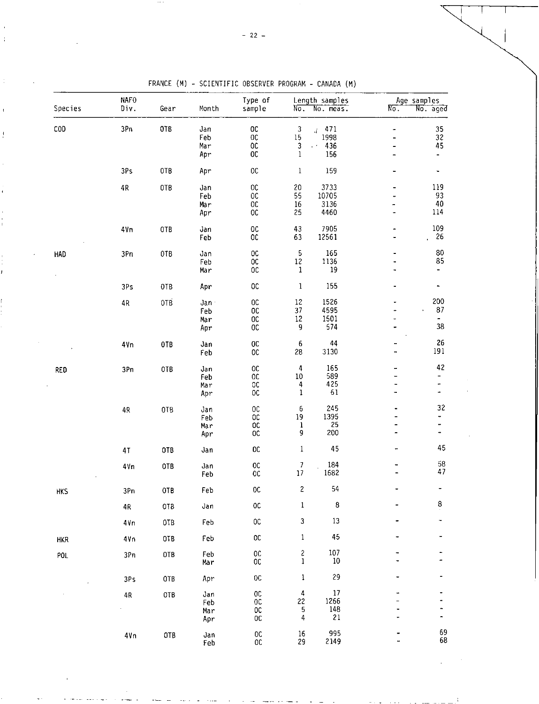| Species    | NAF <sub>0</sub><br>Div. | Gear            | Month                     | Type of<br>sample                                     | No.                                   | Length samples<br>No. meas.                      | No.                                                        | Age samples<br>No. aged           |
|------------|--------------------------|-----------------|---------------------------|-------------------------------------------------------|---------------------------------------|--------------------------------------------------|------------------------------------------------------------|-----------------------------------|
| COD        | 3Pn                      | OTB             | Jan<br>Feb<br>Mar<br>Apr  | 0C<br>$0\mathtt{C}$<br>$0\mathrm{C}$<br>$0\mathrm{C}$ | $\sqrt{3}$<br>$15\,$<br>3<br>$\bf{l}$ | 471<br>1998<br>4Í.<br>436<br>$\epsilon$ .<br>156 | $\blacksquare$<br>-<br>÷.                                  | 35<br>32<br>45<br>4               |
|            | 3Ps                      | OTB             | Apr                       | $0\mathrm{C}$                                         | $\,1$                                 | 159                                              | -                                                          | ۳                                 |
|            | 4R                       | <b>OTB</b>      | Jan<br>Feb<br>Mar<br>Apr  | $_{00}$<br>$0\,$<br>$0\,$<br>0C                       | 20<br>55<br>16<br>25                  | 3733<br>10705<br>3136<br>4460                    | $\qquad \qquad \blacksquare$<br>.,<br>$\ddot{\phantom{1}}$ | 119<br>93<br>40<br>114            |
|            | 4Vn                      | <b>OTB</b>      | Jan<br>Feb                | 0C<br>$_{0c}$                                         | 43<br>63                              | 7905<br>12561                                    | $\overline{\phantom{0}}$                                   | 109<br>26                         |
| <b>HAD</b> | 3Pn                      | OTB             | Jan<br>Feb<br>Mar         | $_{\rm OC}$<br>$_{\rm oc}$<br>$_{0c}$                 | 5<br>$12\,$<br>1                      | 165<br>1136<br>19                                | $\blacksquare$<br>۰<br>۰                                   | 80<br>85<br>۰                     |
|            | 3Ps                      | OTB             | Apr                       | $_{\rm oc}$                                           | $\,1$                                 | 155                                              | $\blacksquare$                                             | ۰                                 |
|            | 4R                       | <b>OTB</b>      | Jan-<br>Feb<br>Mar<br>Apr | $_{00}$<br><b>OC</b><br>$0\mathrm{C}$<br>$_{0c}$      | 12<br>37<br>12<br>9                   | 1526<br>4595<br>1501<br>574                      | u.<br>$\overline{\phantom{a}}$                             | 200<br>87<br>$\blacksquare$<br>38 |
|            | 4Vn                      | 0TB             | Jan<br>Feb                | $0\mathrm{C}$<br>$_{\rm OC}$                          | 6<br>28                               | 44<br>3130                                       | <br>                                                       | 26<br>191                         |
| RED        | 3Pn                      | OTB             | Jan<br>Feb<br>Mar<br>Apr  | $_{0c}$<br>0C<br>$_{\rm OC}$<br>$_{\rm OC}$           | 4<br>10<br>4<br>$\,1\,$               | 165<br>589<br>425<br>61                          | <br>$\overline{\phantom{0}}$<br><br>۰.                     | 42<br>-<br>-<br>۰                 |
|            | 4R                       | OT <sub>B</sub> | Jan<br>Feb<br>Mar<br>Apr  | $0\mathrm{C}$<br>$0\mathrm{C}$<br>OC<br>$_{0c}$       | 6<br>19<br>$\mathbf{l}$<br>9          | 245<br>1395<br>25<br>200                         | $\overline{\phantom{a}}$<br>$\overline{\phantom{0}}$<br>-  | 32<br>۰<br>-<br>-                 |
|            | 4T                       | OTB             | Jan                       | OC                                                    | $\,1$                                 | 45                                               | -                                                          | 45                                |
|            | 4Vn                      | OTB             | Jan<br>Feb                | $\rm_{OC}^{OC}$                                       | $\frac{7}{17}$                        | 184<br>1682                                      |                                                            | 58<br>47                          |
| HKS        | 3Pn                      | 0TB             | Feb                       | OC                                                    | $\overline{\mathbf{c}}$               | 54                                               |                                                            |                                   |
|            | 4R                       | OTB             | Jan                       | 0C                                                    | $\mathbf 1$                           | $\bf 8$                                          |                                                            | 8                                 |
|            | 4Vn                      | 0TB             | Feb                       | $_{\rm OC}$                                           | $\ensuremath{\mathsf{3}}$             | $13\,$                                           |                                                            |                                   |
| <b>HKR</b> | 4Vn                      | OTB             | Feb                       | $_{\rm oc}$                                           | $\mathbf{1}$                          | 45                                               |                                                            |                                   |
| POL        | 3Pn                      | <b>OTB</b>      | Feb<br>Mar                | OC<br>OC                                              | 2<br>1                                | 107<br>10                                        |                                                            |                                   |
|            | 3Ps                      | 0TB             | Apr                       | OC                                                    | 1                                     | 29                                               |                                                            |                                   |
|            | $4\,$                    | OTB             | Jan<br>Feb<br>Mar<br>Apr  | $0\,$<br>$_{0c}$<br>OC<br>OC                          | 4<br>22<br>5<br>4                     | 17<br>1266<br>148<br>21                          |                                                            |                                   |
|            | 4Vn                      | OTB             | Jan<br>Feb                | OC<br>OC                                              | 16<br>29                              | 995<br>2149                                      |                                                            | 69<br>68                          |

FRANCE (M) - SCIENTIFIC OBSERVER PROGRAM - CANADA (M)

 $\ddot{\phantom{a}}$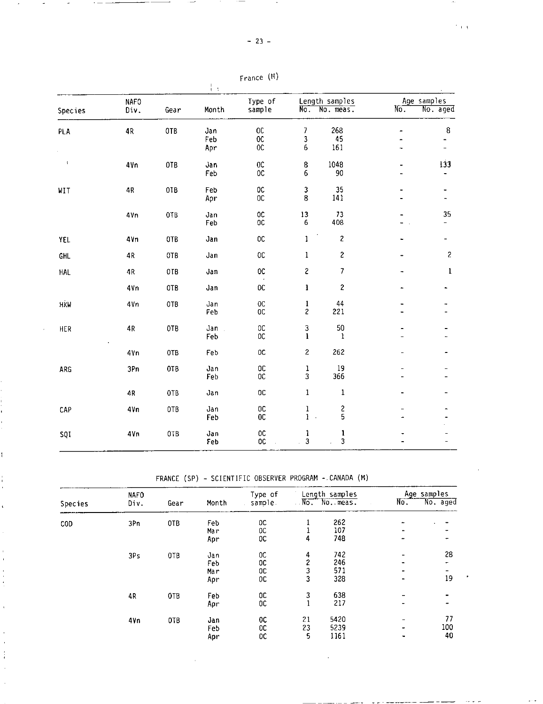$\overline{\phantom{a}}$ 

| ٠<br>I | ٠ | ١ |
|--------|---|---|
|        |   |   |

. . .

|         |                     |      | ŧ,                |                                       |                                |                             |                |                              |
|---------|---------------------|------|-------------------|---------------------------------------|--------------------------------|-----------------------------|----------------|------------------------------|
| Species | <b>NAFO</b><br>Div. | Gear | Month             | Type of<br>sample                     | No.                            | Length samples<br>No. meas. | No.            | Age samples<br>No. aged      |
| PLA     | 4R                  | 0TB  | Jan<br>Feb<br>Apr | <b>OC</b><br>$0\mathrm{C}$<br>$_{0c}$ | 7<br>3<br>6                    | 268<br>45<br>161            |                | $\bf 8$                      |
| $\,$    | 4Vn                 | 0TB  | Jan<br>Feb        | 0C<br>$_{0c}$                         | 8<br>6                         | 1048<br>90                  |                | 133                          |
| WIT     | $4\,\mathrm{P}$     | 0TB  | Feb<br>Apr        | OC.<br>OC                             | 3<br>8                         | 35<br>141                   |                | $\qquad \qquad \blacksquare$ |
|         | 4Vn                 | 0TB  | Jan<br>Feb        | $_{\rm oc}$<br>OC                     | 13<br>6                        | 73<br>408                   |                | 35                           |
| YEL     | 4Vn                 | 0TB  | Jan               | <b>OC</b>                             | $\mathbf{1}$                   | $\overline{\mathbf{c}}$     |                |                              |
| GHL     | $4\,\mathrm{R}$     | 0TB  | Jan               | $_{0c}$                               | 1                              | 2                           |                | $\overline{\mathbf{c}}$      |
| HAL     | 4R                  | OTB  | Jan               | <b>OC</b>                             | $\mathbf{c}$                   | 7                           | $\blacksquare$ | $\mathbf 1$                  |
|         | 4Vn                 | OTB  | Jan               | <b>OC</b>                             | $\mathbf{1}$                   | 2                           |                |                              |
| HKW     | 4Vn                 | 0TB  | Jan<br>Feb        | $_{\rm oc}$<br>OC                     | $\mathbf{I}$<br>$\overline{c}$ | 44<br>221                   |                |                              |
| HER     | 4R                  | 0TB  | Jan<br>Feb        | OC<br><b>OC</b>                       | 3<br>$\mathbf{i}$              | 50<br>1                     |                |                              |
|         | 4Vn                 | 0TB  | Feb               | 0C                                    | $\overline{c}$                 | 262                         |                |                              |
| ARG     | 3Pn                 | OTB  | Jan<br>Feb        | $_{\rm OC}$<br>$_{0c}$                | $\mathbf{1}$<br>3              | 19<br>366                   |                |                              |
|         | 4R                  | 0TB  | Jan               | <b>OC</b>                             | $\mathbf{1}$                   | 1                           |                |                              |
| CAP     | 4Vn                 | 0TB  | Jan<br>Feb        | 0C<br>0C                              | $\mathbf{1}$<br>$1$ .          | 2<br>5                      |                |                              |
| SQI     | 4Vn                 | 0TB  | Jan<br>Feb        | $_{0c}$<br>OC                         | $\mathbf{1}$<br>3              | ı<br>3                      |                |                              |

| France | (M) |
|--------|-----|
|--------|-----|

FRANCE (SP) - SCIENTIFIC OBSERVER PROGRAM -.CANADA (M)

Ť

ï

|            | <b>NAFO</b> |      |       | Type of   | Length samples          |               | Age samples |          |  |
|------------|-------------|------|-------|-----------|-------------------------|---------------|-------------|----------|--|
| Species    | Div.        | Gear | Month | sample    |                         | No. No. meas. | No.         | No. aged |  |
| <b>COD</b> | 3Pn         | OTB  | Feb   | oc        |                         | 262           |             |          |  |
|            |             |      | Mar   | OC        |                         | 107           |             |          |  |
|            |             |      | Apr   | 0C        | 4                       | 748           |             |          |  |
|            | 3Ps         | 0TB  | Jan   | OC        | 4                       | 742           |             | 28       |  |
|            |             |      | Feb   | 0C        | $\overline{\mathbf{c}}$ | 246           |             |          |  |
|            |             |      | Mar   | OC        | 3                       | 571           |             |          |  |
|            |             |      | Apr   | 0C        | 3                       | 328           |             | 19       |  |
|            | 4R          | 0TB  | Feb   | OC        | 3                       | 638           |             |          |  |
|            |             |      | Apr   | 0C        | $\mathbf{1}$            | 217           |             |          |  |
|            | 4 vn        | OTB  | Jan   | oc        | 21                      | 5420          |             | 77       |  |
|            |             |      | Feb   | <b>OC</b> | 23                      | 5239          |             | 100      |  |
|            |             |      | Apr   | 0C        | 5                       | 1161          |             | 40       |  |

 $\overline{\phantom{a}}$  $\mathcal{L}^{(0)}$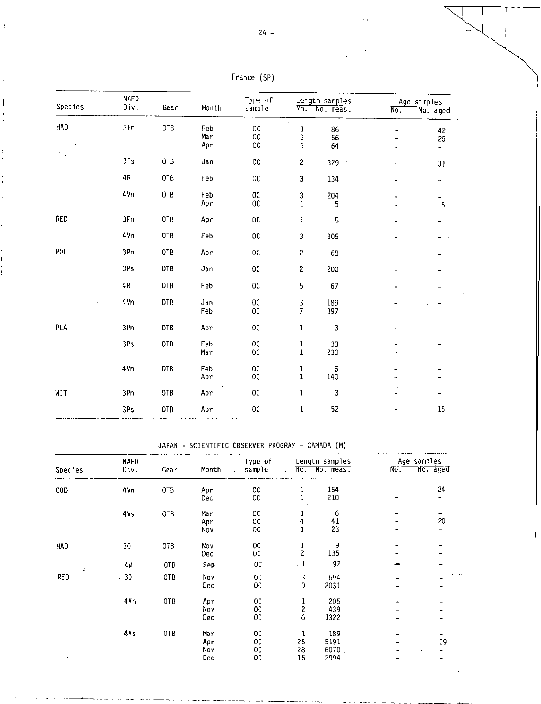|                | <b>NAFO</b> |      |            | Type of                            |                                 | Length samples | Age_samples                                          |                |
|----------------|-------------|------|------------|------------------------------------|---------------------------------|----------------|------------------------------------------------------|----------------|
| <b>Species</b> | Div.        | Gear | Month      | sample                             | $\overline{No}$ .               | No. meas.      | No.                                                  | No. aged       |
| HAD            | 3Pn         | 0TB  | Feb<br>Mar | <b>OC</b><br><b>OC</b>             | $\epsilon$<br>1<br>$\mathbf{l}$ | 86<br>56       | $\overline{\phantom{m}}$<br>$\overline{\phantom{0}}$ | 42<br>25       |
| 人工             |             |      | Apr        | $_{0c}$                            | $\mathbf{1}$                    | 64             |                                                      | $\omega$       |
|                | 3Ps         | 0TB  | Jan        | 0C                                 | $\overline{\mathbf{c}}$         | 329<br>$\cdot$ | $\omega^{\pm}$                                       | 31             |
|                | 4R          | OTB  | Feb        | OC                                 | 3                               | 134            | -                                                    | $\blacksquare$ |
|                | 4Vn         | 0TB  | Feb<br>Apr | $_{0c}$<br>0C                      | 3<br>$\mathbf{1}$               | 204<br>5       | -                                                    | -<br>5         |
| RED            | 3Pn         | OTB  | Apr        | $_{0c}$                            | $\mathbf{l}$                    | 5              |                                                      |                |
|                | 4/n         | OTB  | Feb        | $0\text{C}$                        | 3                               | 305            | ÷.                                                   |                |
| POL            | 3Pn         | OTB  | Apr        | 0C                                 | $\mathbf 2$                     | 68             |                                                      |                |
|                | 3Ps         | 0TB  | Jan        | $_{\rm oc}$                        | $\overline{c}$                  | 200            |                                                      |                |
|                | 4R          | 0TB  | Feb        | $0\mathrm{C}$                      | 5                               | 67             |                                                      |                |
| $\blacksquare$ | 4Vn         | 0TB  | Jan<br>Feb | $_{0c}$<br>$0\text{C}$             | 3<br>$\overline{7}$             | 189<br>397     |                                                      |                |
| PLA            | 3Pn         | 0TB  | Apr        | 0 <sup>C</sup>                     | $\mathbf{1}$                    | 3              |                                                      |                |
|                | 3Ps         | 0TB  | Feb<br>Mar | $_{0c}$<br>$_{0c}$                 | $\mathbf{1}$<br>$\mathbf{1}$    | 33<br>230      |                                                      |                |
|                | 4Vn         | 0TB  | Feb<br>Apr | OC<br>0C                           | $\mathbf{1}$<br>$\mathbf 1$     | 6<br>140       |                                                      |                |
| WIT            | 3Pn         | OTB  | Apr        | <b>OC</b>                          | $\mathbf{1}$                    | 3              |                                                      |                |
|                | 3Ps         | 0TB  | Apr        | $0\mathrm{C}$<br>$\sim 10^{-1}$ km | 1                               | 52             |                                                      | $16\,$         |

| (SP)<br>France |
|----------------|
|----------------|

JAPAN - SCIENTIFIC OBSERVER. PROGRAM - CANADA (M)

|            | <b>NAFO</b> |      |       | Type of   |                         | Length samples            | Age samples |          |  |
|------------|-------------|------|-------|-----------|-------------------------|---------------------------|-------------|----------|--|
| Species    | Div.        | Gear | Month | sample.   | $\mathcal{L}$           | No. No. meas. .<br>$\sim$ | $N0$ .      | No. aged |  |
| <b>COD</b> | 4Vn         | OTB  | Apr   | OC.       |                         | 154                       |             | 24       |  |
|            |             |      | Dec   | 0C        |                         | 210                       |             | -        |  |
|            | 41s         | 0TB  | Mar   | OC        |                         | 6                         |             | -        |  |
|            |             |      | Apr   | $_{0c}$   |                         | 41                        |             | 20       |  |
|            |             |      | Nov   | 0C        |                         | 23                        |             |          |  |
| HAD        | 30          | OTB  | Nov   | OC.       |                         | 9                         |             |          |  |
|            |             |      | Dec   | ЮC        | $\overline{c}$          | 135                       |             |          |  |
| di u       | 4W          | 0TB  | Sep   | 0C        | $\cdot$ 1               | 92                        |             |          |  |
| RED        | .30         | OTB  | Nov   | $_{0c}$   | 3                       | 694                       |             |          |  |
|            |             |      | Dec   | OC.       | 9                       | 2031                      |             |          |  |
|            | 4Vn         | OTB  | Apr   | 0C        | $\overline{1}$          | 205                       |             |          |  |
|            |             |      | Nov   | <b>OC</b> | $\overline{\mathbf{c}}$ | 439                       |             |          |  |
|            |             |      | Dec   | OC.       | 6                       | 1322                      |             |          |  |
|            | 4Ys         | OTB  | Mar   | OC.       | 1                       | 189                       |             |          |  |
|            |             |      | Apr   | 0C        | 26                      | 5191                      |             | 39       |  |
|            |             |      | Nov   | 0C        | 28                      | 6070.                     |             |          |  |
|            |             |      | Dec   | 0C        | 15                      | 2994                      |             |          |  |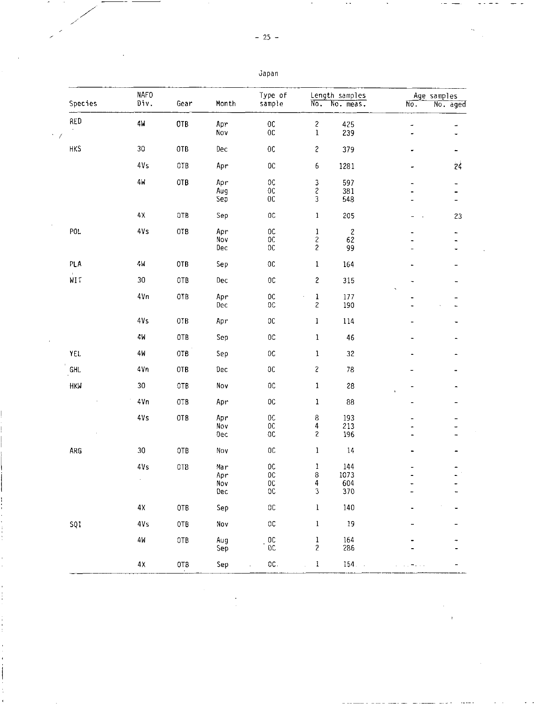|                     | <b>NAFO</b><br>Div. |                 |       | Type of        |                                            | Length samples |                          | Age samples    |
|---------------------|---------------------|-----------------|-------|----------------|--------------------------------------------|----------------|--------------------------|----------------|
| Species             |                     | Gear            | Month | sample         | No.                                        | No. meas.      | $\overline{\text{No}}$ . | No. aged       |
| RED                 | 4M                  | OTB             | Apr   | $0\,$          | $\boldsymbol{2}$                           | 425            | ٠                        |                |
|                     |                     |                 | Nov   | $_{0c}$        | $\mathbf 1$                                | 239            | ٠                        |                |
| <b>HKS</b>          | $30\,$              | 0TB             | Dec   | $0\mathrm{C}$  | $\mathbf{2}$                               | 379            | ٠                        | ۰              |
|                     | 4V <sub>S</sub>     | 0TB             | Apr   | $_{0c}$        | 6                                          | 1281           | $\overline{ }$           | 24             |
|                     | 4 <sub>M</sub>      | 0TB             | Apr   | $_{\rm OC}$    | $\ensuremath{\mathsf{3}}$                  | 597            | ٠                        | $\blacksquare$ |
|                     |                     |                 | Aug   | $0\,$          | $\overline{\mathcal{E}}$                   | 381            |                          |                |
|                     |                     |                 | Sep   | $0\mathrm{C}$  | $\overline{\mathbf{3}}$                    | 548            |                          | ÷              |
|                     | $4\,\mathrm{X}$     | OTB             | Sep   | 0 <sup>C</sup> | $\mathbf{1}$                               | 205            |                          | 23             |
| P01                 | 4Vs                 | OTB             | Apr   | $_{0c}$        |                                            | $\sqrt{2}$     |                          | ۰              |
|                     |                     |                 | Nov   | $_{\rm OC}$    | $\begin{array}{c} 1 \\ 2 \\ 2 \end{array}$ | 62             |                          | -              |
|                     |                     |                 | Dec   | 0 <sub>C</sub> |                                            | 99             |                          |                |
| PLA                 | 4И                  | 0TB             | Sep   | $0\mathrm{C}$  | $\mathbf{1}$                               | 164            |                          |                |
| $\mathbf{I}$<br>WIT | 30                  | 0TB             | Dec   | $_{0c}$        | $\sqrt{2}$                                 | 315            |                          |                |
|                     | 4Vn                 | 0TB             | Apr   | $_{\rm OC}$    | $\mathbf{1}$                               | 177            |                          |                |
|                     |                     |                 | Dec   | $_{0c}$        | $\overline{c}$                             | 190            |                          |                |
|                     | 4Vs                 | 0TB             | Apr   | $0\mathbb{C}$  | $\mathbf 1$                                | 114            | $\overline{a}$           |                |
|                     | 4И                  | 0TB             | Sep   | $_{0c}$        | $\mathbf 1$                                | 46             |                          |                |
| <b>YEL</b>          | 4W                  | OTB             | Sep   | $_{\rm OC}$    | 1                                          | 32             |                          |                |
| GHL                 | 4Vn                 | OTB             | Dec   | $0\,$          | $\mathsf{2}$                               | ${\it 78}$     |                          |                |
| HKW                 | 30                  | 0TB             | Nov   | 0C             | $\mathbf{1}$                               | 28             |                          |                |
|                     | 4Vn                 | OTB             | Apr   | $_{\rm OC}$    | $\mathbf 1$                                | 88             |                          |                |
|                     | 41s                 | OTB             | Apr   | $_{0c}$        | $\bf 8$                                    | 193            |                          |                |
|                     |                     |                 | Nov   | $0\mathrm{C}$  | $\overline{4}$                             | 213            |                          |                |
|                     |                     |                 | Oec   | 0C             | $\mathbf{2}$                               | 196            |                          |                |
| ARG                 | 30                  | OTB             | Nov   | $0\mathbb{C}$  | 1                                          | $14\,$         |                          |                |
|                     | 4Vs                 | OTB             | Mar   | $0\mathsf{C}$  | 1                                          | 144            |                          |                |
|                     |                     |                 | Apr   | $_{00}$        | $^{\rm 8}$                                 | 1073           |                          |                |
|                     |                     |                 | Nov   | $\frac{0}{0}$  | 4                                          | 604<br>370     |                          |                |
|                     |                     |                 | Dec   |                | $\overline{3}$                             |                |                          |                |
|                     | 4Х                  | OTB             | Sep   | 0 <sup>C</sup> | $\,1$                                      | 140            |                          |                |
| SQI                 | 4Vs                 | OTB             | Nov   | $0\mathrm{C}$  | $\,1$                                      | 19             |                          |                |
|                     | 4 N                 | 0TB             | Aug   | $0\,$          |                                            | 164            |                          |                |
|                     |                     |                 | Sep   | $0\mathbb{C}$  | $\frac{1}{2}$                              | 286            |                          |                |
|                     | $4\,\mathrm{X}$     | OT <sub>B</sub> | Sep   | $0C$ .         | $\mathbf 1$                                | 154.           |                          |                |

-25-

Japan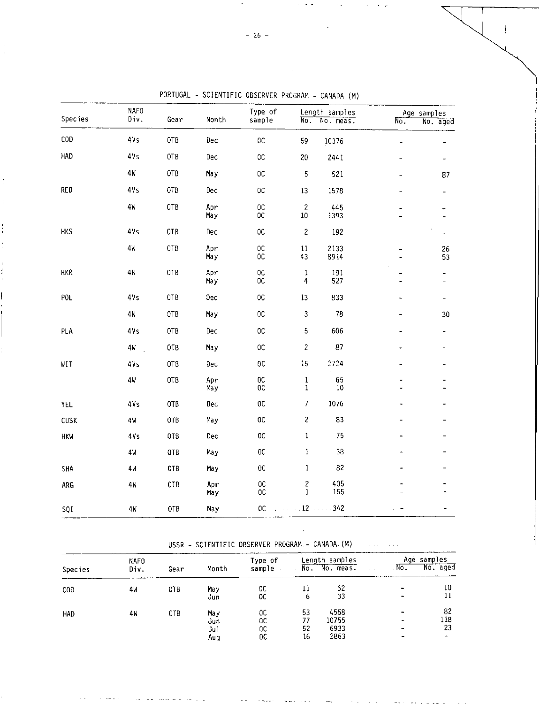| <b>Species</b> | <b>NAFO</b><br>Div. | Gear            | Month      | Type of<br>sample          | $\overline{\text{No}}$ .               | Length samples<br>No. meas. | $\overline{\text{No}}$ . | Age samples<br>. No. aged    |
|----------------|---------------------|-----------------|------------|----------------------------|----------------------------------------|-----------------------------|--------------------------|------------------------------|
| COD            | 4Vs                 | 0TB             | Dec        | $0\mathtt{C}$              | 59                                     | 10376                       | $\overline{\phantom{0}}$ |                              |
| HAD            | 4Vs                 | 0TB             | Dec        | 0 <sup>C</sup>             | 20                                     | 2441                        | $\overline{a}$           |                              |
|                | 4 <sub>M</sub>      | 0TB             | May        | OC                         | 5                                      | 521                         |                          | 87                           |
| RED            | 41s                 | 0TB             | Dec        | $_{0c}$                    | $13\,$                                 | 1578                        |                          | -                            |
|                | 4 <sub>N</sub>      | 0TB             | Apr<br>May | $_{0c}$<br><b>OC</b>       | $\overline{c}$<br>$10\,$               | 445<br>1393                 |                          |                              |
| <b>HKS</b>     | 41s                 | OTB             | Dec        | <b>OC</b>                  | $\overline{c}$                         | 192                         |                          |                              |
|                | 4 <sub>h</sub>      | OTB             | Apr<br>May | $_{00}^{00}$               | $11\,$<br>43                           | 2133<br>8914                |                          | 26<br>53                     |
| HKR            | 4 <sub>W</sub>      | 0TB             | Apr<br>May | $_{00}$<br><b>OC</b>       | $\,1$<br>$\overline{\mathbf{r}}$       | 191<br>527                  |                          | -<br>-                       |
| POL            | 4Vs                 | 0TB             | Dec        | $_{0C}$                    | 13                                     | 833                         | ä,                       | $\qquad \qquad \blacksquare$ |
|                | 4 <sub>M</sub>      | OTB             | May        | $0\,$                      | 3                                      | 78                          |                          | 30                           |
| PLA            | 4Vs                 | 0TB             | Dec        | 0 <sup>C</sup>             | 5                                      | 606                         |                          |                              |
|                | 4w                  | 0TB             | May        | 0C                         | $\overline{\mathcal{L}}$               | 87                          |                          |                              |
| WIT            | 4v <sub>S</sub>     | OT <sub>B</sub> | Dec        | 0 <sup>C</sup>             | 15                                     | 2724                        |                          |                              |
|                | 4W                  | OTB             | Apr<br>May | $0\mathtt{C}$<br>$_{0c}$   | $\mathbf 1$<br>$\mathbf 1$             | 65<br>$10\,$                |                          |                              |
| YEL            | 4Vs                 | 0TB             | Dec        | $_{0c}$                    | $\overline{\phantom{a}}$               | 1076                        |                          |                              |
| CUSK           | 4W                  | 0TB             | May        | <b>OC</b>                  | $\overline{\mathbf{c}}$                | 83                          |                          |                              |
| <b>HKW</b>     | 4V <sub>S</sub>     | OTB             | Dec        | $0\mathrm{C}$              | $\mathbf 1$                            | 75                          |                          |                              |
|                | 4W                  | 0TB             | May        | $0\mathrm{C}$              | $\,$ I                                 | 38                          |                          |                              |
| <b>SHA</b>     | 4 <sub>M</sub>      | 0TB             | May        | $0\mathrm{C}$              | $\bf{l}$                               | 82                          |                          |                              |
| <b>ARG</b>     | 4W                  | OTB             | Apr<br>May | $0\mathrm{C}$<br><b>OC</b> | $\overline{\mathbf{c}}$<br>$\mathbf 1$ | 405<br>155                  |                          |                              |
| SQI            | 4W                  | 0TB             | May        | $0\mathrm{C}$              | $\ldots$ $12$ $\ldots$ $342$ .         |                             |                          |                              |

PORTUGAL - SCIENTIFIC OBSERVER PROGRAM - CANADA (M)

# USSR - SCIENTIFIC OBSERVER. PROGRAM. - CANADA. (M)

 $\sim$   $\sim$ 

|         | NAF0 |      |       | Type of | Length samples |           |        | Age samples |          |  |
|---------|------|------|-------|---------|----------------|-----------|--------|-------------|----------|--|
| Species | Div. | Gear | Month | sample  | No.            | No. meas. | $\sim$ | $No$ .      | No. aged |  |
| COD     | 4W   | 0TB  | May   | 0C      | 11             | 62        |        |             | 10       |  |
|         |      |      | Jun   | OC      | 6              | 33        |        |             |          |  |
| HAD     | 4W   | 018  | May   | 0C      | 53             | 4558      |        |             | 82       |  |
|         |      |      | งนก   | 0C      | 77             | 10755     |        |             | 118      |  |
|         |      |      | Ju1   | 0C      | 52             | 6933      |        |             | 23       |  |
|         |      |      | Aug   | 0C      | 16             | 2863      |        |             |          |  |

 $\sim$   $\sim$   $\sim$  $\sim$ 

÷

 $\mathbf{I}$ 

ł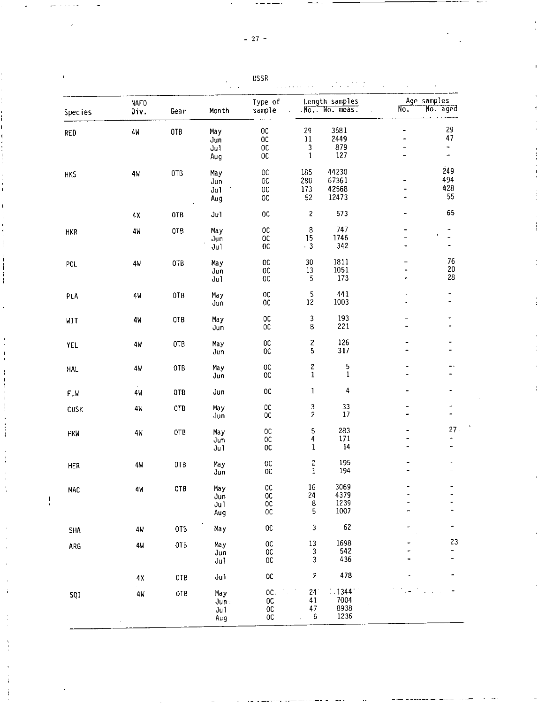|  |  | ٠ |
|--|--|---|
|--|--|---|

Ţ

| $\mathbf I$<br><b>USSR</b> |                     |      |                                     |                                                         |                                   |                                  |                                   |                                                       |  |  |  |
|----------------------------|---------------------|------|-------------------------------------|---------------------------------------------------------|-----------------------------------|----------------------------------|-----------------------------------|-------------------------------------------------------|--|--|--|
| Species                    | <b>NAFO</b><br>Div. | Gear | Month                               | Type of<br>sample                                       |                                   | Length samples<br>No. No. meas.  | Age samples<br>$N_{\overline{0}}$ | No. aged                                              |  |  |  |
| <b>RED</b>                 | $4\,\mathrm{h}$     | 0TB  | May<br>Jun<br>J <sub>u</sub><br>Aug | $0\mathrm{C}$<br>$0\mathrm{C}$<br>OC<br>0C              | 29<br>$11\,$<br>3<br>$\mathbf{1}$ | 3581<br>2449<br>879<br>127       | ż.                                | 29<br>47<br>$\overline{\phantom{0}}$<br>$\rightarrow$ |  |  |  |
| <b>HKS</b>                 | 4W                  | 0TB  | May<br>Jun<br>Ju1<br>Aug            | OC<br>ОC<br>$0\mathbb{C}$<br>$0\mathrm{C}$              | 185<br>280<br>173<br>52           | 44230<br>67361<br>42568<br>12473 | $\blacksquare$                    | 249<br>494<br>428<br>55                               |  |  |  |
|                            | 4Χ                  | 0TB  | Ju1                                 | $_{\rm OC}$                                             | $\sqrt{2}$                        | 573                              | -                                 | 65                                                    |  |  |  |
| HKR                        | 4 <sub>M</sub>      | 0TB  | May<br>Jun<br>Jul                   | $0\,$<br>0C<br>0 <sup>C</sup>                           | $\,8\,$<br>15<br>.3               | 747<br>1746<br>342               |                                   | $\overline{\phantom{a}}$                              |  |  |  |
| POL                        | 4W                  | OTB  | May<br>Jun<br>Jul                   | 0C<br>$0\mathrm{C}$<br>0 <sup>C</sup>                   | 30<br>13<br>$\mathbf 5$           | 1811<br>1051<br>173              | ۰                                 | 76<br>20<br>28                                        |  |  |  |
| PLA                        | 4W                  | 0TB  | May<br>Jun                          | $0\mathbb{C}$<br>${\tt OC}$                             | 5<br>12                           | 441<br>1003                      |                                   | $\overline{\phantom{a}}$<br>$\overline{\phantom{0}}$  |  |  |  |
| WIT                        | 4W                  | OTB  | May<br>Jun                          | 0C<br>0C                                                | 3<br>8                            | 193<br>221                       |                                   |                                                       |  |  |  |
| YEL                        | 4M                  | OTB  | May<br>Jun                          | $_{\rm OC}$<br>$0\mathrm{C}$                            | $\overline{\mathbf{c}}$<br>5      | 126<br>317                       |                                   |                                                       |  |  |  |
| <b>HAL</b>                 | 4W                  | 0TB  | May<br>Jun                          | 0 <sup>C</sup><br>$0\mathrm{C}$                         | $\overline{\mathbf{c}}$<br>1      | 5<br>$\mathbf 1$                 |                                   |                                                       |  |  |  |
| FLW                        | 4W                  | OTB  | Jun                                 | 0C                                                      | $\mathbf{1}$                      | 4                                | ۰                                 | $\qquad \qquad \blacksquare$                          |  |  |  |
| CUSK                       | 4W                  | 0TB  | May<br>Jun                          | $0\mathtt{C}$<br>0C                                     | 3<br>$\overline{c}$               | 33<br>17                         | ÷.                                | $\overline{a}$                                        |  |  |  |
| <b>HKN</b>                 | 4W                  | OTB  | May<br>Jun<br>Ju1                   | 0 <sup>C</sup><br>$0\mathrm{C}$<br>0C                   | 5<br>4<br>$\mathbf{1}$            | 283<br>171<br>14                 |                                   | $27 -$                                                |  |  |  |
| HER                        | 4W                  | OTB  | May<br>Jun                          | 0C<br>$0\mathrm{C}$                                     | 2<br>$\mathbf 1$                  | 195<br>194                       |                                   | ۰                                                     |  |  |  |
| MAC                        | 4 W                 | OTB  | May<br>Jun<br>Ju1<br>Aug            | $0\mathrm{C}$<br><b>OC</b><br>0 <sub>C</sub><br>$_{0c}$ | 16<br>24<br>8<br>5                | 3069<br>4379<br>1239<br>1007     |                                   |                                                       |  |  |  |
| SHA                        | 4W                  | 0TB  | Ma y                                | $0\,$                                                   | 3                                 | 62                               |                                   | -                                                     |  |  |  |
| ARG                        | 4W                  | OTB  | Ma y<br>Jun<br>Ju1                  | $\rm_{OC}^{\rm OC}$<br>$_{\rm OC}$                      | 13<br>3<br>3                      | 1698<br>542<br>436               |                                   | 23<br>$\overline{\phantom{0}}$                        |  |  |  |
|                            | 4X                  | 0TB  | Jul                                 | <b>DC</b>                                               | $\overline{\mathbf{c}}$           | 478                              |                                   |                                                       |  |  |  |
| SQI                        | 4W                  | 0TB  | Ma y<br>Jun-<br>Ju1<br>Aug          | OC.<br>OC<br>$0\mathtt{C}$<br>OC                        | $-24$<br>41<br>47<br>6            | .1344<br>7004<br>8938<br>1236    |                                   |                                                       |  |  |  |

 $\frac{1}{4}$ 

 $\mathbb{C}^2$ 

 $\sim$ 

 $\label{eq:2} \frac{1}{\sqrt{2}}\sum_{i=1}^n\frac{1}{\sqrt{2\pi}}\int_0^1\frac{1}{\sqrt{2\pi}}\left(\frac{1}{\sqrt{2\pi}}\right)^2\frac{1}{\sqrt{2\pi}}\int_0^1\frac{1}{\sqrt{2\pi}}\left(\frac{1}{\sqrt{2\pi}}\right)^2\frac{1}{\sqrt{2\pi}}\frac{1}{\sqrt{2\pi}}\frac{1}{\sqrt{2\pi}}\int_0^1\frac{1}{\sqrt{2\pi}}\frac{1}{\sqrt{2\pi}}\frac{1}{\sqrt{2\pi}}\frac{1}{\sqrt{2\pi}}\frac{1}{\sqrt{$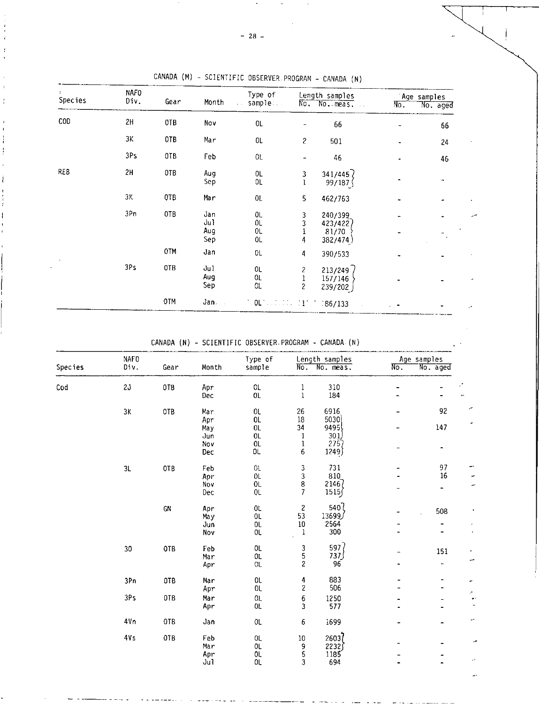|            |                 |      | SOLENTITIC ODJENTEN FRUGRAM - CANADA (N). |                                   |                               |                                                  |                                       |    |  |  |
|------------|-----------------|------|-------------------------------------------|-----------------------------------|-------------------------------|--------------------------------------------------|---------------------------------------|----|--|--|
| Species    | NAFO<br>Div.    | Gear | Month                                     | Type of<br>sample<br>$\mathbf{r}$ |                               | Length samples<br>No. No. meas.<br>$\sim$ $\sim$ | Age samples<br>$\n  No$ .<br>No. aged |    |  |  |
|            |                 |      |                                           |                                   |                               |                                                  |                                       |    |  |  |
| COD        | 2H              | OTB  | Nov                                       | 0L                                |                               | 66                                               |                                       | 66 |  |  |
|            | ЗΚ              | 0TB  | Mar                                       | OL                                | 2                             | 501                                              |                                       | 24 |  |  |
|            | 3Ps             | OTB  | Feb                                       | 0L                                |                               | 46                                               |                                       | 46 |  |  |
| <b>REB</b> | 2H              | OTB  | Aug<br>Sep                                | 0L<br>0L                          | 3<br>1                        | 341/445<br>99/187                                |                                       |    |  |  |
|            | ЗΚ              | OTB  | Mar                                       | $0\mathsf{L}$                     | 5                             | 462/763                                          |                                       |    |  |  |
| $\,$       | 3Pn             | OTB  | Jan<br>Ju1<br>Aug<br>Sep                  | OL<br>OL<br>0L<br>OL.             | 3<br>3<br>1<br>$\overline{4}$ | 240/399<br>423/422)<br>81/70<br>382/474)         | -                                     |    |  |  |
|            |                 | 0TM  | Jan                                       | 0L                                | 4                             | 390/533                                          |                                       |    |  |  |
|            | 3P <sub>S</sub> | 0TB  | Ju1<br>Aug                                | 0L<br>0L                          | $\overline{c}$                | 213/249<br>157/146                               |                                       |    |  |  |

CANADA (M) - SCIENTIFIC OBSERVER. PROGRAM - CANADA (N)

CANADA (N) - SCIENTIFIC OBSERVER.PROGRAM - CANADA. (N)

OTM Jan Jan Collective 11 1 186/133

Sep OL 2 239/202

 $\frac{1}{2}$  ,  $\frac{1}{2}$ 

 $\sim$ 

|         | <b>NAFO</b>     |      |       | Type of        |                          | Length samples                              |     | Age samples                  |  |  |
|---------|-----------------|------|-------|----------------|--------------------------|---------------------------------------------|-----|------------------------------|--|--|
| Species | Div.            | Gear | Month | sample         | $\overline{\text{No}}$ . | No. meas.                                   | No. | No. aged                     |  |  |
| Cod     | 20              | 0TB  | Apr   | <b>OL</b>      | 1                        | 310                                         |     |                              |  |  |
|         |                 |      | Dec   | $0\mathsf{L}$  | $\mathbf{1}$             | 184                                         |     |                              |  |  |
|         | $3\,\mathrm{K}$ | OTB  | Mar   | $0\mathsf{L}$  | 26                       | 6916                                        |     | 92                           |  |  |
|         |                 |      | Apr   | OL             | 18                       | 5030                                        |     |                              |  |  |
|         |                 |      | May   | $0\mathsf{L}$  | 34                       | 9495                                        |     | 147                          |  |  |
|         |                 |      | Jun   | 0 <sub>L</sub> | 1                        | 301)                                        |     |                              |  |  |
|         |                 |      | Nov   | $0\mathsf{L}$  | 1                        | 275)                                        |     | $\qquad \qquad \blacksquare$ |  |  |
|         |                 |      | Dec   | OL.            | 6                        | 1249)                                       |     |                              |  |  |
|         | 3L              | OTB  | Feb   | OL             | 3                        | 731                                         |     | 97                           |  |  |
|         |                 |      | Apr   | OL             | 3                        | 810                                         |     | 16                           |  |  |
|         |                 |      | Nov   | 0L             | 8                        | 21467                                       |     |                              |  |  |
|         |                 |      | Dec   | 0L             | 7                        | 1515/                                       |     | -                            |  |  |
|         |                 | CN   | Apr   | 0L             | $\overline{c}$           | 540                                         |     | 508                          |  |  |
|         |                 |      | May   | 0 <sub>L</sub> | 53                       | ر13699                                      |     |                              |  |  |
|         |                 |      | Jun   | 0L             | $10\,$                   | 2564                                        |     |                              |  |  |
|         |                 |      | Nov   | OL.            | $\mathbf 1$              | 300                                         |     | $\ddot{\phantom{1}}$         |  |  |
|         | 30              | OTB  | Feb   | 0L             |                          | 597                                         |     |                              |  |  |
|         |                 |      | Mar   | OL.            |                          | 737 J                                       |     | 151                          |  |  |
|         |                 |      | Apr   | 0L             | $\frac{3}{5}$            | 96                                          |     | -                            |  |  |
|         | 3Pn             | 0TB  | Mar   | 0L             | 4                        | 883                                         |     | -                            |  |  |
|         |                 |      | Apr   | OL.            | $\overline{\mathbf{c}}$  | 506                                         |     |                              |  |  |
|         | 3Ps             | 0TB  | Mar   | 0 <sub>L</sub> | $\boldsymbol{6}$         | 1250                                        |     |                              |  |  |
|         |                 |      | Apr   | 0 <sub>L</sub> | 3                        | 577                                         |     |                              |  |  |
|         |                 |      |       |                |                          |                                             |     |                              |  |  |
|         | 4Vn             | OTB  | Jan   | 0L             | 6                        | 1699                                        |     |                              |  |  |
|         | 4V <sub>S</sub> | 0TB  | Feb   | 0L             | $10\,$                   | 2603                                        |     |                              |  |  |
|         |                 |      | Mar   | OL             | 9                        |                                             |     |                              |  |  |
|         |                 |      | Apr   | OL.            | 5                        | $\begin{array}{c} 2232 \\ 1185 \end{array}$ |     |                              |  |  |
|         |                 |      | Jul   | OL.            | 3                        | 694                                         |     |                              |  |  |

 $- 28 -$ 

Ĵ ï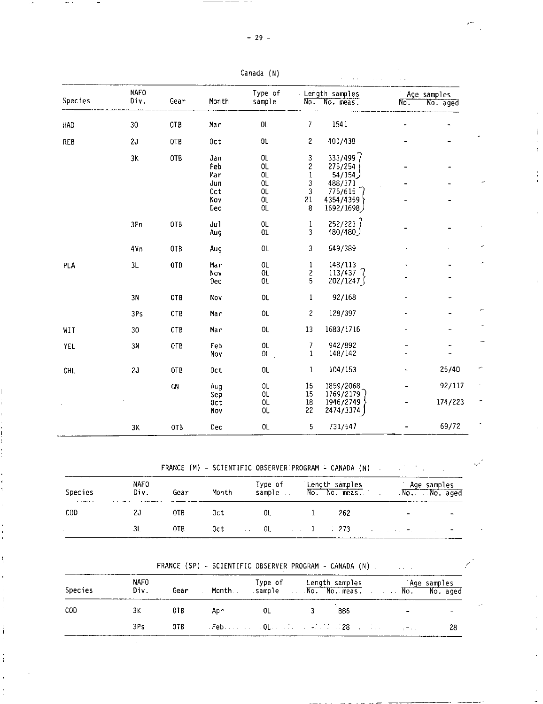|                |                             |            |       | --…--- …          |               |                             |             |                         |
|----------------|-----------------------------|------------|-------|-------------------|---------------|-----------------------------|-------------|-------------------------|
| <b>Species</b> | <b>NAFO</b><br>Div.<br>Gear |            | Month | Type of<br>sample | No.           | Length samples<br>No. meas: | $N_{\rm O}$ | Age samples<br>No. aged |
|                |                             |            |       |                   |               |                             |             |                         |
| HAD            | 30                          | 0TB        | Mar   | $0\mathsf{L}$     | 7             | 1541                        |             |                         |
| <b>REB</b>     | 2J                          | OTB        | 0ct   | 0L                | 2             | 401/438                     |             |                         |
|                | 3K                          | OTB        | Jan   | 0L                | 3             | 333/499                     |             |                         |
|                |                             |            | Feb   | 0L                | 2             | 275/254                     |             |                         |
|                |                             |            | Mar   | 0L                | $\,1$         | 54/154                      |             |                         |
|                |                             |            | Jun   | OL                | 3             | 488/371                     |             |                         |
|                |                             |            | 0ct   | OL.               | 3             | 775/615                     |             |                         |
|                |                             |            | Nov   | 0L                | 21            | 4354/4359                   |             |                         |
|                |                             |            | Dec   | OL.               | 8             | 1692/1698                   |             |                         |
|                | 3Pn                         | 0TB        | Jul   | OL.               | 1             | 252/223                     |             |                         |
|                |                             |            | Aug   | $01\,$            | 3             | لـ480/480                   |             |                         |
|                | 4Vn                         | OTB        | Aug   | OL.               | 3             | 649/389                     |             |                         |
| PLA            | 3L                          | OTB        | Mar   | 0L                | 1             | 148/113                     |             |                         |
|                |                             |            | Nov   | 0 <sub>L</sub>    | $\frac{2}{5}$ | $113/437$ $\sqrt{ }$        |             |                         |
|                |                             |            | Dec   | 01.               |               | 202/1247                    |             |                         |
|                | 3N                          | OTB        | Nov   | OL                | 1             | 92/168                      |             |                         |
|                | 3Ps                         | OTB        | Mar   | OL                | 2             | 128/397                     |             |                         |
| WIT            | 30                          | 0TB        | Mar   | 0L                | 13            | 1683/1716                   |             |                         |
| YEL            | 3N                          | OTB        | Feb   | 0L                | 7             | 942/892                     |             |                         |
|                |                             |            | Nov   | 0L                | $\mathbf{1}$  | 148/142                     |             |                         |
| <b>GHL</b>     | 2J                          | <b>OTB</b> | 0ct   | 0L                | 1             | 104/153                     |             | 25/40                   |
|                |                             | GN         | Aug   | OL.               | 15            | 1859/2068                   |             | 92/117                  |
|                |                             |            | Sep   | OL.               | 15            | 1769/2179                   |             |                         |
|                |                             |            | 0ct   | OL                | $18\,$        | 1946/2749                   |             | 174/223                 |
|                |                             |            | Nov   | OL.               | 22            | 2474/3374                   |             |                         |
|                | ЗΚ                          | 0TB        | Dec   | 0 <sub>L</sub>    | 5             | 731/547                     |             | 69/72                   |

Canada (N)

FRANCE (M) - SCIENTIFIC OBSERVER PROGRAM = CANADA (N) . . . . . . .

أمويا

 $\sim 10^{11}$ 

| Species    | NAFO<br>Div. | Gear            | Month | Type of<br>sample | 'Length samples<br>No. No. meas. | Age samples<br>No. No. aged |                          |
|------------|--------------|-----------------|-------|-------------------|----------------------------------|-----------------------------|--------------------------|
| <b>COD</b> | 20           | OTB.            | Oct   | 0L                | -262                             | $\sim$                      |                          |
|            |              | 0TB<br>________ | 0ct.  |                   |                                  |                             | $\overline{\phantom{0}}$ |

FRANCE (SP) - SCIENTIFIC OBSERVER PROGRAM - CANADA (N)

| Species | <b>NAFO</b><br>Div. | Gear | <b>Month</b> | sample No. No. meas. No. No. No. aged | Type of Length samples |                          | Age samples |
|---------|---------------------|------|--------------|---------------------------------------|------------------------|--------------------------|-------------|
| COD     | ЗK                  | 0TB  | Apr          | <b>OL</b>                             | 886                    | $\overline{\phantom{0}}$ |             |
|         | 3Ps                 | OTB. |              |                                       |                        |                          | 28          |

 $\mathbf{I}$ 

———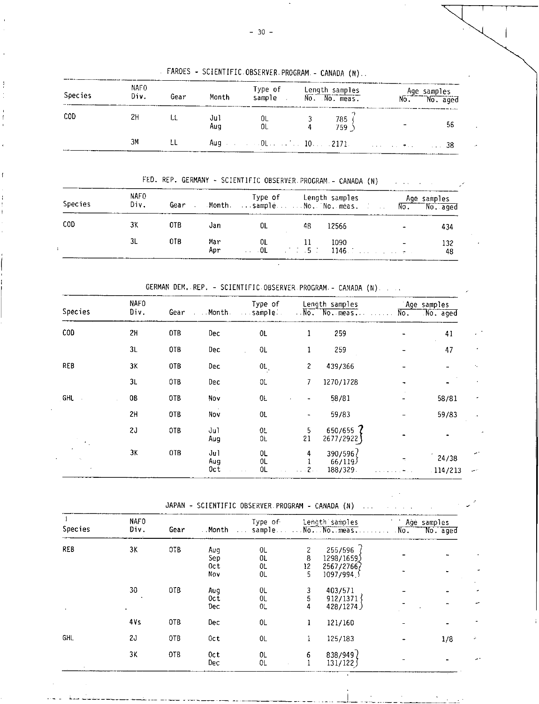FAROES - SCIENTIFIC. OBSERVER. PROGRAM.- CANADA (N)

 $\mathbf{I}$ 

| <b>Species</b> | NAF <sub>0</sub><br>Div. | Gear | Month      | Type of Length samples<br>sample | No. No. meas. | Age samples<br>No. No. aged |
|----------------|--------------------------|------|------------|----------------------------------|---------------|-----------------------------|
| COD            | 2H                       | LL   | Jul<br>Aug | OL<br>OL                         | 785<br>759    | 56                          |
|                | ЗΜ                       | ιL   |            |                                  |               | -38                         |

FED. REP. GERMANY - SCIENTIFIC OBSERVER PROGRAM - CANADA (N)  $\mathcal{L}^{\text{max}}$ 

| <b>Species</b> | NAFO<br>Div. | Gear | Month      | <b>Sample Reserve No. No. meas.</b> The Little         |    | Type of Length samples |                          | Age samples<br>No. No. aged |
|----------------|--------------|------|------------|--------------------------------------------------------|----|------------------------|--------------------------|-----------------------------|
| COD            | ЗΚ           | 0TB  | Jan        | 0L.                                                    | 48 | 12566                  | $\overline{\phantom{a}}$ | 434                         |
|                | 3L           | OTB  | Mar<br>Apr | 0L<br>$\ldots$ 01 $\ldots$ 1.5 $\ldots$ 1146. $\ldots$ |    | 1090                   |                          | 132<br>48                   |

GERMAN DEM. REP. - SCIENTIFIC. OBSERVER. PROGRAM.- CANADA (N)

| Species    | NAFO<br>Div. | Gear | . Month    | Type of<br>sample<br>$\sim 100$ $\mu$ |                | Length samples<br>No. No. meas. | No. | Age samples<br>No. aged |        |
|------------|--------------|------|------------|---------------------------------------|----------------|---------------------------------|-----|-------------------------|--------|
|            |              |      |            |                                       |                |                                 |     |                         |        |
| <b>COD</b> | 2H           | 0TB  | Dec        | 0L                                    | 1              | 259                             |     | 41                      | ٠      |
|            | 3L           | OTB  | Dec        | 0L                                    | 1              | 259                             |     | 47                      | ٠      |
| REB        | 3Κ           | 0TB  | Dec        | 0L                                    | 2              | 439/366                         |     |                         |        |
|            | 3L           | 0TB  | Dec        | 0L                                    | 7              | 1270/1728                       |     |                         |        |
| <b>GHL</b> | OB           | 0TB  | Nov        | 0L                                    |                | 58/81                           |     | 58/81                   |        |
|            | 2H           | OTB  | Nov        | 0L                                    | $\blacksquare$ | 59/83                           |     | 59/83                   |        |
|            | 2J           | OTB  | Jul<br>Aug | 0L<br>0L                              | 5<br>21        | 650/655 $?$<br>2677/2922)       |     |                         |        |
|            | 3K           | 0TB  | Jul<br>Aug | 0L<br>0L                              | 4              | 390/596<br>66/119               | ÷   | 24/38                   |        |
|            |              |      | 0ct        | 0L                                    |                | 188/329.                        |     | .114/213                | المعود |

JAPAN - SCIENTIFIC OBSERVER. PROGRAM - CANADA (N)

|         | <b>NAFO</b> |      |                     | Type of |               | Length samples | Age samples |          |
|---------|-------------|------|---------------------|---------|---------------|----------------|-------------|----------|
| Species | Div.        | Gear | Month<br>$\sim 100$ | sample  | $\sim$ $\sim$ | No. No. meas.  | No.         | No. aged |
| REB     | 3K          | 0TB  | Aug                 | 0L      |               | 255/596        |             |          |
|         |             |      | Sep                 | 0L      | 8             | 1298/1659)     |             |          |
|         |             |      | 0ct                 | 0L      | 12            | 2567/27667     |             |          |
|         |             |      | Nov                 | OL.     | 5.            | 1097/994       |             |          |
|         | 30          | 0TB  | Aug                 | 0L      | 3             | 403/571        |             |          |
|         |             |      | Oct                 | 0L      | 5             | 912/1371       |             |          |
|         |             |      | Dec                 | 0L      | 4             | 428/1274)      |             |          |
|         | 4Vs         | 0TB  | Dec                 | 0L      | 1             | 121/160        |             |          |
| GHL     | 2J          | 0TB  | Oct                 | 0L      |               | 125/183        |             | 1/8      |
|         | ЗΚ          | 0TB  | Oct                 | 0L      | 6             | 838/949        |             |          |
|         |             |      | Dec                 | 0L      |               | 131/122        |             |          |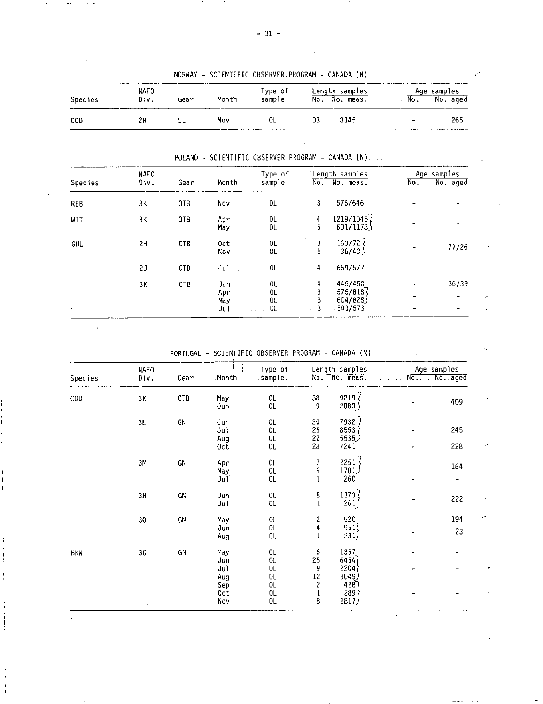| Species | NAFO<br>Div. | Gear | Month | Type of<br>sample | Length samples<br>No. No. meas. | Age samples<br>$N_{0}$ . | $\overline{N_0}$ . aged |
|---------|--------------|------|-------|-------------------|---------------------------------|--------------------------|-------------------------|
| COD.    | 2Н           |      | Nov.  | OL. .             | 33. 8145                        |                          | -265                    |

NORWAY - SCIENTIFIC OBSERVER.PROGRAM - CANADA (N)

POLAND - SCIENTIFIC OBSERVER PROGRAM - CANADA (N)

|            | NAFO |                 |                          | length samples<br>Type of        |                          |                                           | Age samples |          |  |
|------------|------|-----------------|--------------------------|----------------------------------|--------------------------|-------------------------------------------|-------------|----------|--|
| Species    | Div. | Gear            | Month                    | sample                           | $N_{0}$                  | No. meas.                                 | No.         | No. aged |  |
| <b>REB</b> | 3K   | 0TB             | Nov                      | 0L                               | 3                        | 576/646                                   |             |          |  |
| WIT        | 3K   | OT <sub>B</sub> | Apr<br>May               | 0L<br>OL.                        | 4<br>5                   | 1219/10457<br>601/1178                    |             |          |  |
| <b>GHL</b> | 2H   | OTB             | Oct<br>Nov               | 01<br><b>OL</b>                  | 3                        | $163/72$ }<br>36/43                       |             | 77/26    |  |
|            | 2J   | OTB             | Ju1                      | 0L                               | 4                        | 659/677                                   |             |          |  |
| $\bullet$  | 3K   | OTB             | Jan<br>Apr<br>May<br>Ju1 | 0L<br>0 <sub>L</sub><br>0L<br>ΟL | 4<br>3<br>3<br>$\cdot$ 3 | 445/450<br>575/818<br>604/828)<br>541/573 |             | 36/39    |  |

PORTUGAL - SCIENTIFIC OBSERVER PROGRAM - CANADA (N)

 $1\sigma$ 

 $\sim$   $\sim$ 

 $\ddot{\phantom{a}}$ 

| Species    | <b>NAFO</b><br>Div. | Gear       | Month      | Type of<br>sample:   |                  | Length samples<br>No. No. meas. |                          | Age samples<br>No. No. aged |
|------------|---------------------|------------|------------|----------------------|------------------|---------------------------------|--------------------------|-----------------------------|
| <b>COD</b> | 3K                  | OTB        | May        | $0\mathsf{L}$        | 38               | 9219 $\langle$                  |                          |                             |
|            |                     |            | Jun        | $0\mathsf{L}$        | 9                | 2080                            |                          | 409                         |
|            | 3L                  | ${\sf GN}$ | Jun        | 0L                   | 30               | 7932)                           |                          |                             |
|            |                     |            | Jul<br>Aug | OL.<br>$0\mathsf{L}$ | 25<br>22         | 8553<br>5535)                   |                          | 245                         |
|            |                     |            | Oct        | OL.                  | 28               | 7241                            |                          | 228                         |
|            | 3M                  | GN         | Apr        | 0L                   | 7                | $2251 \;$                       |                          | 164                         |
|            |                     |            | May<br>Ju1 | 0L<br>$0\mathsf{L}$  | 6<br>$\mathbf 1$ | 1701<br>260                     |                          |                             |
|            | 3N                  | CN         | Jun        | 0L                   | 5                | $1373$ }                        |                          | 222                         |
|            |                     |            | Ju1        | $01\,$               | $\mathbf{l}$     | 261                             | $\overline{\phantom{a}}$ |                             |
|            | $30\,$              | GN         | May        | 01                   | 2<br>4           | 520                             |                          | 194                         |
|            |                     |            | Jun<br>Aug | 01<br>0L             | $\mathbf{1}$     | 951<br>231/                     |                          | 23                          |
| HKW        | 30                  | ${\sf CN}$ | May        | 0L                   | 6                | 1357                            |                          |                             |
|            |                     |            | Jun        | 01.                  | 25               | 6454)                           |                          |                             |
|            |                     |            | Jul<br>Aug | 0L<br>0L             | 9<br>12          | 2204<br>3049)                   |                          |                             |
|            |                     |            | Sep        | OL.                  | $\mathbf{2}$     | 428                             |                          |                             |
|            |                     |            | Oct        | OL.                  |                  | 289                             |                          |                             |
|            |                     |            | Nov        | 0L                   | 8.               | 1817)                           |                          |                             |

 $-31 -$